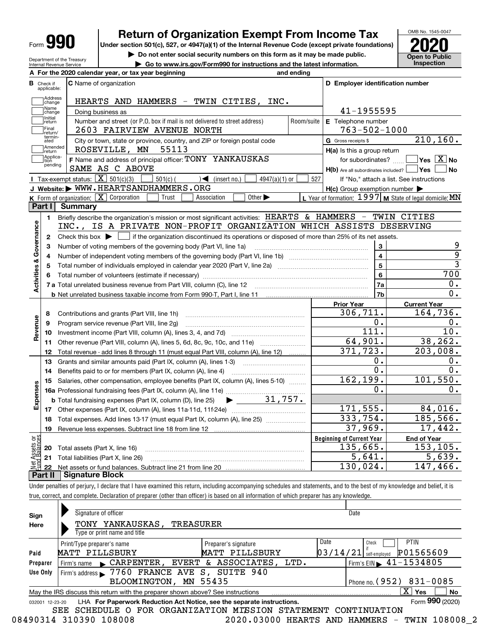| Form |
|------|
|------|

# **Return of Organization Exempt From Income Tax**

**Under section 501(c), 527, or 4947(a)(1) of the Internal Revenue Code (except private foundations) 2020**

**| Do not enter social security numbers on this form as it may be made public.**

**Open to Public** 

OMB No. 1545-0047

| Department of the Treasury |  |
|----------------------------|--|
| Internal Revenue Service   |  |
|                            |  |

**| Go to www.irs.gov/Form990 for instructions and the latest information. Inspection A For the 2020 calendar year, or tax year beginning and ending**

| <b>B</b> Check if       | applicable:                | <b>C</b> Name of organization                                                                                                               |                         | D Employer identification number                    |                                                         |
|-------------------------|----------------------------|---------------------------------------------------------------------------------------------------------------------------------------------|-------------------------|-----------------------------------------------------|---------------------------------------------------------|
|                         | Address<br>change          | HEARTS AND HAMMERS - TWIN CITIES,<br>INC.                                                                                                   |                         |                                                     |                                                         |
|                         | Name<br>change             | 41-1955595                                                                                                                                  |                         |                                                     |                                                         |
|                         | Initial<br> return         | Doing business as<br>Number and street (or P.O. box if mail is not delivered to street address)                                             | E Telephone number      |                                                     |                                                         |
|                         | Final                      | 2603 FAIRVIEW AVENUE NORTH                                                                                                                  | Room/suite              | $763 - 502 - 1000$                                  |                                                         |
|                         | return/<br>termin-<br>ated | City or town, state or province, country, and ZIP or foreign postal code                                                                    |                         | G Gross receipts \$                                 | $\overline{210,160}$ .                                  |
|                         | Amended<br>return          | ROSEVILLE, MN<br>55113                                                                                                                      |                         | H(a) Is this a group return                         |                                                         |
|                         | Applica-<br>tion           | F Name and address of principal officer: TONY YANKAUSKAS                                                                                    |                         |                                                     | for subordinates? $\Box$ Yes $\boxed{X}$ No             |
|                         | pending                    | SAME AS C ABOVE                                                                                                                             |                         | $H(b)$ Are all subordinates included? $\Box$ Yes    | <b>No</b>                                               |
|                         |                            | Tax-exempt status: $\boxed{\mathbf{X}}$ 501(c)(3)<br>$501(c)$ (<br>$\mathcal{A}$ (insert no.)<br>$4947(a)(1)$ or                            | 527                     |                                                     | If "No," attach a list. See instructions                |
|                         |                            | J Website: WWW.HEARTSANDHAMMERS.ORG                                                                                                         |                         | $H(c)$ Group exemption number $\blacktriangleright$ |                                                         |
|                         |                            | Other $\blacktriangleright$<br><b>K</b> Form of organization: $\boxed{\mathbf{X}}$ Corporation<br>Trust<br>Association                      |                         |                                                     | L Year of formation: 1997 M State of legal domicile: MN |
| Part I                  |                            | <b>Summary</b>                                                                                                                              |                         |                                                     |                                                         |
|                         | $\blacksquare$             | Briefly describe the organization's mission or most significant activities: HEARTS & HAMMERS - TWIN CITIES                                  |                         |                                                     |                                                         |
| Activities & Governance |                            | INC., IS A PRIVATE NON-PROFIT ORGANIZATION WHICH ASSISTS DESERVING                                                                          |                         |                                                     |                                                         |
|                         | $\mathbf{2}$               | Check this box $\blacktriangleright$ $\Box$ if the organization discontinued its operations or disposed of more than 25% of its net assets. |                         |                                                     |                                                         |
|                         | з                          | Number of voting members of the governing body (Part VI, line 1a)                                                                           |                         | 3                                                   | 9                                                       |
|                         | 4                          |                                                                                                                                             | $\overline{\mathbf{4}}$ | $\overline{9}$                                      |                                                         |
|                         | 5                          |                                                                                                                                             | 5                       | $\overline{3}$                                      |                                                         |
|                         |                            |                                                                                                                                             | 6                       | $\overline{700}$                                    |                                                         |
|                         |                            |                                                                                                                                             | 7a                      | 0.                                                  |                                                         |
|                         |                            | <b>b</b> Net unrelated business taxable income from Form 990-T, Part I, line 11                                                             | 7b                      | $\overline{0}$ .                                    |                                                         |
|                         |                            |                                                                                                                                             |                         | <b>Prior Year</b>                                   | <b>Current Year</b>                                     |
|                         | 8                          | Contributions and grants (Part VIII, line 1h)                                                                                               |                         | 306,711.                                            | 164,736.                                                |
| Revenue                 | 9                          | Program service revenue (Part VIII, line 2g)                                                                                                |                         | 0.                                                  | 0.                                                      |
|                         | 10                         |                                                                                                                                             |                         | 111.                                                | 10.                                                     |
|                         | 11                         |                                                                                                                                             |                         | 64,901.                                             | 38, 262.                                                |
|                         | 12                         | Total revenue - add lines 8 through 11 (must equal Part VIII, column (A), line 12)                                                          |                         | 371, 723.                                           | 203,008.                                                |
|                         | 13                         | Grants and similar amounts paid (Part IX, column (A), lines 1-3)                                                                            |                         | 0.                                                  | 0.                                                      |
|                         | 14                         |                                                                                                                                             |                         | $\overline{0}$ .                                    | $\overline{0}$ .                                        |
|                         | 15                         | Salaries, other compensation, employee benefits (Part IX, column (A), lines 5-10)                                                           |                         | 162, 199.                                           | 101,550.                                                |
|                         |                            |                                                                                                                                             |                         | 0.                                                  | 0.                                                      |
| Expenses                |                            | 31,757.<br><b>b</b> Total fundraising expenses (Part IX, column (D), line 25)<br>$\blacktriangleright$ and $\blacktriangleright$            |                         | 171, 555.                                           |                                                         |
|                         |                            |                                                                                                                                             |                         | 333,754.                                            | 84,016.<br>185,566.                                     |
|                         | 18                         | Total expenses. Add lines 13-17 (must equal Part IX, column (A), line 25) [                                                                 |                         |                                                     |                                                         |
|                         | 19                         |                                                                                                                                             |                         | 37,969.                                             | 17,442.                                                 |
| ăğ                      |                            |                                                                                                                                             |                         | <b>Beginning of Current Year</b><br>135,665.        | <b>End of Year</b><br>153, 105.                         |
| ssets                   | 20                         | Total assets (Part X, line 16)                                                                                                              |                         | 5,641.                                              | 5,639.                                                  |
|                         |                            | 21 Total liabilities (Part X, line 26)                                                                                                      |                         | 130,024.                                            | 147,466.                                                |
|                         | 22<br>Part II              | <b>Signature Block</b>                                                                                                                      |                         |                                                     |                                                         |

Under penalties of perjury, I declare that I have examined this return, including accompanying schedules and statements, and to the best of my knowledge and belief, it is true, correct, and complete. Declaration of preparer (other than officer) is based on all information of which preparer has any knowledge.

| Sign<br>Here       | Signature of officer<br>TREASURER<br>TONY YANKAUSKAS,<br>Type or print name and title             |                                                 | Date                                        |                 |  |  |  |  |  |
|--------------------|---------------------------------------------------------------------------------------------------|-------------------------------------------------|---------------------------------------------|-----------------|--|--|--|--|--|
|                    | Print/Type preparer's name<br>MATT PILLSBURY                                                      | Preparer's signature<br>MATT PILLSBURY          | Date<br><b>PTIN</b><br>Check<br> 03/14/21   | P01565609       |  |  |  |  |  |
| Paid               |                                                                                                   |                                                 | self-emploved                               |                 |  |  |  |  |  |
| Preparer           | Firm's name CARPENTER, EVERT & ASSOCIATES, LTD.                                                   |                                                 | Firm's EIN $\blacktriangleright$ 41-1534805 |                 |  |  |  |  |  |
| Use Only           | Firm's address > 7760 FRANCE AVE S, SUITE 940                                                     |                                                 |                                             |                 |  |  |  |  |  |
|                    | BLOOMINGTON, MN 55435                                                                             |                                                 | Phone no. $(952)$ $831 - 0085$              |                 |  |  |  |  |  |
|                    | x<br>Yes<br>No<br>May the IRS discuss this return with the preparer shown above? See instructions |                                                 |                                             |                 |  |  |  |  |  |
| 12-23-20<br>032001 | LHA For Paperwork Reduction Act Notice, see the separate instructions.                            |                                                 |                                             | Form 990 (2020) |  |  |  |  |  |
|                    | SEE<br>SCHEDULE<br>$\Omega$                                                                       | FOR ORGANIZATION MISSION STATEMENT CONTINUATION |                                             |                 |  |  |  |  |  |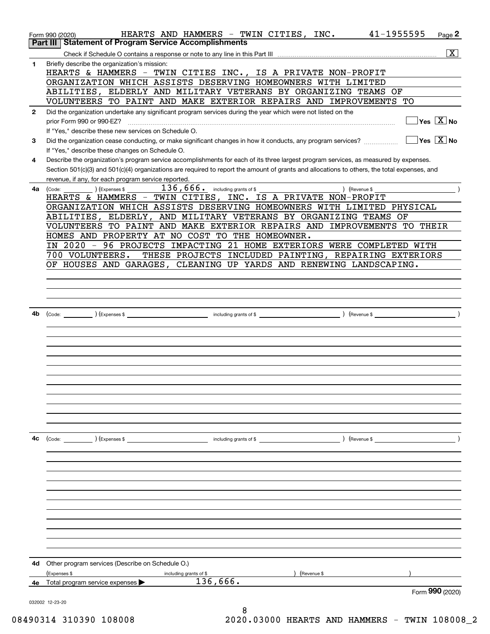|              | 41-1955595<br>HEARTS AND HAMMERS - TWIN CITIES, INC.<br>$Page$ 2<br>Form 990 (2020)                                                                                                                                                                                                  |
|--------------|--------------------------------------------------------------------------------------------------------------------------------------------------------------------------------------------------------------------------------------------------------------------------------------|
| Part III     | <b>Statement of Program Service Accomplishments</b>                                                                                                                                                                                                                                  |
|              | $\overline{\mathbf{x}}$                                                                                                                                                                                                                                                              |
| 1            | Briefly describe the organization's mission:                                                                                                                                                                                                                                         |
|              | HEARTS & HAMMERS - TWIN CITIES INC., IS A PRIVATE NON-PROFIT                                                                                                                                                                                                                         |
|              | ORGANIZATION WHICH ASSISTS DESERVING HOMEOWNERS WITH LIMITED                                                                                                                                                                                                                         |
|              | ABILITIES, ELDERLY AND MILITARY VETERANS BY ORGANIZING TEAMS OF                                                                                                                                                                                                                      |
|              | VOLUNTEERS TO PAINT AND MAKE EXTERIOR REPAIRS AND IMPROVEMENTS TO                                                                                                                                                                                                                    |
| $\mathbf{2}$ | Did the organization undertake any significant program services during the year which were not listed on the                                                                                                                                                                         |
|              | $\Box$ Yes $[\overline{\mathrm{X}}]$ No<br>prior Form 990 or 990-EZ?                                                                                                                                                                                                                 |
|              | If "Yes," describe these new services on Schedule O.<br>$\sqrt{}$ Yes $\sqrt{}$ X $\sqrt{}$ No                                                                                                                                                                                       |
| 3            | Did the organization cease conducting, or make significant changes in how it conducts, any program services?                                                                                                                                                                         |
|              | If "Yes," describe these changes on Schedule O.                                                                                                                                                                                                                                      |
| 4            | Describe the organization's program service accomplishments for each of its three largest program services, as measured by expenses.<br>Section 501(c)(3) and 501(c)(4) organizations are required to report the amount of grants and allocations to others, the total expenses, and |
|              | revenue, if any, for each program service reported.                                                                                                                                                                                                                                  |
| 4a           | 136,666. including grants of \$<br>(Expenses \$<br>) (Revenue \$<br>(Code:                                                                                                                                                                                                           |
|              | HEARTS & HAMMERS - TWIN CITIES, INC. IS A PRIVATE NON-PROFIT                                                                                                                                                                                                                         |
|              | ORGANIZATION WHICH ASSISTS DESERVING HOMEOWNERS WITH LIMITED PHYSICAL                                                                                                                                                                                                                |
|              | ABILITIES, ELDERLY, AND MILITARY VETERANS BY ORGANIZING TEAMS OF                                                                                                                                                                                                                     |
|              | VOLUNTEERS TO PAINT AND MAKE EXTERIOR REPAIRS AND IMPROVEMENTS TO THEIR                                                                                                                                                                                                              |
|              | HOMES AND PROPERTY AT NO COST TO THE HOMEOWNER.                                                                                                                                                                                                                                      |
|              | IN 2020 - 96 PROJECTS IMPACTING 21 HOME EXTERIORS WERE COMPLETED WITH                                                                                                                                                                                                                |
|              | 700 VOLUNTEERS.<br>THESE PROJECTS INCLUDED PAINTING, REPAIRING EXTERIORS                                                                                                                                                                                                             |
|              | OF HOUSES AND GARAGES, CLEANING UP YARDS AND RENEWING LANDSCAPING.                                                                                                                                                                                                                   |
|              |                                                                                                                                                                                                                                                                                      |
|              |                                                                                                                                                                                                                                                                                      |
|              |                                                                                                                                                                                                                                                                                      |
|              |                                                                                                                                                                                                                                                                                      |
| 4b           |                                                                                                                                                                                                                                                                                      |
|              |                                                                                                                                                                                                                                                                                      |
|              |                                                                                                                                                                                                                                                                                      |
|              |                                                                                                                                                                                                                                                                                      |
|              |                                                                                                                                                                                                                                                                                      |
|              |                                                                                                                                                                                                                                                                                      |
|              |                                                                                                                                                                                                                                                                                      |
|              |                                                                                                                                                                                                                                                                                      |
|              |                                                                                                                                                                                                                                                                                      |
|              |                                                                                                                                                                                                                                                                                      |
|              |                                                                                                                                                                                                                                                                                      |
|              |                                                                                                                                                                                                                                                                                      |
|              |                                                                                                                                                                                                                                                                                      |
| 4с           | (Code: ) (Expenses \$<br>) (Revenue \$<br>including grants of \$                                                                                                                                                                                                                     |
|              |                                                                                                                                                                                                                                                                                      |
|              |                                                                                                                                                                                                                                                                                      |
|              |                                                                                                                                                                                                                                                                                      |
|              |                                                                                                                                                                                                                                                                                      |
|              |                                                                                                                                                                                                                                                                                      |
|              |                                                                                                                                                                                                                                                                                      |
|              |                                                                                                                                                                                                                                                                                      |
|              |                                                                                                                                                                                                                                                                                      |
|              |                                                                                                                                                                                                                                                                                      |
|              |                                                                                                                                                                                                                                                                                      |
|              |                                                                                                                                                                                                                                                                                      |
| 4d           | Other program services (Describe on Schedule O.)                                                                                                                                                                                                                                     |
|              | (Expenses \$<br>Revenue \$<br>including grants of \$                                                                                                                                                                                                                                 |
| 4e           | 136,666.<br>Total program service expenses                                                                                                                                                                                                                                           |
|              | Form 990 (2020)                                                                                                                                                                                                                                                                      |
|              | 032002 12-23-20                                                                                                                                                                                                                                                                      |
|              | 8                                                                                                                                                                                                                                                                                    |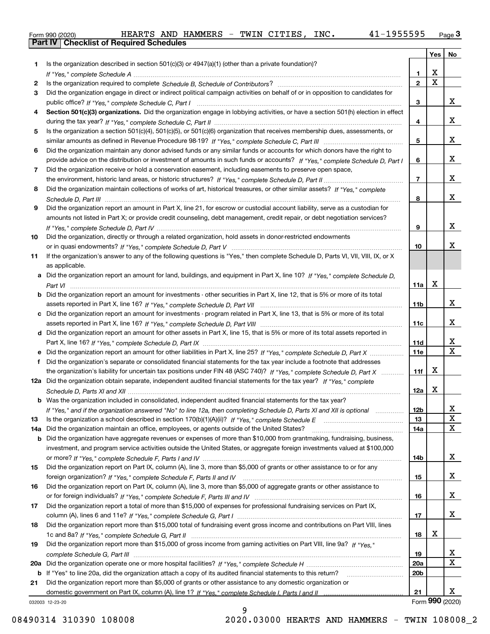|  | Form 990 (2020) |  |
|--|-----------------|--|

|     |                                                                                                                                               |                 | Yes <sub>1</sub> | No              |
|-----|-----------------------------------------------------------------------------------------------------------------------------------------------|-----------------|------------------|-----------------|
| 1.  | Is the organization described in section $501(c)(3)$ or $4947(a)(1)$ (other than a private foundation)?                                       |                 |                  |                 |
|     |                                                                                                                                               | 1               | x                |                 |
| 2   |                                                                                                                                               | $\mathbf{2}$    | X                |                 |
| 3   | Did the organization engage in direct or indirect political campaign activities on behalf of or in opposition to candidates for               |                 |                  |                 |
|     |                                                                                                                                               | 3               |                  | x               |
| 4   | Section 501(c)(3) organizations. Did the organization engage in lobbying activities, or have a section 501(h) election in effect              |                 |                  |                 |
|     |                                                                                                                                               | 4               |                  | x               |
| 5   | Is the organization a section 501(c)(4), 501(c)(5), or 501(c)(6) organization that receives membership dues, assessments, or                  |                 |                  |                 |
|     |                                                                                                                                               | 5               |                  | x               |
| 6   | Did the organization maintain any donor advised funds or any similar funds or accounts for which donors have the right to                     |                 |                  |                 |
|     | provide advice on the distribution or investment of amounts in such funds or accounts? If "Yes," complete Schedule D, Part I                  | 6               |                  | x               |
| 7   | Did the organization receive or hold a conservation easement, including easements to preserve open space,                                     |                 |                  |                 |
|     |                                                                                                                                               | $\overline{7}$  |                  | x               |
| 8   | Did the organization maintain collections of works of art, historical treasures, or other similar assets? If "Yes," complete                  |                 |                  |                 |
|     |                                                                                                                                               | 8               |                  | x               |
| 9   | Did the organization report an amount in Part X, line 21, for escrow or custodial account liability, serve as a custodian for                 |                 |                  |                 |
|     | amounts not listed in Part X; or provide credit counseling, debt management, credit repair, or debt negotiation services?                     |                 |                  |                 |
|     |                                                                                                                                               | 9               |                  | x               |
| 10  | Did the organization, directly or through a related organization, hold assets in donor-restricted endowments                                  |                 |                  | х               |
|     |                                                                                                                                               | 10              |                  |                 |
| 11  | If the organization's answer to any of the following questions is "Yes," then complete Schedule D, Parts VI, VII, VIII, IX, or X              |                 |                  |                 |
|     | as applicable.<br>Did the organization report an amount for land, buildings, and equipment in Part X, line 10? If "Yes," complete Schedule D, |                 |                  |                 |
| а   |                                                                                                                                               | 11a             | x                |                 |
|     | Did the organization report an amount for investments - other securities in Part X, line 12, that is 5% or more of its total                  |                 |                  |                 |
| b   |                                                                                                                                               | 11 <sub>b</sub> |                  | x               |
| c   | Did the organization report an amount for investments - program related in Part X, line 13, that is 5% or more of its total                   |                 |                  |                 |
|     |                                                                                                                                               | 11c             |                  | x               |
|     | d Did the organization report an amount for other assets in Part X, line 15, that is 5% or more of its total assets reported in               |                 |                  |                 |
|     |                                                                                                                                               | 11d             |                  | x               |
| е   |                                                                                                                                               | <b>11e</b>      |                  | X               |
| f.  | Did the organization's separate or consolidated financial statements for the tax year include a footnote that addresses                       |                 |                  |                 |
|     | the organization's liability for uncertain tax positions under FIN 48 (ASC 740)? If "Yes," complete Schedule D, Part X                        | 11f             | x                |                 |
|     | 12a Did the organization obtain separate, independent audited financial statements for the tax year? If "Yes," complete                       |                 |                  |                 |
|     |                                                                                                                                               | 12a             | х                |                 |
|     | <b>b</b> Was the organization included in consolidated, independent audited financial statements for the tax year?                            |                 |                  |                 |
|     | If "Yes," and if the organization answered "No" to line 12a, then completing Schedule D, Parts XI and XII is optional                         | 12 <sub>b</sub> |                  |                 |
| 13  | Is the organization a school described in section $170(b)(1)(A)(ii)?$ If "Yes," complete Schedule E                                           | 13              |                  | X               |
| 14a | Did the organization maintain an office, employees, or agents outside of the United States?                                                   | 14a             |                  | X               |
| b   | Did the organization have aggregate revenues or expenses of more than \$10,000 from grantmaking, fundraising, business,                       |                 |                  |                 |
|     | investment, and program service activities outside the United States, or aggregate foreign investments valued at \$100,000                    |                 |                  |                 |
|     |                                                                                                                                               | 14b             |                  | x               |
| 15  | Did the organization report on Part IX, column (A), line 3, more than \$5,000 of grants or other assistance to or for any                     |                 |                  |                 |
|     |                                                                                                                                               | 15              |                  | x               |
| 16  | Did the organization report on Part IX, column (A), line 3, more than \$5,000 of aggregate grants or other assistance to                      |                 |                  |                 |
|     |                                                                                                                                               | 16              |                  | x               |
| 17  | Did the organization report a total of more than \$15,000 of expenses for professional fundraising services on Part IX,                       |                 |                  |                 |
|     |                                                                                                                                               | 17              |                  | x               |
| 18  | Did the organization report more than \$15,000 total of fundraising event gross income and contributions on Part VIII, lines                  |                 |                  |                 |
|     |                                                                                                                                               | 18              | х                |                 |
| 19  | Did the organization report more than \$15,000 of gross income from gaming activities on Part VIII, line 9a? If "Yes."                        |                 |                  |                 |
|     |                                                                                                                                               | 19              |                  | X               |
| 20a |                                                                                                                                               | <b>20a</b>      |                  | x               |
| b   | If "Yes" to line 20a, did the organization attach a copy of its audited financial statements to this return?                                  | 20 <sub>b</sub> |                  |                 |
| 21  | Did the organization report more than \$5,000 of grants or other assistance to any domestic organization or                                   |                 |                  |                 |
|     |                                                                                                                                               | 21              |                  | X.              |
|     | 032003 12-23-20                                                                                                                               |                 |                  | Form 990 (2020) |

032003 12-23-20

9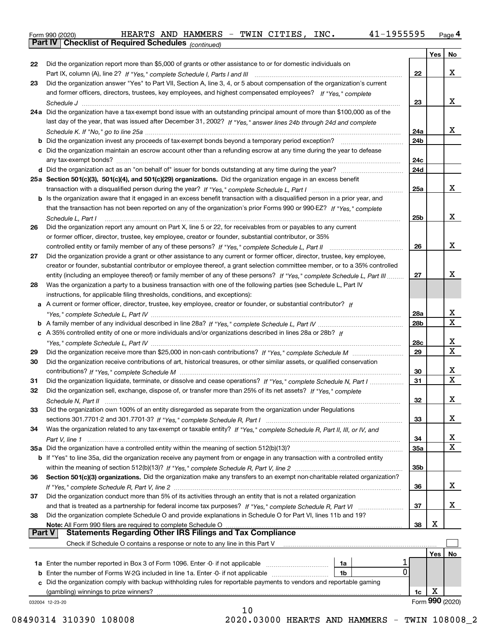|  | Form 990 (2020) |
|--|-----------------|
|  |                 |

*(continued)*

|    |                                                                                                                              |                 | Yes | No               |
|----|------------------------------------------------------------------------------------------------------------------------------|-----------------|-----|------------------|
| 22 | Did the organization report more than \$5,000 of grants or other assistance to or for domestic individuals on                |                 |     |                  |
|    |                                                                                                                              | 22              |     | x                |
| 23 | Did the organization answer "Yes" to Part VII, Section A, line 3, 4, or 5 about compensation of the organization's current   |                 |     |                  |
|    | and former officers, directors, trustees, key employees, and highest compensated employees? If "Yes," complete               |                 |     |                  |
|    |                                                                                                                              | 23              |     | x                |
|    | 24a Did the organization have a tax-exempt bond issue with an outstanding principal amount of more than \$100,000 as of the  |                 |     |                  |
|    | last day of the year, that was issued after December 31, 2002? If "Yes," answer lines 24b through 24d and complete           |                 |     |                  |
|    |                                                                                                                              | 24a             |     | X.               |
|    |                                                                                                                              | 24 <sub>b</sub> |     |                  |
|    | c Did the organization maintain an escrow account other than a refunding escrow at any time during the year to defease       |                 |     |                  |
|    |                                                                                                                              | 24c             |     |                  |
|    |                                                                                                                              | 24d             |     |                  |
|    |                                                                                                                              |                 |     |                  |
|    | 25a Section 501(c)(3), 501(c)(4), and 501(c)(29) organizations. Did the organization engage in an excess benefit             |                 |     | x                |
|    |                                                                                                                              | 25a             |     |                  |
|    | b Is the organization aware that it engaged in an excess benefit transaction with a disqualified person in a prior year, and |                 |     |                  |
|    | that the transaction has not been reported on any of the organization's prior Forms 990 or 990-EZ? If "Yes," complete        |                 |     |                  |
|    | Schedule L, Part I                                                                                                           | 25b             |     | x                |
| 26 | Did the organization report any amount on Part X, line 5 or 22, for receivables from or payables to any current              |                 |     |                  |
|    | or former officer, director, trustee, key employee, creator or founder, substantial contributor, or 35%                      |                 |     |                  |
|    |                                                                                                                              | 26              |     | x                |
| 27 | Did the organization provide a grant or other assistance to any current or former officer, director, trustee, key employee,  |                 |     |                  |
|    | creator or founder, substantial contributor or employee thereof, a grant selection committee member, or to a 35% controlled  |                 |     |                  |
|    | entity (including an employee thereof) or family member of any of these persons? If "Yes," complete Schedule L, Part III     | 27              |     | х                |
| 28 | Was the organization a party to a business transaction with one of the following parties (see Schedule L, Part IV            |                 |     |                  |
|    | instructions, for applicable filing thresholds, conditions, and exceptions):                                                 |                 |     |                  |
|    | a A current or former officer, director, trustee, key employee, creator or founder, or substantial contributor? If           |                 |     |                  |
|    |                                                                                                                              | 28a             |     | x                |
|    |                                                                                                                              | 28 <sub>b</sub> |     | $\mathbf X$      |
|    | c A 35% controlled entity of one or more individuals and/or organizations described in lines 28a or 28b? If                  |                 |     |                  |
|    |                                                                                                                              | 28c             |     | x                |
| 29 |                                                                                                                              | 29              |     | $\mathbf X$      |
| 30 | Did the organization receive contributions of art, historical treasures, or other similar assets, or qualified conservation  |                 |     |                  |
|    |                                                                                                                              | 30              |     | х                |
| 31 | Did the organization liquidate, terminate, or dissolve and cease operations? If "Yes," complete Schedule N, Part I           | 31              |     | $\mathbf X$      |
| 32 | Did the organization sell, exchange, dispose of, or transfer more than 25% of its net assets? If "Yes." complete             |                 |     |                  |
|    |                                                                                                                              | 32              |     | х                |
|    | Did the organization own 100% of an entity disregarded as separate from the organization under Regulations                   |                 |     |                  |
| 33 |                                                                                                                              | 33              |     | х                |
|    |                                                                                                                              |                 |     |                  |
| 34 | Was the organization related to any tax-exempt or taxable entity? If "Yes," complete Schedule R, Part II, III, or IV, and    |                 |     |                  |
|    |                                                                                                                              | 34              |     | X<br>$\mathbf X$ |
|    | 35a Did the organization have a controlled entity within the meaning of section 512(b)(13)?                                  | 35a             |     |                  |
|    | b If "Yes" to line 35a, did the organization receive any payment from or engage in any transaction with a controlled entity  |                 |     |                  |
|    |                                                                                                                              | 35 <sub>b</sub> |     |                  |
| 36 | Section 501(c)(3) organizations. Did the organization make any transfers to an exempt non-charitable related organization?   |                 |     |                  |
|    |                                                                                                                              | 36              |     | x                |
| 37 | Did the organization conduct more than 5% of its activities through an entity that is not a related organization             |                 |     |                  |
|    | and that is treated as a partnership for federal income tax purposes? If "Yes," complete Schedule R, Part VI                 | 37              |     | x                |
| 38 | Did the organization complete Schedule O and provide explanations in Schedule O for Part VI, lines 11b and 19?               |                 |     |                  |
|    | Note: All Form 990 filers are required to complete Schedule O                                                                | 38              | х   |                  |
|    | <b>Statements Regarding Other IRS Filings and Tax Compliance</b><br><b>Part V</b>                                            |                 |     |                  |
|    | Check if Schedule O contains a response or note to any line in this Part V                                                   |                 |     |                  |
|    |                                                                                                                              |                 | Yes | No.              |
|    | <b>1a</b> Enter the number reported in Box 3 of Form 1096. Enter -0- if not applicable <i>manumumumum</i><br>1a              |                 |     |                  |
|    | 0<br><b>b</b> Enter the number of Forms W-2G included in line 1a. Enter -0- if not applicable<br>1b                          |                 |     |                  |
|    | c Did the organization comply with backup withholding rules for reportable payments to vendors and reportable gaming         |                 |     |                  |
|    | (gambling) winnings to prize winners?                                                                                        | 1c              | х   |                  |
|    | 032004 12-23-20                                                                                                              |                 |     | Form 990 (2020)  |
|    | 10                                                                                                                           |                 |     |                  |

 <sup>08490314 310390 108008 2020.03000</sup> HEARTS AND HAMMERS - TWIN 108008\_2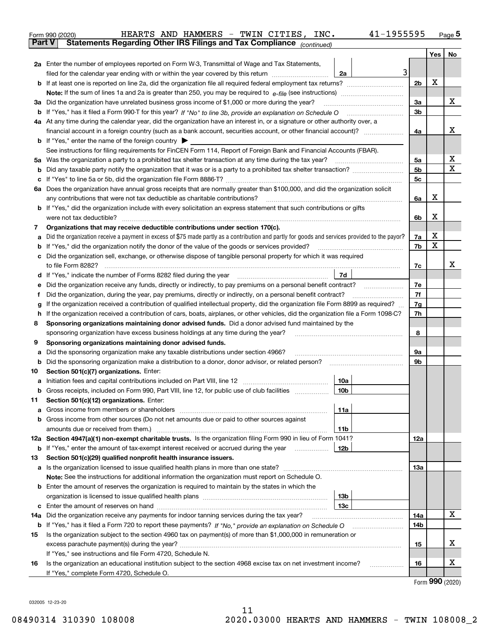|               |                                                                                                  | HEARTS AND HAMMERS - TWIN CITIES, INC.<br>41-1955595<br>Form 990 (2020)                                                                         |                |     | $_{\text{Page}}$ 5 |  |  |  |
|---------------|--------------------------------------------------------------------------------------------------|-------------------------------------------------------------------------------------------------------------------------------------------------|----------------|-----|--------------------|--|--|--|
| <b>Part V</b> |                                                                                                  | Statements Regarding Other IRS Filings and Tax Compliance (continued)                                                                           |                |     |                    |  |  |  |
|               |                                                                                                  |                                                                                                                                                 |                | Yes | No                 |  |  |  |
|               |                                                                                                  | 2a Enter the number of employees reported on Form W-3, Transmittal of Wage and Tax Statements,                                                  |                |     |                    |  |  |  |
|               |                                                                                                  | 3<br>filed for the calendar year ending with or within the year covered by this return <i>manumumumum</i><br>2a                                 |                | X   |                    |  |  |  |
|               |                                                                                                  |                                                                                                                                                 |                |     |                    |  |  |  |
|               |                                                                                                  |                                                                                                                                                 |                |     |                    |  |  |  |
|               | 3a Did the organization have unrelated business gross income of \$1,000 or more during the year? |                                                                                                                                                 |                |     |                    |  |  |  |
| b             |                                                                                                  |                                                                                                                                                 | 3b             |     |                    |  |  |  |
|               |                                                                                                  | 4a At any time during the calendar year, did the organization have an interest in, or a signature or other authority over, a                    |                |     |                    |  |  |  |
|               |                                                                                                  |                                                                                                                                                 | 4a             |     | х                  |  |  |  |
|               |                                                                                                  | <b>b</b> If "Yes," enter the name of the foreign country $\blacktriangleright$                                                                  |                |     |                    |  |  |  |
|               |                                                                                                  | See instructions for filing requirements for FinCEN Form 114, Report of Foreign Bank and Financial Accounts (FBAR).                             |                |     |                    |  |  |  |
| 5a            |                                                                                                  | Was the organization a party to a prohibited tax shelter transaction at any time during the tax year?                                           | 5а             |     | х                  |  |  |  |
| b             |                                                                                                  |                                                                                                                                                 | 5 <sub>b</sub> |     | X                  |  |  |  |
| c             |                                                                                                  |                                                                                                                                                 | 5c             |     |                    |  |  |  |
|               |                                                                                                  | 6a Does the organization have annual gross receipts that are normally greater than \$100,000, and did the organization solicit                  |                |     |                    |  |  |  |
|               |                                                                                                  | any contributions that were not tax deductible as charitable contributions? [[[[[[[[[[[[[[[[[[[[[[[]]]]]]]]]]]                                  | 6a             | x   |                    |  |  |  |
|               |                                                                                                  | <b>b</b> If "Yes," did the organization include with every solicitation an express statement that such contributions or gifts                   |                |     |                    |  |  |  |
|               |                                                                                                  |                                                                                                                                                 | 6b             | x   |                    |  |  |  |
| 7             |                                                                                                  | Organizations that may receive deductible contributions under section 170(c).                                                                   |                |     |                    |  |  |  |
| а             |                                                                                                  | Did the organization receive a payment in excess of \$75 made partly as a contribution and partly for goods and services provided to the payor? | 7a             | x   |                    |  |  |  |
| b             |                                                                                                  | If "Yes," did the organization notify the donor of the value of the goods or services provided?                                                 | 7b             | X   |                    |  |  |  |
| с             |                                                                                                  | Did the organization sell, exchange, or otherwise dispose of tangible personal property for which it was required                               |                |     |                    |  |  |  |
|               |                                                                                                  |                                                                                                                                                 | 7c             |     | х                  |  |  |  |
| d             |                                                                                                  | 7d                                                                                                                                              |                |     |                    |  |  |  |
| е             |                                                                                                  | Did the organization receive any funds, directly or indirectly, to pay premiums on a personal benefit contract?                                 | 7e             |     |                    |  |  |  |
| f             |                                                                                                  | Did the organization, during the year, pay premiums, directly or indirectly, on a personal benefit contract?                                    | 7f             |     |                    |  |  |  |
| g             |                                                                                                  | If the organization received a contribution of qualified intellectual property, did the organization file Form 8899 as required?                | 7g             |     |                    |  |  |  |
| h             |                                                                                                  | If the organization received a contribution of cars, boats, airplanes, or other vehicles, did the organization file a Form 1098-C?              | 7h             |     |                    |  |  |  |
| 8             |                                                                                                  | Sponsoring organizations maintaining donor advised funds. Did a donor advised fund maintained by the                                            |                |     |                    |  |  |  |
|               |                                                                                                  | sponsoring organization have excess business holdings at any time during the year?                                                              | 8              |     |                    |  |  |  |
| 9             |                                                                                                  | Sponsoring organizations maintaining donor advised funds.                                                                                       |                |     |                    |  |  |  |
| а             |                                                                                                  | Did the sponsoring organization make any taxable distributions under section 4966?                                                              | 9а             |     |                    |  |  |  |
| b             |                                                                                                  | Did the sponsoring organization make a distribution to a donor, donor advisor, or related person?                                               | 9b             |     |                    |  |  |  |
| 10            |                                                                                                  | Section 501(c)(7) organizations. Enter:                                                                                                         |                |     |                    |  |  |  |
|               |                                                                                                  | 10a                                                                                                                                             |                |     |                    |  |  |  |
|               |                                                                                                  |                                                                                                                                                 |                |     |                    |  |  |  |
| 11            |                                                                                                  | Section 501(c)(12) organizations. Enter:                                                                                                        |                |     |                    |  |  |  |
| а             |                                                                                                  | 11a                                                                                                                                             |                |     |                    |  |  |  |
| b             |                                                                                                  | Gross income from other sources (Do not net amounts due or paid to other sources against                                                        |                |     |                    |  |  |  |
|               |                                                                                                  | 11b                                                                                                                                             |                |     |                    |  |  |  |
|               |                                                                                                  | 12a Section 4947(a)(1) non-exempt charitable trusts. Is the organization filing Form 990 in lieu of Form 1041?                                  | 12a            |     |                    |  |  |  |
|               |                                                                                                  | 12b<br><b>b</b> If "Yes," enter the amount of tax-exempt interest received or accrued during the year                                           |                |     |                    |  |  |  |
| 13            |                                                                                                  | Section 501(c)(29) qualified nonprofit health insurance issuers.                                                                                |                |     |                    |  |  |  |
| а             |                                                                                                  | Is the organization licensed to issue qualified health plans in more than one state?                                                            | 13a            |     |                    |  |  |  |
|               |                                                                                                  | Note: See the instructions for additional information the organization must report on Schedule O.                                               |                |     |                    |  |  |  |
| b             |                                                                                                  | Enter the amount of reserves the organization is required to maintain by the states in which the                                                |                |     |                    |  |  |  |
|               |                                                                                                  | 13 <sub>b</sub>                                                                                                                                 |                |     |                    |  |  |  |
| c             |                                                                                                  | 13 <sub>c</sub>                                                                                                                                 |                |     |                    |  |  |  |
| 14a           |                                                                                                  | Did the organization receive any payments for indoor tanning services during the tax year?                                                      | 14a            |     | х                  |  |  |  |
|               |                                                                                                  | <b>b</b> If "Yes," has it filed a Form 720 to report these payments? If "No," provide an explanation on Schedule O                              | 14b            |     |                    |  |  |  |
| 15            |                                                                                                  | Is the organization subject to the section 4960 tax on payment(s) of more than \$1,000,000 in remuneration or                                   |                |     |                    |  |  |  |
|               |                                                                                                  |                                                                                                                                                 | 15             |     | х                  |  |  |  |
|               |                                                                                                  | If "Yes," see instructions and file Form 4720, Schedule N.                                                                                      |                |     |                    |  |  |  |
| 16            |                                                                                                  | Is the organization an educational institution subject to the section 4968 excise tax on net investment income?                                 | 16             |     | х                  |  |  |  |
|               |                                                                                                  | If "Yes," complete Form 4720, Schedule O.                                                                                                       |                |     |                    |  |  |  |

Form (2020) **990**

032005 12-23-20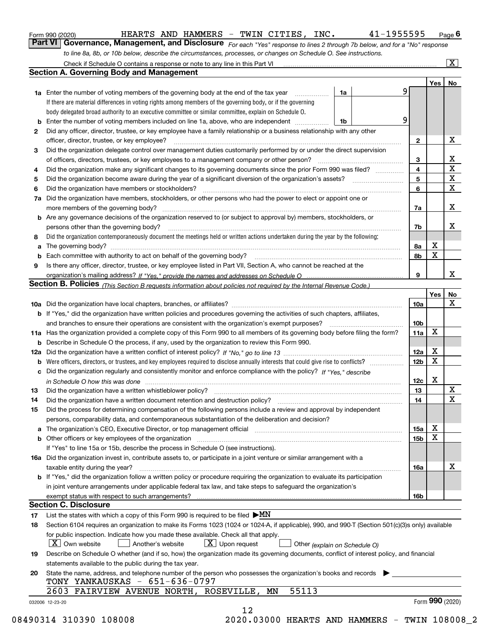|    | Check if Schedule O contains a response or note to any line in this Part VI                                                                                             |   |                 |                 | $\overline{\mathbf{X}}$ |
|----|-------------------------------------------------------------------------------------------------------------------------------------------------------------------------|---|-----------------|-----------------|-------------------------|
|    | <b>Section A. Governing Body and Management</b>                                                                                                                         |   |                 |                 |                         |
|    |                                                                                                                                                                         |   |                 | Yes             | No                      |
|    | <b>1a</b> Enter the number of voting members of the governing body at the end of the tax year<br>1a                                                                     | 9 |                 |                 |                         |
|    | If there are material differences in voting rights among members of the governing body, or if the governing                                                             |   |                 |                 |                         |
|    | body delegated broad authority to an executive committee or similar committee, explain on Schedule O.                                                                   |   |                 |                 |                         |
| b  | Enter the number of voting members included on line 1a, above, who are independent <i>manumum</i><br>1b                                                                 | 9 |                 |                 |                         |
| 2  | Did any officer, director, trustee, or key employee have a family relationship or a business relationship with any other                                                |   |                 |                 |                         |
|    | officer, director, trustee, or key employee?                                                                                                                            |   | $\mathbf{2}$    |                 | X                       |
| 3  | Did the organization delegate control over management duties customarily performed by or under the direct supervision                                                   |   |                 |                 |                         |
|    | of officers, directors, trustees, or key employees to a management company or other person?                                                                             |   | 3               |                 | х                       |
| 4  | Did the organization make any significant changes to its governing documents since the prior Form 990 was filed?                                                        |   | 4               |                 | $\mathbf X$             |
| 5  |                                                                                                                                                                         |   | 5               |                 | X                       |
| 6  | Did the organization have members or stockholders?                                                                                                                      |   | 6               |                 | $\mathbf X$             |
| 7a | Did the organization have members, stockholders, or other persons who had the power to elect or appoint one or                                                          |   |                 |                 |                         |
|    |                                                                                                                                                                         |   | 7a              |                 | х                       |
|    | <b>b</b> Are any governance decisions of the organization reserved to (or subject to approval by) members, stockholders, or                                             |   |                 |                 |                         |
|    | persons other than the governing body?                                                                                                                                  |   | 7b              |                 | x                       |
| 8  | Did the organization contemporaneously document the meetings held or written actions undertaken during the year by the following:                                       |   |                 |                 |                         |
|    |                                                                                                                                                                         |   |                 | X               |                         |
| a  | The governing body?                                                                                                                                                     |   | 8a              | $\mathbf X$     |                         |
| b  |                                                                                                                                                                         |   | 8b              |                 |                         |
| 9  | Is there any officer, director, trustee, or key employee listed in Part VII, Section A, who cannot be reached at the                                                    |   |                 |                 | х                       |
|    |                                                                                                                                                                         |   | 9               |                 |                         |
|    | Section B. Policies (This Section B requests information about policies not required by the Internal Revenue Code.)                                                     |   |                 |                 |                         |
|    |                                                                                                                                                                         |   |                 | Yes             | No                      |
|    |                                                                                                                                                                         |   | <b>10a</b>      |                 | X                       |
|    | <b>b</b> If "Yes," did the organization have written policies and procedures governing the activities of such chapters, affiliates,                                     |   |                 |                 |                         |
|    | and branches to ensure their operations are consistent with the organization's exempt purposes?                                                                         |   | 10b             |                 |                         |
|    | 11a Has the organization provided a complete copy of this Form 990 to all members of its governing body before filing the form?                                         |   | 11a             | X               |                         |
|    | <b>b</b> Describe in Schedule O the process, if any, used by the organization to review this Form 990.                                                                  |   |                 |                 |                         |
|    |                                                                                                                                                                         |   | 12a             | X               |                         |
| b  |                                                                                                                                                                         |   | 12 <sub>b</sub> | X               |                         |
| c  | Did the organization regularly and consistently monitor and enforce compliance with the policy? If "Yes." describe                                                      |   |                 |                 |                         |
|    | in Schedule O how this was done measured and contained a state of the state of the state of the state of the s                                                          |   | 12c             | X               |                         |
| 13 | Did the organization have a written whistleblower policy?                                                                                                               |   | 13              |                 | X                       |
| 14 |                                                                                                                                                                         |   | 14              |                 | $\mathbf X$             |
| 15 | Did the process for determining compensation of the following persons include a review and approval by independent                                                      |   |                 |                 |                         |
|    | persons, comparability data, and contemporaneous substantiation of the deliberation and decision?                                                                       |   |                 |                 |                         |
|    | a The organization's CEO, Executive Director, or top management official manufactured content of the organization's CEO, Executive Director, or top management official |   | 15a             | х               |                         |
|    |                                                                                                                                                                         |   | 15b             | X               |                         |
|    | If "Yes" to line 15a or 15b, describe the process in Schedule O (see instructions).                                                                                     |   |                 |                 |                         |
|    | 16a Did the organization invest in, contribute assets to, or participate in a joint venture or similar arrangement with a                                               |   |                 |                 |                         |
|    | taxable entity during the year?                                                                                                                                         |   | 16a             |                 | x                       |
|    | b If "Yes," did the organization follow a written policy or procedure requiring the organization to evaluate its participation                                          |   |                 |                 |                         |
|    | in joint venture arrangements under applicable federal tax law, and take steps to safeguard the organization's                                                          |   |                 |                 |                         |
|    | exempt status with respect to such arrangements?                                                                                                                        |   | 16b             |                 |                         |
|    | <b>Section C. Disclosure</b>                                                                                                                                            |   |                 |                 |                         |
|    |                                                                                                                                                                         |   |                 |                 |                         |
| 17 | List the states with which a copy of this Form 990 is required to be filed $\blacktriangleright MN$                                                                     |   |                 |                 |                         |
| 18 | Section 6104 requires an organization to make its Forms 1023 (1024 or 1024-A, if applicable), 990, and 990-T (Section 501(c)(3)s only) available                        |   |                 |                 |                         |
|    | for public inspection. Indicate how you made these available. Check all that apply.                                                                                     |   |                 |                 |                         |
|    | $X$ Own website<br>$X$ Upon request<br>Another's website<br>Other (explain on Schedule O)                                                                               |   |                 |                 |                         |
| 19 | Describe on Schedule O whether (and if so, how) the organization made its governing documents, conflict of interest policy, and financial                               |   |                 |                 |                         |
|    | statements available to the public during the tax year.                                                                                                                 |   |                 |                 |                         |
| 20 | State the name, address, and telephone number of the person who possesses the organization's books and records                                                          |   |                 |                 |                         |
|    | TONY YANKAUSKAS - 651-636-0797                                                                                                                                          |   |                 |                 |                         |
|    | 55113<br>2603 FAIRVIEW AVENUE NORTH, ROSEVILLE,<br>ΜN                                                                                                                   |   |                 |                 |                         |
|    | 032006 12-23-20                                                                                                                                                         |   |                 | Form 990 (2020) |                         |
|    | 12<br>2020 02000 UEADEC AND UAMERC - FUTN 10000                                                                                                                         |   |                 |                 |                         |

*to line 8a, 8b, or 10b below, describe the circumstances, processes, or changes on Schedule O. See instructions.*

Form 990 (2020) **Form 990 (2020)** HEARTS AND HAMMERS - TWIN CITIES, INC. 41-1955595 Page 6<br>**Part VI Governance, Management, and Disclosure** For each "Yes" response to lines 2 through 7b below, and for a "No" response

HEARTS AND HAMMERS - TWIN CITIES, INC. 41-1955595

08490314 310390 108008 2020.03000 HEARTS AND HAMMERS - TWIN 108008\_2

*For each "Yes" response to lines 2 through 7b below, and for a "No" response*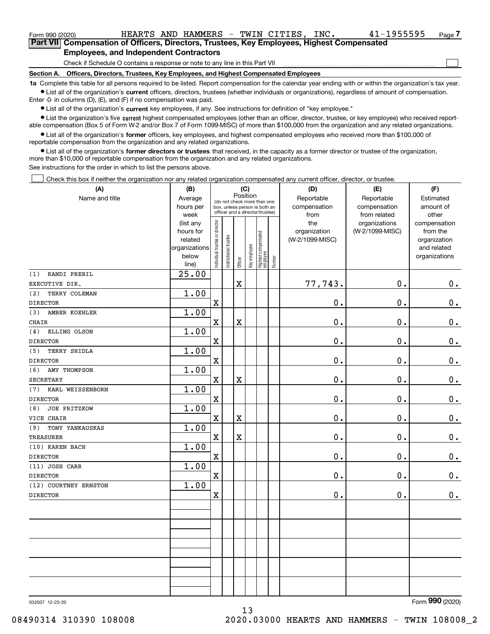| Form 990 (2020) |                                                                                                    |  |  |  | HEARTS AND HAMMERS - TWIN CITIES. | INC. | 41-1955595 | Page |  |  |
|-----------------|----------------------------------------------------------------------------------------------------|--|--|--|-----------------------------------|------|------------|------|--|--|
|                 | <b>Part VIII Compensation of Officers, Directors, Trustees, Key Employees, Highest Compensated</b> |  |  |  |                                   |      |            |      |  |  |
|                 | <b>Employees, and Independent Contractors</b>                                                      |  |  |  |                                   |      |            |      |  |  |
|                 | Check if Schedule O contains a response or note to any line in this Part VII                       |  |  |  |                                   |      |            |      |  |  |
|                 |                                                                                                    |  |  |  |                                   |      |            |      |  |  |

**Section A. Officers, Directors, Trustees, Key Employees, and Highest Compensated Employees**

**1a**  Complete this table for all persons required to be listed. Report compensation for the calendar year ending with or within the organization's tax year. **•** List all of the organization's current officers, directors, trustees (whether individuals or organizations), regardless of amount of compensation.

Enter -0- in columns (D), (E), and (F) if no compensation was paid.

 $\bullet$  List all of the organization's  $\,$ current key employees, if any. See instructions for definition of "key employee."

**•** List the organization's five current highest compensated employees (other than an officer, director, trustee, or key employee) who received reportable compensation (Box 5 of Form W-2 and/or Box 7 of Form 1099-MISC) of more than \$100,000 from the organization and any related organizations.

**•** List all of the organization's former officers, key employees, and highest compensated employees who received more than \$100,000 of reportable compensation from the organization and any related organizations.

**former directors or trustees**  ¥ List all of the organization's that received, in the capacity as a former director or trustee of the organization, more than \$10,000 of reportable compensation from the organization and any related organizations.

See instructions for the order in which to list the persons above.

Check this box if neither the organization nor any related organization compensated any current officer, director, or trustee.  $\mathcal{L}^{\text{max}}$ 

| (A)                        | (B)                                                                  |                                | (C)                                                                                                         |                         | (D)          | (E)                               | (F)                                |                                            |                                  |                                                                          |
|----------------------------|----------------------------------------------------------------------|--------------------------------|-------------------------------------------------------------------------------------------------------------|-------------------------|--------------|-----------------------------------|------------------------------------|--------------------------------------------|----------------------------------|--------------------------------------------------------------------------|
| Name and title             | Average<br>hours per<br>week                                         |                                | Position<br>(do not check more than one<br>box, unless person is both an<br>officer and a director/trustee) |                         |              |                                   | Reportable<br>compensation<br>from | Reportable<br>compensation<br>from related | Estimated<br>amount of<br>other  |                                                                          |
|                            | (list any<br>hours for<br>related<br>organizations<br>below<br>line) | Individual trustee or director | Institutional trustee                                                                                       | Officer                 | Key employee | Highest compensated<br>  employee | Former                             | the<br>organization<br>(W-2/1099-MISC)     | organizations<br>(W-2/1099-MISC) | compensation<br>from the<br>organization<br>and related<br>organizations |
| RANDI PREBIL<br>(1)        | $\overline{25.00}$                                                   |                                |                                                                                                             |                         |              |                                   |                                    |                                            |                                  |                                                                          |
| EXECUTIVE DIR.             |                                                                      |                                |                                                                                                             | $\mathbf X$             |              |                                   |                                    | 77,743.                                    | 0.                               | $0_{\cdot}$                                                              |
| (2)<br>TERRY COLEMAN       | 1.00                                                                 |                                |                                                                                                             |                         |              |                                   |                                    |                                            |                                  |                                                                          |
| <b>DIRECTOR</b>            |                                                                      | $\mathbf X$                    |                                                                                                             |                         |              |                                   |                                    | 0.                                         | 0.                               | $0_{.}$                                                                  |
| AMBER KOEHLER<br>(3)       | 1.00                                                                 |                                |                                                                                                             |                         |              |                                   |                                    |                                            |                                  |                                                                          |
| <b>CHAIR</b>               |                                                                      | $\mathbf X$                    |                                                                                                             | $\mathbf X$             |              |                                   |                                    | 0.                                         | 0.                               | 0.                                                                       |
| ELLING OLSON<br>(4)        | 1.00                                                                 |                                |                                                                                                             |                         |              |                                   |                                    |                                            |                                  |                                                                          |
| <b>DIRECTOR</b>            |                                                                      | $\mathbf X$                    |                                                                                                             |                         |              |                                   |                                    | 0.                                         | 0.                               | $0_{\cdot}$                                                              |
| <b>TERRY SHIDLA</b><br>(5) | 1.00                                                                 |                                |                                                                                                             |                         |              |                                   |                                    |                                            |                                  |                                                                          |
| <b>DIRECTOR</b>            |                                                                      | $\mathbf X$                    |                                                                                                             |                         |              |                                   |                                    | 0.                                         | 0.                               | 0.                                                                       |
| AMY THOMPSON<br>(6)        | 1.00                                                                 |                                |                                                                                                             |                         |              |                                   |                                    |                                            |                                  |                                                                          |
| <b>SECRETARY</b>           |                                                                      | $\mathbf X$                    |                                                                                                             | $\mathbf X$             |              |                                   |                                    | 0.                                         | 0.                               | $\mathbf 0$ .                                                            |
| KARL WEISSENBORN<br>(7)    | 1.00                                                                 |                                |                                                                                                             |                         |              |                                   |                                    |                                            |                                  |                                                                          |
| <b>DIRECTOR</b>            |                                                                      | $\mathbf X$                    |                                                                                                             |                         |              |                                   |                                    | 0.                                         | 0.                               | $0_{.}$                                                                  |
| <b>JOE PRITZKOW</b><br>(8) | 1.00                                                                 |                                |                                                                                                             |                         |              |                                   |                                    |                                            |                                  |                                                                          |
| VICE CHAIR                 |                                                                      | $\mathbf X$                    |                                                                                                             | $\overline{\textbf{X}}$ |              |                                   |                                    | $\mathbf 0$ .                              | 0.                               | $0_{\cdot}$                                                              |
| TONY YANKAUSKAS<br>(9)     | 1.00                                                                 |                                |                                                                                                             |                         |              |                                   |                                    |                                            |                                  |                                                                          |
| <b>TREASURER</b>           |                                                                      | $\mathbf X$                    |                                                                                                             | $\mathbf X$             |              |                                   |                                    | $\mathbf 0$ .                              | 0.                               | $0_{.}$                                                                  |
| (10) KAREN BACH            | 1.00                                                                 |                                |                                                                                                             |                         |              |                                   |                                    |                                            |                                  |                                                                          |
| <b>DIRECTOR</b>            |                                                                      | $\mathbf x$                    |                                                                                                             |                         |              |                                   |                                    | $\mathbf 0$ .                              | 0.                               | $0_{.}$                                                                  |
| (11) JOSH CARR             | 1.00                                                                 |                                |                                                                                                             |                         |              |                                   |                                    |                                            |                                  |                                                                          |
| <b>DIRECTOR</b>            |                                                                      | $\mathbf X$                    |                                                                                                             |                         |              |                                   |                                    | 0.                                         | 0.                               | $0_{.}$                                                                  |
| (12) COURTNEY ERNSTON      | 1.00                                                                 |                                |                                                                                                             |                         |              |                                   |                                    |                                            |                                  |                                                                          |
| <b>DIRECTOR</b>            |                                                                      | $\mathbf x$                    |                                                                                                             |                         |              |                                   |                                    | 0.                                         | 0.                               | 0.                                                                       |
|                            |                                                                      |                                |                                                                                                             |                         |              |                                   |                                    |                                            |                                  |                                                                          |
|                            |                                                                      |                                |                                                                                                             |                         |              |                                   |                                    |                                            |                                  |                                                                          |
|                            |                                                                      |                                |                                                                                                             |                         |              |                                   |                                    |                                            |                                  |                                                                          |
|                            |                                                                      |                                |                                                                                                             |                         |              |                                   |                                    |                                            |                                  |                                                                          |
|                            |                                                                      |                                |                                                                                                             |                         |              |                                   |                                    |                                            |                                  |                                                                          |
|                            |                                                                      |                                |                                                                                                             |                         |              |                                   |                                    |                                            |                                  |                                                                          |
|                            |                                                                      |                                |                                                                                                             |                         |              |                                   |                                    |                                            |                                  |                                                                          |
|                            |                                                                      |                                |                                                                                                             |                         |              |                                   |                                    |                                            |                                  |                                                                          |

13

032007 12-23-20

Form (2020) **990**

08490314 310390 108008 2020.03000 HEARTS AND HAMMERS - TWIN 108008\_2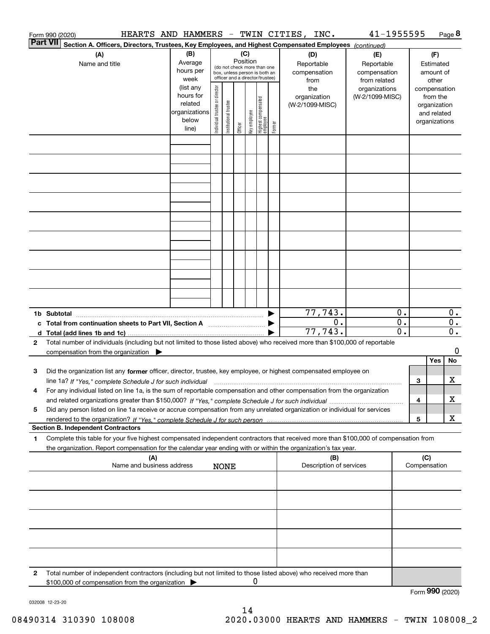|                 | Form 990 (2020)                                                                                                                                                                                                                                        |                                                                                                      |                                |                       |                                                                                                                                                                                                                                    |              |                                  |        | HEARTS AND HAMMERS - TWIN CITIES, INC.                                       | 41-1955595                                                                     |                     |                         |                                                                                                             | Page 8           |
|-----------------|--------------------------------------------------------------------------------------------------------------------------------------------------------------------------------------------------------------------------------------------------------|------------------------------------------------------------------------------------------------------|--------------------------------|-----------------------|------------------------------------------------------------------------------------------------------------------------------------------------------------------------------------------------------------------------------------|--------------|----------------------------------|--------|------------------------------------------------------------------------------|--------------------------------------------------------------------------------|---------------------|-------------------------|-------------------------------------------------------------------------------------------------------------|------------------|
| <b>Part VII</b> | Section A. Officers, Directors, Trustees, Key Employees, and Highest Compensated Employees (continued)<br>(A)                                                                                                                                          | (B)                                                                                                  |                                |                       | (C)                                                                                                                                                                                                                                |              |                                  |        | (D)                                                                          | (E)                                                                            |                     |                         | (F)                                                                                                         |                  |
|                 | Name and title                                                                                                                                                                                                                                         | Average<br>hours per<br>week<br>(list any<br>hours for<br>related<br>organizations<br>below<br>line) | Individual trustee or director | Institutional trustee | Position<br>(do not check more than one<br>box, unless person is both an<br>officer and a director/trustee)<br>Officer                                                                                                             | Key employee | Highest compensated<br> employee | Former | Reportable<br>compensation<br>from<br>the<br>organization<br>(W-2/1099-MISC) | Reportable<br>compensation<br>from related<br>organizations<br>(W-2/1099-MISC) |                     |                         | Estimated<br>amount of<br>other<br>compensation<br>from the<br>organization<br>and related<br>organizations |                  |
|                 |                                                                                                                                                                                                                                                        |                                                                                                      |                                |                       |                                                                                                                                                                                                                                    |              |                                  |        |                                                                              |                                                                                |                     |                         |                                                                                                             |                  |
|                 |                                                                                                                                                                                                                                                        |                                                                                                      |                                |                       |                                                                                                                                                                                                                                    |              |                                  |        |                                                                              |                                                                                |                     |                         |                                                                                                             |                  |
|                 |                                                                                                                                                                                                                                                        |                                                                                                      |                                |                       |                                                                                                                                                                                                                                    |              |                                  |        |                                                                              |                                                                                |                     |                         |                                                                                                             |                  |
|                 |                                                                                                                                                                                                                                                        |                                                                                                      |                                |                       |                                                                                                                                                                                                                                    |              |                                  |        |                                                                              |                                                                                |                     |                         |                                                                                                             |                  |
|                 |                                                                                                                                                                                                                                                        |                                                                                                      |                                |                       |                                                                                                                                                                                                                                    |              |                                  |        |                                                                              |                                                                                |                     |                         |                                                                                                             |                  |
|                 |                                                                                                                                                                                                                                                        |                                                                                                      |                                |                       |                                                                                                                                                                                                                                    |              |                                  |        |                                                                              |                                                                                |                     |                         |                                                                                                             |                  |
|                 |                                                                                                                                                                                                                                                        |                                                                                                      |                                |                       |                                                                                                                                                                                                                                    |              |                                  |        |                                                                              |                                                                                |                     |                         |                                                                                                             |                  |
|                 |                                                                                                                                                                                                                                                        |                                                                                                      |                                |                       |                                                                                                                                                                                                                                    |              |                                  |        |                                                                              |                                                                                |                     |                         |                                                                                                             |                  |
|                 |                                                                                                                                                                                                                                                        |                                                                                                      |                                |                       |                                                                                                                                                                                                                                    |              |                                  |        |                                                                              |                                                                                |                     |                         |                                                                                                             |                  |
|                 | 1b Subtotal<br>c Total from continuation sheets to Part VII, Section A                                                                                                                                                                                 |                                                                                                      |                                |                       | <u>experience</u> and the state of the state of the state of the state of the state of the state of the state of the state of the state of the state of the state of the state of the state of the state of the state of the state |              |                                  |        | 77,743.<br>0.                                                                |                                                                                | 0.<br>$\mathbf 0$ . |                         |                                                                                                             | 0.<br>$0$ .      |
| $\mathbf{2}$    | Total number of individuals (including but not limited to those listed above) who received more than \$100,000 of reportable                                                                                                                           |                                                                                                      |                                |                       |                                                                                                                                                                                                                                    |              |                                  |        | 77,743.                                                                      |                                                                                | $\overline{0}$ .    |                         |                                                                                                             | $\overline{0}$ . |
|                 | compensation from the organization                                                                                                                                                                                                                     |                                                                                                      |                                |                       |                                                                                                                                                                                                                                    |              |                                  |        |                                                                              |                                                                                |                     |                         | Yes                                                                                                         | 0<br>No          |
| 3               | Did the organization list any former officer, director, trustee, key employee, or highest compensated employee on                                                                                                                                      |                                                                                                      |                                |                       |                                                                                                                                                                                                                                    |              |                                  |        |                                                                              |                                                                                |                     | 3                       |                                                                                                             | х                |
| 4               | For any individual listed on line 1a, is the sum of reportable compensation and other compensation from the organization                                                                                                                               |                                                                                                      |                                |                       |                                                                                                                                                                                                                                    |              |                                  |        |                                                                              |                                                                                |                     | 4                       |                                                                                                             | х                |
| 5               | Did any person listed on line 1a receive or accrue compensation from any unrelated organization or individual for services                                                                                                                             |                                                                                                      |                                |                       |                                                                                                                                                                                                                                    |              |                                  |        |                                                                              |                                                                                |                     | $\overline{\mathbf{5}}$ |                                                                                                             | x                |
|                 | <b>Section B. Independent Contractors</b>                                                                                                                                                                                                              |                                                                                                      |                                |                       |                                                                                                                                                                                                                                    |              |                                  |        |                                                                              |                                                                                |                     |                         |                                                                                                             |                  |
| 1               | Complete this table for your five highest compensated independent contractors that received more than \$100,000 of compensation from<br>the organization. Report compensation for the calendar year ending with or within the organization's tax year. |                                                                                                      |                                |                       |                                                                                                                                                                                                                                    |              |                                  |        |                                                                              |                                                                                |                     |                         |                                                                                                             |                  |
|                 | (A)<br>Name and business address                                                                                                                                                                                                                       |                                                                                                      |                                | <b>NONE</b>           |                                                                                                                                                                                                                                    |              |                                  |        | (B)<br>Description of services                                               |                                                                                |                     | (C)                     | Compensation                                                                                                |                  |
|                 |                                                                                                                                                                                                                                                        |                                                                                                      |                                |                       |                                                                                                                                                                                                                                    |              |                                  |        |                                                                              |                                                                                |                     |                         |                                                                                                             |                  |
|                 |                                                                                                                                                                                                                                                        |                                                                                                      |                                |                       |                                                                                                                                                                                                                                    |              |                                  |        |                                                                              |                                                                                |                     |                         |                                                                                                             |                  |
|                 |                                                                                                                                                                                                                                                        |                                                                                                      |                                |                       |                                                                                                                                                                                                                                    |              |                                  |        |                                                                              |                                                                                |                     |                         |                                                                                                             |                  |
|                 |                                                                                                                                                                                                                                                        |                                                                                                      |                                |                       |                                                                                                                                                                                                                                    |              |                                  |        |                                                                              |                                                                                |                     |                         |                                                                                                             |                  |
|                 |                                                                                                                                                                                                                                                        |                                                                                                      |                                |                       |                                                                                                                                                                                                                                    |              |                                  |        |                                                                              |                                                                                |                     |                         |                                                                                                             |                  |
| 2               | Total number of independent contractors (including but not limited to those listed above) who received more than<br>\$100,000 of compensation from the organization                                                                                    |                                                                                                      |                                |                       |                                                                                                                                                                                                                                    | Ü            |                                  |        |                                                                              |                                                                                |                     |                         | Form 990 (2020)                                                                                             |                  |

032008 12-23-20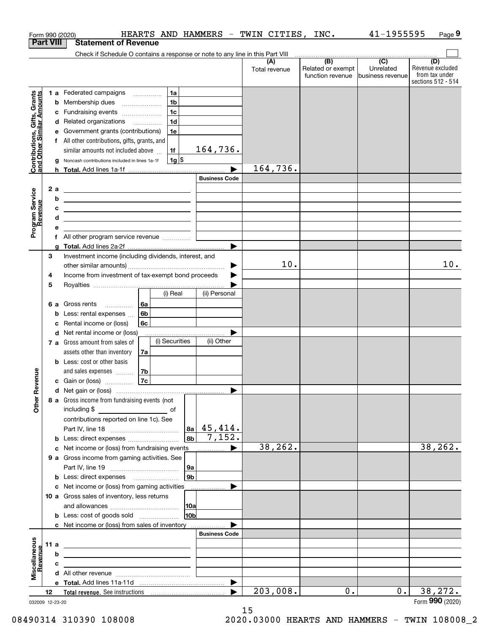|                                                           |      |    | HEARTS AND HAMMERS - TWIN CITIES,<br>Form 990 (2020)                                                                  |                       |                      | INC.                                         | 41-1955595                                      | Page 9                                                          |
|-----------------------------------------------------------|------|----|-----------------------------------------------------------------------------------------------------------------------|-----------------------|----------------------|----------------------------------------------|-------------------------------------------------|-----------------------------------------------------------------|
| <b>Part VIII</b>                                          |      |    | <b>Statement of Revenue</b>                                                                                           |                       |                      |                                              |                                                 |                                                                 |
|                                                           |      |    | Check if Schedule O contains a response or note to any line in this Part VIII                                         |                       |                      |                                              |                                                 |                                                                 |
|                                                           |      |    |                                                                                                                       |                       | (A)<br>Total revenue | (B)<br>Related or exempt<br>function revenue | $\overline{C}$<br>Unrelated<br>business revenue | (D)<br>Revenue excluded<br>from tax under<br>sections 512 - 514 |
|                                                           |      |    | 1 a Federated campaigns<br>1a                                                                                         |                       |                      |                                              |                                                 |                                                                 |
| Contributions, Gifts, Grants<br>and Other Similar Amounts |      |    | 1 <sub>b</sub><br><b>b</b> Membership dues                                                                            |                       |                      |                                              |                                                 |                                                                 |
|                                                           |      |    | 1c<br>c Fundraising events                                                                                            |                       |                      |                                              |                                                 |                                                                 |
|                                                           |      |    | 1 <sub>d</sub><br>d Related organizations                                                                             |                       |                      |                                              |                                                 |                                                                 |
|                                                           |      |    | e Government grants (contributions)<br>1e                                                                             |                       |                      |                                              |                                                 |                                                                 |
|                                                           |      |    | f All other contributions, gifts, grants, and                                                                         |                       |                      |                                              |                                                 |                                                                 |
|                                                           |      |    | similar amounts not included above<br>1f                                                                              | 164,736.              |                      |                                              |                                                 |                                                                 |
|                                                           |      |    | $1g$ \$<br>g Noncash contributions included in lines 1a-1f                                                            |                       |                      |                                              |                                                 |                                                                 |
|                                                           |      |    |                                                                                                                       |                       | 164,736.             |                                              |                                                 |                                                                 |
|                                                           |      |    |                                                                                                                       | <b>Business Code</b>  |                      |                                              |                                                 |                                                                 |
|                                                           |      | 2a | <u> 1989 - Johann Stein, marwolaethau a bhann an t-Amhair an t-Amhair an t-Amhair an t-Amhair an t-Amhair an t-A</u>  |                       |                      |                                              |                                                 |                                                                 |
|                                                           |      | b  | <u> 1989 - Johann Stein, marwolaethau a bhann an t-Amhainn an t-Amhainn an t-Amhainn an t-Amhainn an t-Amhainn an</u> |                       |                      |                                              |                                                 |                                                                 |
|                                                           |      | с  | <u> 1989 - Johann Barn, amerikansk politiker (</u>                                                                    |                       |                      |                                              |                                                 |                                                                 |
|                                                           |      | d  | the control of the control of the control of the control of the control of the control of                             |                       |                      |                                              |                                                 |                                                                 |
| Program Service<br>Revenue                                |      | е  |                                                                                                                       |                       |                      |                                              |                                                 |                                                                 |
|                                                           |      |    | f All other program service revenue                                                                                   |                       |                      |                                              |                                                 |                                                                 |
|                                                           |      | a  |                                                                                                                       |                       |                      |                                              |                                                 |                                                                 |
|                                                           | 3    |    | Investment income (including dividends, interest, and                                                                 |                       |                      |                                              |                                                 |                                                                 |
|                                                           |      |    |                                                                                                                       | ▶                     | 10.                  |                                              |                                                 | 10.                                                             |
|                                                           | 4    |    | Income from investment of tax-exempt bond proceeds                                                                    |                       |                      |                                              |                                                 |                                                                 |
|                                                           | 5    |    |                                                                                                                       |                       |                      |                                              |                                                 |                                                                 |
|                                                           |      |    | (i) Real                                                                                                              | (ii) Personal         |                      |                                              |                                                 |                                                                 |
|                                                           |      |    | 6 a Gross rents<br>l 6a                                                                                               |                       |                      |                                              |                                                 |                                                                 |
|                                                           |      |    | 6 <sub>b</sub><br><b>b</b> Less: rental expenses                                                                      |                       |                      |                                              |                                                 |                                                                 |
|                                                           |      |    | c Rental income or (loss)<br>6c                                                                                       |                       |                      |                                              |                                                 |                                                                 |
|                                                           |      |    | d Net rental income or (loss)                                                                                         |                       |                      |                                              |                                                 |                                                                 |
|                                                           |      |    | (i) Securities<br>7 a Gross amount from sales of                                                                      | (ii) Other            |                      |                                              |                                                 |                                                                 |
|                                                           |      |    | assets other than inventory<br>7a                                                                                     |                       |                      |                                              |                                                 |                                                                 |
|                                                           |      |    | <b>b</b> Less: cost or other basis                                                                                    |                       |                      |                                              |                                                 |                                                                 |
| evenue                                                    |      |    | 7b<br>and sales expenses                                                                                              |                       |                      |                                              |                                                 |                                                                 |
|                                                           |      |    | 7c<br>c Gain or (loss)                                                                                                |                       |                      |                                              |                                                 |                                                                 |
| Œ<br>Other                                                |      |    | 8 a Gross income from fundraising events (not                                                                         |                       |                      |                                              |                                                 |                                                                 |
|                                                           |      |    | including \$<br><u>______________________</u> of                                                                      |                       |                      |                                              |                                                 |                                                                 |
|                                                           |      |    | contributions reported on line 1c). See                                                                               |                       |                      |                                              |                                                 |                                                                 |
|                                                           |      |    |                                                                                                                       | $ a_1 $ 45,414.       |                      |                                              |                                                 |                                                                 |
|                                                           |      |    | l 8b l<br><b>b</b> Less: direct expenses                                                                              | 7,152.                |                      |                                              |                                                 |                                                                 |
|                                                           |      |    | c Net income or (loss) from fundraising events                                                                        | ▶                     | 38,262.              |                                              |                                                 | 38,262.                                                         |
|                                                           |      |    | 9 a Gross income from gaming activities. See                                                                          |                       |                      |                                              |                                                 |                                                                 |
|                                                           |      |    | 9a<br>l 9b                                                                                                            |                       |                      |                                              |                                                 |                                                                 |
|                                                           |      |    | <b>b</b> Less: direct expenses <b>manually</b>                                                                        | ▶                     |                      |                                              |                                                 |                                                                 |
|                                                           |      |    | c Net income or (loss) from gaming activities<br>10 a Gross sales of inventory, less returns                          | .                     |                      |                                              |                                                 |                                                                 |
|                                                           |      |    | 10a                                                                                                                   |                       |                      |                                              |                                                 |                                                                 |
|                                                           |      |    | 10b<br><b>b</b> Less: cost of goods sold                                                                              |                       |                      |                                              |                                                 |                                                                 |
|                                                           |      |    | c Net income or (loss) from sales of inventory                                                                        |                       |                      |                                              |                                                 |                                                                 |
|                                                           |      |    |                                                                                                                       | <b>Business Code</b>  |                      |                                              |                                                 |                                                                 |
|                                                           | 11 a |    | <u> 1989 - Johann Stoff, amerikansk politiker (</u>                                                                   |                       |                      |                                              |                                                 |                                                                 |
|                                                           |      | b  | <u> 2000 - Jan James James Barnett, amerikansk politik (</u>                                                          |                       |                      |                                              |                                                 |                                                                 |
|                                                           |      | c  | the control of the control of the control of the control of the control of the control of                             |                       |                      |                                              |                                                 |                                                                 |
| Miscellaneous<br>Revenue                                  |      |    |                                                                                                                       |                       |                      |                                              |                                                 |                                                                 |
|                                                           |      |    |                                                                                                                       | $\blacktriangleright$ |                      |                                              |                                                 |                                                                 |
|                                                           | 12   |    |                                                                                                                       | ▶                     | 203,008.             | 0.                                           | $0$ .                                           | 38,272.                                                         |
| 032009 12-23-20                                           |      |    |                                                                                                                       |                       |                      |                                              |                                                 | Form 990 (2020)                                                 |

032009 12-23-20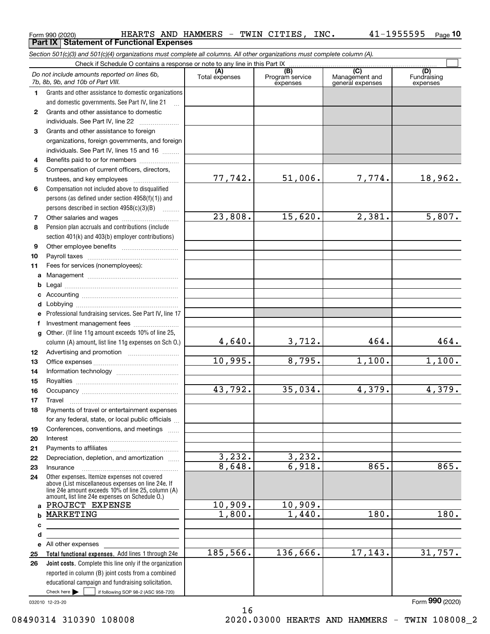|              | <b>Part IX   Statement of Functional Expenses</b>                                                                                                                                                                                    |                       |                                    |                                           |                                |  |  |  |  |  |  |
|--------------|--------------------------------------------------------------------------------------------------------------------------------------------------------------------------------------------------------------------------------------|-----------------------|------------------------------------|-------------------------------------------|--------------------------------|--|--|--|--|--|--|
|              | Section 501(c)(3) and 501(c)(4) organizations must complete all columns. All other organizations must complete column (A).                                                                                                           |                       |                                    |                                           |                                |  |  |  |  |  |  |
|              | Check if Schedule O contains a response or note to any line in this Part IX                                                                                                                                                          |                       |                                    |                                           |                                |  |  |  |  |  |  |
|              | Do not include amounts reported on lines 6b,<br>7b, 8b, 9b, and 10b of Part VIII.                                                                                                                                                    | (A)<br>Total expenses | (B)<br>Program service<br>expenses | (C)<br>Management and<br>general expenses | (D)<br>Fundraising<br>expenses |  |  |  |  |  |  |
| 1            | Grants and other assistance to domestic organizations                                                                                                                                                                                |                       |                                    |                                           |                                |  |  |  |  |  |  |
|              | and domestic governments. See Part IV, line 21                                                                                                                                                                                       |                       |                                    |                                           |                                |  |  |  |  |  |  |
| $\mathbf{2}$ | Grants and other assistance to domestic                                                                                                                                                                                              |                       |                                    |                                           |                                |  |  |  |  |  |  |
|              | individuals. See Part IV, line 22                                                                                                                                                                                                    |                       |                                    |                                           |                                |  |  |  |  |  |  |
| 3            | Grants and other assistance to foreign                                                                                                                                                                                               |                       |                                    |                                           |                                |  |  |  |  |  |  |
|              | organizations, foreign governments, and foreign                                                                                                                                                                                      |                       |                                    |                                           |                                |  |  |  |  |  |  |
|              | individuals. See Part IV, lines 15 and 16                                                                                                                                                                                            |                       |                                    |                                           |                                |  |  |  |  |  |  |
| 4            | Benefits paid to or for members                                                                                                                                                                                                      |                       |                                    |                                           |                                |  |  |  |  |  |  |
| 5            | Compensation of current officers, directors,                                                                                                                                                                                         |                       |                                    |                                           |                                |  |  |  |  |  |  |
|              |                                                                                                                                                                                                                                      | 77,742.               | 51,006.                            | 7,774.                                    | 18,962.                        |  |  |  |  |  |  |
| 6            | Compensation not included above to disqualified                                                                                                                                                                                      |                       |                                    |                                           |                                |  |  |  |  |  |  |
|              | persons (as defined under section $4958(f)(1)$ ) and                                                                                                                                                                                 |                       |                                    |                                           |                                |  |  |  |  |  |  |
| 7            | persons described in section $4958(c)(3)(B)$                                                                                                                                                                                         | 23,808.               | 15,620.                            | 2,381.                                    | 5,807.                         |  |  |  |  |  |  |
| 8            | Pension plan accruals and contributions (include                                                                                                                                                                                     |                       |                                    |                                           |                                |  |  |  |  |  |  |
|              | section 401(k) and 403(b) employer contributions)                                                                                                                                                                                    |                       |                                    |                                           |                                |  |  |  |  |  |  |
| 9            |                                                                                                                                                                                                                                      |                       |                                    |                                           |                                |  |  |  |  |  |  |
| 10           |                                                                                                                                                                                                                                      |                       |                                    |                                           |                                |  |  |  |  |  |  |
| 11           | Fees for services (nonemployees):                                                                                                                                                                                                    |                       |                                    |                                           |                                |  |  |  |  |  |  |
| a            |                                                                                                                                                                                                                                      |                       |                                    |                                           |                                |  |  |  |  |  |  |
| b            |                                                                                                                                                                                                                                      |                       |                                    |                                           |                                |  |  |  |  |  |  |
| c            |                                                                                                                                                                                                                                      |                       |                                    |                                           |                                |  |  |  |  |  |  |
| d            |                                                                                                                                                                                                                                      |                       |                                    |                                           |                                |  |  |  |  |  |  |
| е            | Professional fundraising services. See Part IV, line 17                                                                                                                                                                              |                       |                                    |                                           |                                |  |  |  |  |  |  |
| f            | Investment management fees                                                                                                                                                                                                           |                       |                                    |                                           |                                |  |  |  |  |  |  |
|              | g Other. (If line 11g amount exceeds 10% of line 25,                                                                                                                                                                                 |                       |                                    |                                           |                                |  |  |  |  |  |  |
|              | column (A) amount, list line 11g expenses on Sch 0.)                                                                                                                                                                                 | 4,640.                | 3,712.                             | 464.                                      | 464.                           |  |  |  |  |  |  |
| 12           |                                                                                                                                                                                                                                      |                       |                                    |                                           |                                |  |  |  |  |  |  |
| 13           |                                                                                                                                                                                                                                      | 10,995.               | 8,795.                             | 1,100.                                    | 1,100.                         |  |  |  |  |  |  |
| 14           |                                                                                                                                                                                                                                      |                       |                                    |                                           |                                |  |  |  |  |  |  |
| 15           |                                                                                                                                                                                                                                      |                       |                                    |                                           |                                |  |  |  |  |  |  |
| 16           |                                                                                                                                                                                                                                      | 43,792.               | 35,034.                            | 4,379.                                    | 4,379.                         |  |  |  |  |  |  |
| 17           | Travel                                                                                                                                                                                                                               |                       |                                    |                                           |                                |  |  |  |  |  |  |
| 18           | Payments of travel or entertainment expenses                                                                                                                                                                                         |                       |                                    |                                           |                                |  |  |  |  |  |  |
|              | for any federal, state, or local public officials<br>Conferences, conventions, and meetings                                                                                                                                          |                       |                                    |                                           |                                |  |  |  |  |  |  |
| 19<br>20     | Interest                                                                                                                                                                                                                             |                       |                                    |                                           |                                |  |  |  |  |  |  |
| 21           |                                                                                                                                                                                                                                      |                       |                                    |                                           |                                |  |  |  |  |  |  |
| 22           | Depreciation, depletion, and amortization                                                                                                                                                                                            | 3,232.                | 3,232.                             |                                           |                                |  |  |  |  |  |  |
| 23           |                                                                                                                                                                                                                                      | 8,648.                | 6,918.                             | 865.                                      | 865.                           |  |  |  |  |  |  |
| 24           | Other expenses. Itemize expenses not covered                                                                                                                                                                                         |                       |                                    |                                           |                                |  |  |  |  |  |  |
|              | above (List miscellaneous expenses on line 24e. If<br>line 24e amount exceeds 10% of line 25, column (A)                                                                                                                             |                       |                                    |                                           |                                |  |  |  |  |  |  |
|              | amount, list line 24e expenses on Schedule O.)                                                                                                                                                                                       |                       |                                    |                                           |                                |  |  |  |  |  |  |
| a            | PROJECT EXPENSE                                                                                                                                                                                                                      | 10,909.               | 10,909.                            |                                           |                                |  |  |  |  |  |  |
|              | MARKETING                                                                                                                                                                                                                            | 1,800.                | 1,440.                             | 180.                                      | 180.                           |  |  |  |  |  |  |
| с            | <u>and the state of the state of the state of the state of the state of the state of the state of the state of the state of the state of the state of the state of the state of the state of the state of the state of the state</u> |                       |                                    |                                           |                                |  |  |  |  |  |  |
| d            |                                                                                                                                                                                                                                      |                       |                                    |                                           |                                |  |  |  |  |  |  |
|              | e All other expenses and the All other expenses                                                                                                                                                                                      |                       |                                    |                                           |                                |  |  |  |  |  |  |
| 25           | Total functional expenses. Add lines 1 through 24e                                                                                                                                                                                   | 185,566.              | 136,666.                           | 17, 143.                                  | 31,757.                        |  |  |  |  |  |  |
| 26           | Joint costs. Complete this line only if the organization                                                                                                                                                                             |                       |                                    |                                           |                                |  |  |  |  |  |  |
|              | reported in column (B) joint costs from a combined                                                                                                                                                                                   |                       |                                    |                                           |                                |  |  |  |  |  |  |
|              | educational campaign and fundraising solicitation.                                                                                                                                                                                   |                       |                                    |                                           |                                |  |  |  |  |  |  |
|              | Check here $\blacktriangleright$<br>if following SOP 98-2 (ASC 958-720)                                                                                                                                                              |                       |                                    |                                           |                                |  |  |  |  |  |  |

16

<code>Form</code> 990 (2020) HEARTS AND HAMMERS - TWIN CITIES, INC.  $41\text{--}1955595$  <code>Page</code>

032010 12-23-20

Form (2020) **990**

**10**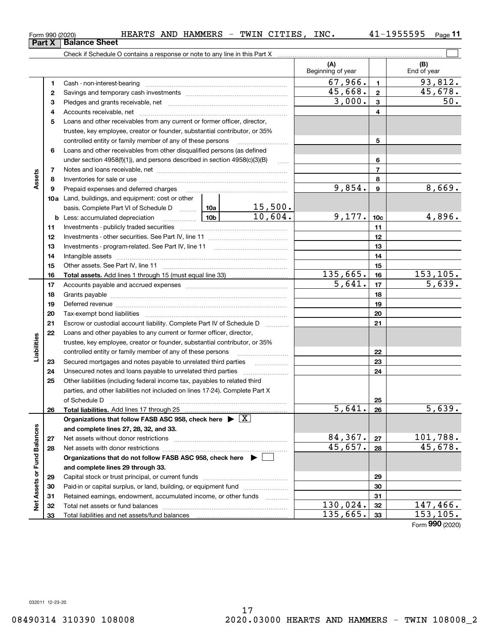17 08490314 310390 108008 2020.03000 HEARTS AND HAMMERS - TWIN 108008\_2

 $130,024.$   $32$  147,466.  $135,665.$   $33$  153,105.

Form (2020) **990**

|                             | 4   |                                                                                            |        |          |          | 4               |                    |
|-----------------------------|-----|--------------------------------------------------------------------------------------------|--------|----------|----------|-----------------|--------------------|
|                             | 5   | Loans and other receivables from any current or former officer, director,                  |        |          |          |                 |                    |
|                             |     | trustee, key employee, creator or founder, substantial contributor, or 35%                 |        |          |          |                 |                    |
|                             |     | controlled entity or family member of any of these persons                                 |        |          |          | 5               |                    |
|                             | 6   | Loans and other receivables from other disqualified persons (as defined                    |        |          |          |                 |                    |
|                             |     | under section $4958(f)(1)$ , and persons described in section $4958(c)(3)(B)$              | $\sim$ |          | 6        |                 |                    |
|                             | 7   |                                                                                            |        |          |          | $\overline{7}$  |                    |
| Assets                      | 8   |                                                                                            |        |          |          | 8               |                    |
|                             | 9   | Prepaid expenses and deferred charges                                                      |        |          | 9,854.   | 9               | 8,669.             |
|                             | 10a | Land, buildings, and equipment: cost or other                                              |        |          |          |                 |                    |
|                             |     | basis. Complete Part VI of Schedule D  10a                                                 |        | 15,500.  |          |                 |                    |
|                             |     | $\frac{10b}{2}$<br><b>b</b> Less: accumulated depreciation                                 |        | 10,604.  | 9,177.   | 10 <sub>c</sub> | 4,896.             |
|                             | 11  |                                                                                            |        |          |          | 11              |                    |
|                             | 12  |                                                                                            |        |          |          | 12              |                    |
|                             | 13  |                                                                                            |        |          |          | 13              |                    |
|                             | 14  |                                                                                            |        |          | 14       |                 |                    |
|                             | 15  |                                                                                            |        |          | 15       |                 |                    |
|                             | 16  |                                                                                            |        |          | 135,665. | 16              | 153,105.           |
|                             | 17  |                                                                                            |        |          | 5,641.   | 17              | 5,639.             |
|                             | 18  |                                                                                            |        |          |          | 18              |                    |
|                             | 19  |                                                                                            |        |          |          | 19              |                    |
|                             | 20  |                                                                                            |        |          |          | 20              |                    |
|                             | 21  | Escrow or custodial account liability. Complete Part IV of Schedule D                      |        | 21       |          |                 |                    |
|                             | 22  | Loans and other payables to any current or former officer, director,                       |        |          |          |                 |                    |
|                             |     | trustee, key employee, creator or founder, substantial contributor, or 35%                 |        |          |          |                 |                    |
| Liabilities                 |     | controlled entity or family member of any of these persons                                 |        |          | 22       |                 |                    |
|                             | 23  | Secured mortgages and notes payable to unrelated third parties                             |        |          |          | 23              |                    |
|                             | 24  |                                                                                            |        |          |          | 24              |                    |
|                             | 25  | Other liabilities (including federal income tax, payables to related third                 |        |          |          |                 |                    |
|                             |     | parties, and other liabilities not included on lines 17-24). Complete Part X               |        |          |          |                 |                    |
|                             |     | of Schedule D                                                                              |        |          |          | 25              |                    |
|                             | 26  | Total liabilities. Add lines 17 through 25                                                 |        |          | 5,641.   | 26              | $\overline{5,639}$ |
|                             |     | Organizations that follow FASB ASC 958, check here $\blacktriangleright \lfloor X \rfloor$ |        |          |          |                 |                    |
|                             |     | and complete lines 27, 28, 32, and 33.                                                     |        |          |          |                 |                    |
|                             | 27  |                                                                                            |        |          | 84,367.  | 27              | 101,788.           |
|                             | 28  |                                                                                            |        |          | 45,657.  | 28              | 45,678.            |
|                             |     | Organizations that do not follow FASB ASC 958, check here $\blacktriangleright \lfloor$    |        |          |          |                 |                    |
|                             |     | and complete lines 29 through 33.                                                          |        |          |          |                 |                    |
|                             | 29  |                                                                                            |        |          | 29       |                 |                    |
|                             | 30  | Paid-in or capital surplus, or land, building, or equipment fund <i>www.www.www.</i>       |        |          | 30       |                 |                    |
| Net Assets or Fund Balances | 31  | Retained earnings, endowment, accumulated income, or other funds                           |        |          | 31       |                 |                    |
|                             | 32  |                                                                                            |        | 130,024. | 32       | 147,466.        |                    |

<code>Form</code> 990 (2020) HEARTS AND HAMMERS - TWIN CITIES, INC.  $41\text{--}1955595$  <code>Page</code>

Check if Schedule O contains a response or note to any line in this Part X

Cash - non-interest-bearing ~~~~~~~~~~~~~~~~~~~~~~~~~ Savings and temporary cash investments ~~~~~~~~~~~~~~~~~~ Pledges and grants receivable, net ~~~~~~~~~~~~~~~~~~~~~

Total net assets or fund balances ~~~~~~~~~~~~~~~~~~~~~~

Total liabilities and net assets/fund balances

**11**

 $\mathcal{L}^{\text{max}}$ 

**(A) (B)**

Beginning of year | | End of year

**123**

 $67,966.$  1 93,812.

45,668. 45,678.

 $3,000.$   $3$  50.

**Part X** | Balance Sheet

**123**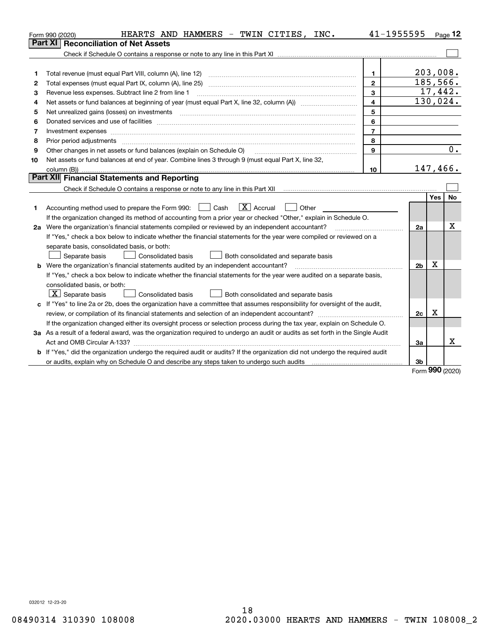|                                                                                                                           | HEARTS AND HAMMERS - TWIN CITIES, INC.<br>Form 990 (2020)                                                                       | 41-1955595              |                |     | $_{\text{Page}}$ 12 |  |  |
|---------------------------------------------------------------------------------------------------------------------------|---------------------------------------------------------------------------------------------------------------------------------|-------------------------|----------------|-----|---------------------|--|--|
|                                                                                                                           | <b>Reconciliation of Net Assets</b><br>Part XI                                                                                  |                         |                |     |                     |  |  |
|                                                                                                                           |                                                                                                                                 |                         |                |     |                     |  |  |
|                                                                                                                           |                                                                                                                                 |                         |                |     |                     |  |  |
| 1                                                                                                                         | Total revenue (must equal Part VIII, column (A), line 12)                                                                       | 1.                      |                |     | 203,008.            |  |  |
| 2                                                                                                                         | Total expenses (must equal Part IX, column (A), line 25) maturing content content content content content conte                 | $\overline{2}$          |                |     | 185, 566.           |  |  |
| 3                                                                                                                         | Revenue less expenses. Subtract line 2 from line 1                                                                              | 3                       |                |     | 17,442.             |  |  |
| 4                                                                                                                         |                                                                                                                                 | $\overline{\mathbf{4}}$ |                |     | 130,024.            |  |  |
| 5                                                                                                                         |                                                                                                                                 | 5                       |                |     |                     |  |  |
| 6                                                                                                                         |                                                                                                                                 | 6                       |                |     |                     |  |  |
| 7                                                                                                                         | Investment expenses www.communication.com/www.communication.com/www.communication.com/www.com                                   | $\overline{7}$          |                |     |                     |  |  |
| 8                                                                                                                         | Prior period adjustments                                                                                                        | 8                       |                |     |                     |  |  |
| 9                                                                                                                         | Other changes in net assets or fund balances (explain on Schedule O)                                                            | 9                       |                |     | 0.                  |  |  |
| 10                                                                                                                        | Net assets or fund balances at end of year. Combine lines 3 through 9 (must equal Part X, line 32,                              |                         |                |     |                     |  |  |
|                                                                                                                           | column (B))                                                                                                                     | 10                      |                |     | 147,466.            |  |  |
|                                                                                                                           | Part XII Financial Statements and Reporting                                                                                     |                         |                |     |                     |  |  |
|                                                                                                                           |                                                                                                                                 |                         |                |     |                     |  |  |
|                                                                                                                           |                                                                                                                                 |                         |                | Yes | No                  |  |  |
| 1                                                                                                                         | $\boxed{\mathbf{X}}$ Accrual<br>Accounting method used to prepare the Form 990: <u>[</u> Cash<br>Other                          |                         |                |     |                     |  |  |
|                                                                                                                           | If the organization changed its method of accounting from a prior year or checked "Other," explain in Schedule O.               |                         |                |     |                     |  |  |
|                                                                                                                           | 2a Were the organization's financial statements compiled or reviewed by an independent accountant?                              |                         | 2a             |     | x                   |  |  |
|                                                                                                                           | If "Yes," check a box below to indicate whether the financial statements for the year were compiled or reviewed on a            |                         |                |     |                     |  |  |
|                                                                                                                           | separate basis, consolidated basis, or both:                                                                                    |                         |                |     |                     |  |  |
|                                                                                                                           | Separate basis<br>Consolidated basis<br>Both consolidated and separate basis                                                    |                         |                |     |                     |  |  |
|                                                                                                                           | <b>b</b> Were the organization's financial statements audited by an independent accountant?                                     |                         | 2 <sub>b</sub> | х   |                     |  |  |
|                                                                                                                           | If "Yes," check a box below to indicate whether the financial statements for the year were audited on a separate basis,         |                         |                |     |                     |  |  |
|                                                                                                                           | consolidated basis, or both:                                                                                                    |                         |                |     |                     |  |  |
|                                                                                                                           | $ \mathbf{X} $ Separate basis<br><b>Consolidated basis</b><br>Both consolidated and separate basis                              |                         |                |     |                     |  |  |
|                                                                                                                           | c If "Yes" to line 2a or 2b, does the organization have a committee that assumes responsibility for oversight of the audit,     |                         |                |     |                     |  |  |
|                                                                                                                           |                                                                                                                                 |                         | 2c             | x   |                     |  |  |
| If the organization changed either its oversight process or selection process during the tax year, explain on Schedule O. |                                                                                                                                 |                         |                |     |                     |  |  |
|                                                                                                                           | 3a As a result of a federal award, was the organization required to undergo an audit or audits as set forth in the Single Audit |                         |                |     |                     |  |  |
|                                                                                                                           |                                                                                                                                 |                         | 3a             |     | x                   |  |  |
|                                                                                                                           | b If "Yes," did the organization undergo the required audit or audits? If the organization did not undergo the required audit   |                         |                |     |                     |  |  |
|                                                                                                                           |                                                                                                                                 |                         | 3b             |     |                     |  |  |

Form (2020) **990**

032012 12-23-20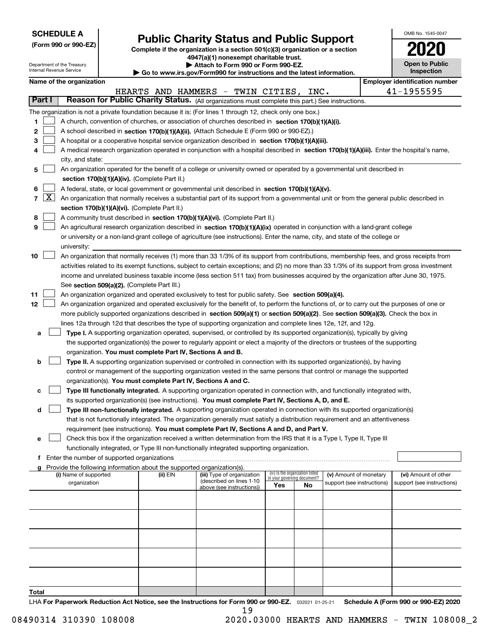Department of the Treasury Internal Revenue Service

**(Form 990 or 990-EZ)**

# **Public Charity Status and Public Support**

**Complete if the organization is a section 501(c)(3) organization or a section 4947(a)(1) nonexempt charitable trust. | Attach to Form 990 or Form 990-EZ.** 

**| Go to www.irs.gov/Form990 for instructions and the latest information.**

|                | OMB No. 1545-0047                   |  |  |  |  |  |  |  |
|----------------|-------------------------------------|--|--|--|--|--|--|--|
|                | 2020                                |  |  |  |  |  |  |  |
|                | <b>Open to Public</b><br>Inspection |  |  |  |  |  |  |  |
| ontification n |                                     |  |  |  |  |  |  |  |

|  | Name of the organization |
|--|--------------------------|
|  |                          |

|       |                                                                                                                | Name of the organization                                                                                                                                                                                                                           |          |                                                       |                             |                                 |                            |  | <b>Employer identification number</b> |  |  |
|-------|----------------------------------------------------------------------------------------------------------------|----------------------------------------------------------------------------------------------------------------------------------------------------------------------------------------------------------------------------------------------------|----------|-------------------------------------------------------|-----------------------------|---------------------------------|----------------------------|--|---------------------------------------|--|--|
|       |                                                                                                                |                                                                                                                                                                                                                                                    |          | HEARTS AND HAMMERS - TWIN CITIES, INC.                |                             |                                 |                            |  | 41-1955595                            |  |  |
|       | Part I                                                                                                         | Reason for Public Charity Status. (All organizations must complete this part.) See instructions.                                                                                                                                                   |          |                                                       |                             |                                 |                            |  |                                       |  |  |
|       |                                                                                                                | The organization is not a private foundation because it is: (For lines 1 through 12, check only one box.)                                                                                                                                          |          |                                                       |                             |                                 |                            |  |                                       |  |  |
| 1     |                                                                                                                | A church, convention of churches, or association of churches described in section 170(b)(1)(A)(i).                                                                                                                                                 |          |                                                       |                             |                                 |                            |  |                                       |  |  |
| 2     |                                                                                                                | A school described in section 170(b)(1)(A)(ii). (Attach Schedule E (Form 990 or 990-EZ).)                                                                                                                                                          |          |                                                       |                             |                                 |                            |  |                                       |  |  |
| з     |                                                                                                                | A hospital or a cooperative hospital service organization described in section $170(b)(1)(A)(iii)$ .                                                                                                                                               |          |                                                       |                             |                                 |                            |  |                                       |  |  |
|       |                                                                                                                | A medical research organization operated in conjunction with a hospital described in section 170(b)(1)(A)(iii). Enter the hospital's name,                                                                                                         |          |                                                       |                             |                                 |                            |  |                                       |  |  |
|       |                                                                                                                | city, and state:                                                                                                                                                                                                                                   |          |                                                       |                             |                                 |                            |  |                                       |  |  |
| 5     |                                                                                                                | An organization operated for the benefit of a college or university owned or operated by a governmental unit described in                                                                                                                          |          |                                                       |                             |                                 |                            |  |                                       |  |  |
|       |                                                                                                                | section 170(b)(1)(A)(iv). (Complete Part II.)                                                                                                                                                                                                      |          |                                                       |                             |                                 |                            |  |                                       |  |  |
| 6     |                                                                                                                | A federal, state, or local government or governmental unit described in section 170(b)(1)(A)(v).                                                                                                                                                   |          |                                                       |                             |                                 |                            |  |                                       |  |  |
| 7     | $\lfloor x \rfloor$                                                                                            | An organization that normally receives a substantial part of its support from a governmental unit or from the general public described in                                                                                                          |          |                                                       |                             |                                 |                            |  |                                       |  |  |
|       |                                                                                                                | section 170(b)(1)(A)(vi). (Complete Part II.)                                                                                                                                                                                                      |          |                                                       |                             |                                 |                            |  |                                       |  |  |
| 8     |                                                                                                                | A community trust described in section 170(b)(1)(A)(vi). (Complete Part II.)                                                                                                                                                                       |          |                                                       |                             |                                 |                            |  |                                       |  |  |
| 9     |                                                                                                                | An agricultural research organization described in section 170(b)(1)(A)(ix) operated in conjunction with a land-grant college                                                                                                                      |          |                                                       |                             |                                 |                            |  |                                       |  |  |
|       |                                                                                                                | or university or a non-land-grant college of agriculture (see instructions). Enter the name, city, and state of the college or                                                                                                                     |          |                                                       |                             |                                 |                            |  |                                       |  |  |
|       |                                                                                                                | university:                                                                                                                                                                                                                                        |          |                                                       |                             |                                 |                            |  |                                       |  |  |
| 10    |                                                                                                                | An organization that normally receives (1) more than 33 1/3% of its support from contributions, membership fees, and gross receipts from                                                                                                           |          |                                                       |                             |                                 |                            |  |                                       |  |  |
|       |                                                                                                                | activities related to its exempt functions, subject to certain exceptions; and (2) no more than 33 1/3% of its support from gross investment                                                                                                       |          |                                                       |                             |                                 |                            |  |                                       |  |  |
|       |                                                                                                                | income and unrelated business taxable income (less section 511 tax) from businesses acquired by the organization after June 30, 1975.                                                                                                              |          |                                                       |                             |                                 |                            |  |                                       |  |  |
|       |                                                                                                                | See section 509(a)(2). (Complete Part III.)                                                                                                                                                                                                        |          |                                                       |                             |                                 |                            |  |                                       |  |  |
| 11    |                                                                                                                |                                                                                                                                                                                                                                                    |          |                                                       |                             |                                 |                            |  |                                       |  |  |
| 12    |                                                                                                                | An organization organized and operated exclusively to test for public safety. See section 509(a)(4).<br>An organization organized and operated exclusively for the benefit of, to perform the functions of, or to carry out the purposes of one or |          |                                                       |                             |                                 |                            |  |                                       |  |  |
|       |                                                                                                                | more publicly supported organizations described in section 509(a)(1) or section 509(a)(2). See section 509(a)(3). Check the box in                                                                                                                 |          |                                                       |                             |                                 |                            |  |                                       |  |  |
|       | lines 12a through 12d that describes the type of supporting organization and complete lines 12e, 12f, and 12g. |                                                                                                                                                                                                                                                    |          |                                                       |                             |                                 |                            |  |                                       |  |  |
| a     |                                                                                                                | Type I. A supporting organization operated, supervised, or controlled by its supported organization(s), typically by giving                                                                                                                        |          |                                                       |                             |                                 |                            |  |                                       |  |  |
|       |                                                                                                                | the supported organization(s) the power to regularly appoint or elect a majority of the directors or trustees of the supporting                                                                                                                    |          |                                                       |                             |                                 |                            |  |                                       |  |  |
|       |                                                                                                                | organization. You must complete Part IV, Sections A and B.                                                                                                                                                                                         |          |                                                       |                             |                                 |                            |  |                                       |  |  |
| b     |                                                                                                                | Type II. A supporting organization supervised or controlled in connection with its supported organization(s), by having                                                                                                                            |          |                                                       |                             |                                 |                            |  |                                       |  |  |
|       |                                                                                                                | control or management of the supporting organization vested in the same persons that control or manage the supported                                                                                                                               |          |                                                       |                             |                                 |                            |  |                                       |  |  |
|       |                                                                                                                | organization(s). You must complete Part IV, Sections A and C.                                                                                                                                                                                      |          |                                                       |                             |                                 |                            |  |                                       |  |  |
| c     |                                                                                                                | Type III functionally integrated. A supporting organization operated in connection with, and functionally integrated with,                                                                                                                         |          |                                                       |                             |                                 |                            |  |                                       |  |  |
|       |                                                                                                                | its supported organization(s) (see instructions). You must complete Part IV, Sections A, D, and E.                                                                                                                                                 |          |                                                       |                             |                                 |                            |  |                                       |  |  |
| d     |                                                                                                                | Type III non-functionally integrated. A supporting organization operated in connection with its supported organization(s)                                                                                                                          |          |                                                       |                             |                                 |                            |  |                                       |  |  |
|       |                                                                                                                | that is not functionally integrated. The organization generally must satisfy a distribution requirement and an attentiveness                                                                                                                       |          |                                                       |                             |                                 |                            |  |                                       |  |  |
|       |                                                                                                                | requirement (see instructions). You must complete Part IV, Sections A and D, and Part V.                                                                                                                                                           |          |                                                       |                             |                                 |                            |  |                                       |  |  |
|       |                                                                                                                | Check this box if the organization received a written determination from the IRS that it is a Type I, Type II, Type III                                                                                                                            |          |                                                       |                             |                                 |                            |  |                                       |  |  |
|       |                                                                                                                | functionally integrated, or Type III non-functionally integrated supporting organization.                                                                                                                                                          |          |                                                       |                             |                                 |                            |  |                                       |  |  |
|       |                                                                                                                | f Enter the number of supported organizations                                                                                                                                                                                                      |          |                                                       |                             |                                 |                            |  |                                       |  |  |
|       |                                                                                                                | g Provide the following information about the supported organization(s).                                                                                                                                                                           |          |                                                       |                             |                                 |                            |  |                                       |  |  |
|       |                                                                                                                | (i) Name of supported                                                                                                                                                                                                                              | (ii) EIN | (iii) Type of organization                            | in your governing document? | (iv) Is the organization listed | (v) Amount of monetary     |  | (vi) Amount of other                  |  |  |
|       |                                                                                                                | organization                                                                                                                                                                                                                                       |          | (described on lines 1-10<br>above (see instructions)) | Yes                         | No                              | support (see instructions) |  | support (see instructions)            |  |  |
|       |                                                                                                                |                                                                                                                                                                                                                                                    |          |                                                       |                             |                                 |                            |  |                                       |  |  |
|       |                                                                                                                |                                                                                                                                                                                                                                                    |          |                                                       |                             |                                 |                            |  |                                       |  |  |
|       |                                                                                                                |                                                                                                                                                                                                                                                    |          |                                                       |                             |                                 |                            |  |                                       |  |  |
|       |                                                                                                                |                                                                                                                                                                                                                                                    |          |                                                       |                             |                                 |                            |  |                                       |  |  |
|       |                                                                                                                |                                                                                                                                                                                                                                                    |          |                                                       |                             |                                 |                            |  |                                       |  |  |
|       |                                                                                                                |                                                                                                                                                                                                                                                    |          |                                                       |                             |                                 |                            |  |                                       |  |  |
|       |                                                                                                                |                                                                                                                                                                                                                                                    |          |                                                       |                             |                                 |                            |  |                                       |  |  |
|       |                                                                                                                |                                                                                                                                                                                                                                                    |          |                                                       |                             |                                 |                            |  |                                       |  |  |
|       |                                                                                                                |                                                                                                                                                                                                                                                    |          |                                                       |                             |                                 |                            |  |                                       |  |  |
|       |                                                                                                                |                                                                                                                                                                                                                                                    |          |                                                       |                             |                                 |                            |  |                                       |  |  |
| Total |                                                                                                                |                                                                                                                                                                                                                                                    |          |                                                       |                             |                                 |                            |  |                                       |  |  |

LHA For Paperwork Reduction Act Notice, see the Instructions for Form 990 or 990-EZ. <sub>032021</sub> o1-25-21 Schedule A (Form 990 or 990-EZ) 2020 19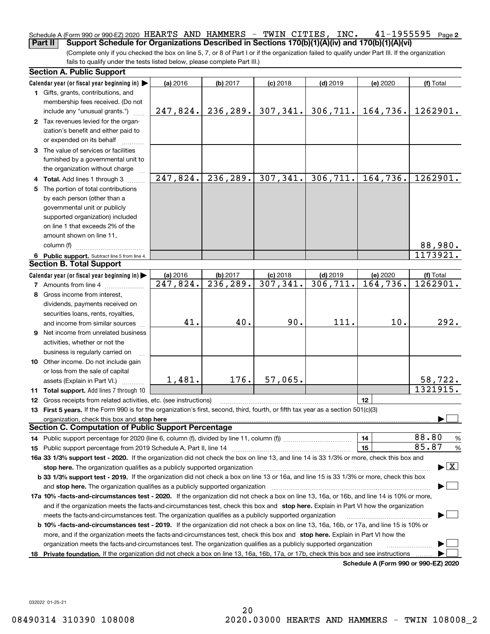### **2** Schedule A (Form 990 or 990-EZ) 2020 <code>HEARTS AND HAMMERS – TWIN CITIES, INC.  $41\text{--}1955595$  Page</code> **Part II** Support Schedule for Organizations Described in Sections 170(b)(1)(A)(iv) and 170(b)(1)(A)(vi)

(Complete only if you checked the box on line 5, 7, or 8 of Part I or if the organization failed to qualify under Part III. If the organization fails to qualify under the tests listed below, please complete Part III.)

|    | <b>Section A. Public Support</b>                                                                                                               |                        |           |            |            |                                      |                                          |  |  |  |
|----|------------------------------------------------------------------------------------------------------------------------------------------------|------------------------|-----------|------------|------------|--------------------------------------|------------------------------------------|--|--|--|
|    | Calendar year (or fiscal year beginning in) $\blacktriangleright$                                                                              | (a) 2016               | (b) 2017  | $(c)$ 2018 | $(d)$ 2019 | (e) 2020                             | (f) Total                                |  |  |  |
|    | <b>1</b> Gifts, grants, contributions, and                                                                                                     |                        |           |            |            |                                      |                                          |  |  |  |
|    | membership fees received. (Do not                                                                                                              |                        |           |            |            |                                      |                                          |  |  |  |
|    | include any "unusual grants.")                                                                                                                 | 247,824.               | 236, 289. | 307,341.   | 306, 711.  | 164,736.                             | 1262901.                                 |  |  |  |
|    | 2 Tax revenues levied for the organ-                                                                                                           |                        |           |            |            |                                      |                                          |  |  |  |
|    | ization's benefit and either paid to                                                                                                           |                        |           |            |            |                                      |                                          |  |  |  |
|    | or expended on its behalf                                                                                                                      |                        |           |            |            |                                      |                                          |  |  |  |
|    | 3 The value of services or facilities                                                                                                          |                        |           |            |            |                                      |                                          |  |  |  |
|    | furnished by a governmental unit to                                                                                                            |                        |           |            |            |                                      |                                          |  |  |  |
|    | the organization without charge                                                                                                                |                        |           |            |            |                                      |                                          |  |  |  |
|    | 4 Total. Add lines 1 through 3                                                                                                                 | $\overline{247,824}$ . | 236, 289. | 307, 341.  | 306, 711.  | 164,736.                             | 1262901.                                 |  |  |  |
|    | 5 The portion of total contributions                                                                                                           |                        |           |            |            |                                      |                                          |  |  |  |
|    | by each person (other than a                                                                                                                   |                        |           |            |            |                                      |                                          |  |  |  |
|    | governmental unit or publicly                                                                                                                  |                        |           |            |            |                                      |                                          |  |  |  |
|    | supported organization) included                                                                                                               |                        |           |            |            |                                      |                                          |  |  |  |
|    | on line 1 that exceeds 2% of the                                                                                                               |                        |           |            |            |                                      |                                          |  |  |  |
|    | amount shown on line 11,                                                                                                                       |                        |           |            |            |                                      |                                          |  |  |  |
|    | column (f)                                                                                                                                     |                        |           |            |            |                                      | 88,980.                                  |  |  |  |
|    | 6 Public support. Subtract line 5 from line 4.                                                                                                 |                        |           |            |            |                                      | 1173921.                                 |  |  |  |
|    | <b>Section B. Total Support</b>                                                                                                                |                        |           |            |            |                                      |                                          |  |  |  |
|    | Calendar year (or fiscal year beginning in)                                                                                                    | (a) 2016               | (b) 2017  | $(c)$ 2018 | $(d)$ 2019 | (e) 2020                             | (f) Total                                |  |  |  |
|    | <b>7</b> Amounts from line 4                                                                                                                   | 247,824.               | 236, 289. | 307, 341.  | 306, 711.  | 164,736.                             | 1262901.                                 |  |  |  |
|    | 8 Gross income from interest,                                                                                                                  |                        |           |            |            |                                      |                                          |  |  |  |
|    |                                                                                                                                                |                        |           |            |            |                                      |                                          |  |  |  |
|    | dividends, payments received on                                                                                                                |                        |           |            |            |                                      |                                          |  |  |  |
|    | securities loans, rents, royalties,                                                                                                            | 41.                    | 40.       | 90.        | 111.       | 10.                                  | 292.                                     |  |  |  |
|    | and income from similar sources                                                                                                                |                        |           |            |            |                                      |                                          |  |  |  |
|    | 9 Net income from unrelated business                                                                                                           |                        |           |            |            |                                      |                                          |  |  |  |
|    | activities, whether or not the                                                                                                                 |                        |           |            |            |                                      |                                          |  |  |  |
|    | business is regularly carried on                                                                                                               |                        |           |            |            |                                      |                                          |  |  |  |
|    | <b>10</b> Other income. Do not include gain                                                                                                    |                        |           |            |            |                                      |                                          |  |  |  |
|    | or loss from the sale of capital                                                                                                               |                        |           |            |            |                                      |                                          |  |  |  |
|    | assets (Explain in Part VI.)                                                                                                                   | 1,481.                 | 176.      | 57,065.    |            |                                      | 58,722.                                  |  |  |  |
|    | <b>11 Total support.</b> Add lines 7 through 10                                                                                                |                        |           |            |            |                                      | 1321915.                                 |  |  |  |
|    | <b>12</b> Gross receipts from related activities, etc. (see instructions)                                                                      |                        |           |            |            | 12                                   |                                          |  |  |  |
|    | 13 First 5 years. If the Form 990 is for the organization's first, second, third, fourth, or fifth tax year as a section 501(c)(3)             |                        |           |            |            |                                      |                                          |  |  |  |
|    | organization, check this box and stop here                                                                                                     |                        |           |            |            |                                      |                                          |  |  |  |
|    | <b>Section C. Computation of Public Support Percentage</b>                                                                                     |                        |           |            |            |                                      |                                          |  |  |  |
|    |                                                                                                                                                |                        |           |            |            | 14                                   | 88.80<br>%                               |  |  |  |
|    |                                                                                                                                                |                        |           |            |            | 15                                   | 85.87<br>$\%$                            |  |  |  |
|    | 16a 33 1/3% support test - 2020. If the organization did not check the box on line 13, and line 14 is 33 1/3% or more, check this box and      |                        |           |            |            |                                      |                                          |  |  |  |
|    | stop here. The organization qualifies as a publicly supported organization                                                                     |                        |           |            |            |                                      | $\blacktriangleright$ $\boxed{\text{X}}$ |  |  |  |
|    | b 33 1/3% support test - 2019. If the organization did not check a box on line 13 or 16a, and line 15 is 33 1/3% or more, check this box       |                        |           |            |            |                                      |                                          |  |  |  |
|    | and stop here. The organization qualifies as a publicly supported organization                                                                 |                        |           |            |            |                                      |                                          |  |  |  |
|    | 17a 10% -facts-and-circumstances test - 2020. If the organization did not check a box on line 13, 16a, or 16b, and line 14 is 10% or more,     |                        |           |            |            |                                      |                                          |  |  |  |
|    | and if the organization meets the facts-and-circumstances test, check this box and stop here. Explain in Part VI how the organization          |                        |           |            |            |                                      |                                          |  |  |  |
|    | meets the facts-and-circumstances test. The organization qualifies as a publicly supported organization                                        |                        |           |            |            |                                      |                                          |  |  |  |
|    | <b>b 10% -facts-and-circumstances test - 2019.</b> If the organization did not check a box on line 13, 16a, 16b, or 17a, and line 15 is 10% or |                        |           |            |            |                                      |                                          |  |  |  |
|    | more, and if the organization meets the facts-and-circumstances test, check this box and stop here. Explain in Part VI how the                 |                        |           |            |            |                                      |                                          |  |  |  |
|    | organization meets the facts-and-circumstances test. The organization qualifies as a publicly supported organization                           |                        |           |            |            |                                      |                                          |  |  |  |
| 18 | Private foundation. If the organization did not check a box on line 13, 16a, 16b, 17a, or 17b, check this box and see instructions             |                        |           |            |            |                                      |                                          |  |  |  |
|    |                                                                                                                                                |                        |           |            |            | Schedule A (Form 990 or 990-F7) 2020 |                                          |  |  |  |

**Schedule A (Form 990 or 990-EZ) 2020**

032022 01-25-21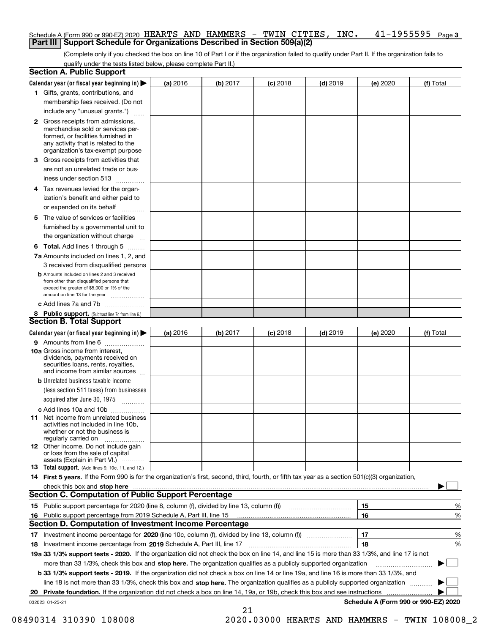### Schedule A (Form 990 or 990-EZ) 2020 <code>HEARTS AND HAMMERS – TWIN CITIES</code> , <code>INC. 41–1955595</code> <code>Page 3</code> **Part III Support Schedule for Organizations Described in Section 509(a)(2)**

(Complete only if you checked the box on line 10 of Part I or if the organization failed to qualify under Part II. If the organization fails to qualify under the tests listed below, please complete Part II.)

|    | <b>Section A. Public Support</b>                                                                                                                                                                                              |          |          |            |            |          |                                      |
|----|-------------------------------------------------------------------------------------------------------------------------------------------------------------------------------------------------------------------------------|----------|----------|------------|------------|----------|--------------------------------------|
|    | Calendar year (or fiscal year beginning in) $\blacktriangleright$                                                                                                                                                             | (a) 2016 | (b) 2017 | $(c)$ 2018 | $(d)$ 2019 | (e) 2020 | (f) Total                            |
|    | 1 Gifts, grants, contributions, and                                                                                                                                                                                           |          |          |            |            |          |                                      |
|    | membership fees received. (Do not                                                                                                                                                                                             |          |          |            |            |          |                                      |
|    | include any "unusual grants.")                                                                                                                                                                                                |          |          |            |            |          |                                      |
|    | 2 Gross receipts from admissions,<br>merchandise sold or services per-<br>formed, or facilities furnished in<br>any activity that is related to the<br>organization's tax-exempt purpose                                      |          |          |            |            |          |                                      |
|    | 3 Gross receipts from activities that<br>are not an unrelated trade or bus-                                                                                                                                                   |          |          |            |            |          |                                      |
|    | iness under section 513                                                                                                                                                                                                       |          |          |            |            |          |                                      |
|    | 4 Tax revenues levied for the organ-                                                                                                                                                                                          |          |          |            |            |          |                                      |
|    | ization's benefit and either paid to<br>or expended on its behalf<br>.                                                                                                                                                        |          |          |            |            |          |                                      |
|    | 5 The value of services or facilities                                                                                                                                                                                         |          |          |            |            |          |                                      |
|    | furnished by a governmental unit to                                                                                                                                                                                           |          |          |            |            |          |                                      |
|    | the organization without charge                                                                                                                                                                                               |          |          |            |            |          |                                      |
|    | <b>6 Total.</b> Add lines 1 through 5                                                                                                                                                                                         |          |          |            |            |          |                                      |
|    | 7a Amounts included on lines 1, 2, and<br>3 received from disqualified persons                                                                                                                                                |          |          |            |            |          |                                      |
|    | <b>b</b> Amounts included on lines 2 and 3 received<br>from other than disqualified persons that<br>exceed the greater of \$5,000 or 1% of the<br>amount on line 13 for the year                                              |          |          |            |            |          |                                      |
|    | c Add lines 7a and 7b                                                                                                                                                                                                         |          |          |            |            |          |                                      |
|    | 8 Public support. (Subtract line 7c from line 6.)                                                                                                                                                                             |          |          |            |            |          |                                      |
|    | <b>Section B. Total Support</b>                                                                                                                                                                                               |          |          |            |            |          |                                      |
|    | Calendar year (or fiscal year beginning in) $\blacktriangleright$                                                                                                                                                             | (a) 2016 | (b) 2017 | $(c)$ 2018 | $(d)$ 2019 | (e) 2020 | (f) Total                            |
|    | 9 Amounts from line 6                                                                                                                                                                                                         |          |          |            |            |          |                                      |
|    | 10a Gross income from interest,<br>dividends, payments received on<br>securities loans, rents, royalties,<br>and income from similar sources                                                                                  |          |          |            |            |          |                                      |
|    | <b>b</b> Unrelated business taxable income<br>(less section 511 taxes) from businesses                                                                                                                                        |          |          |            |            |          |                                      |
|    | acquired after June 30, 1975                                                                                                                                                                                                  |          |          |            |            |          |                                      |
|    | c Add lines 10a and 10b<br>11 Net income from unrelated business<br>activities not included in line 10b,<br>whether or not the business is<br>regularly carried on                                                            |          |          |            |            |          |                                      |
|    | 12 Other income. Do not include gain<br>or loss from the sale of capital<br>assets (Explain in Part VI.)                                                                                                                      |          |          |            |            |          |                                      |
|    | <b>13</b> Total support. (Add lines 9, 10c, 11, and 12.)                                                                                                                                                                      |          |          |            |            |          |                                      |
|    | 14 First 5 years. If the Form 990 is for the organization's first, second, third, fourth, or fifth tax year as a section 501(c)(3) organization,                                                                              |          |          |            |            |          |                                      |
|    | check this box and stop here with the continuum control to the control of the state of the state of the control of the state of the control of the control of the control of the control of the control of the control of the |          |          |            |            |          |                                      |
|    | Section C. Computation of Public Support Percentage                                                                                                                                                                           |          |          |            |            |          |                                      |
|    | 15 Public support percentage for 2020 (line 8, column (f), divided by line 13, column (f))                                                                                                                                    |          |          |            |            | 15       | %                                    |
|    | 16 Public support percentage from 2019 Schedule A, Part III, line 15                                                                                                                                                          |          |          |            |            | 16       | %                                    |
|    | <b>Section D. Computation of Investment Income Percentage</b>                                                                                                                                                                 |          |          |            |            |          |                                      |
|    | 17 Investment income percentage for 2020 (line 10c, column (f), divided by line 13, column (f))                                                                                                                               |          |          |            |            | 17       | %                                    |
|    | <b>18</b> Investment income percentage from <b>2019</b> Schedule A, Part III, line 17                                                                                                                                         |          |          |            |            | 18       | %                                    |
|    | 19a 33 1/3% support tests - 2020. If the organization did not check the box on line 14, and line 15 is more than 33 1/3%, and line 17 is not                                                                                  |          |          |            |            |          |                                      |
|    | more than 33 1/3%, check this box and stop here. The organization qualifies as a publicly supported organization                                                                                                              |          |          |            |            |          | ▶                                    |
|    | b 33 1/3% support tests - 2019. If the organization did not check a box on line 14 or line 19a, and line 16 is more than 33 1/3%, and                                                                                         |          |          |            |            |          |                                      |
|    | line 18 is not more than 33 1/3%, check this box and stop here. The organization qualifies as a publicly supported organization                                                                                               |          |          |            |            |          |                                      |
| 20 | <b>Private foundation.</b> If the organization did not check a box on line 14, 19a, or 19b, check this box and see instructions                                                                                               |          |          |            |            |          |                                      |
|    | 032023 01-25-21                                                                                                                                                                                                               |          | 21       |            |            |          | Schedule A (Form 990 or 990-EZ) 2020 |

<sup>08490314 310390 108008 2020.03000</sup> HEARTS AND HAMMERS - TWIN 108008\_2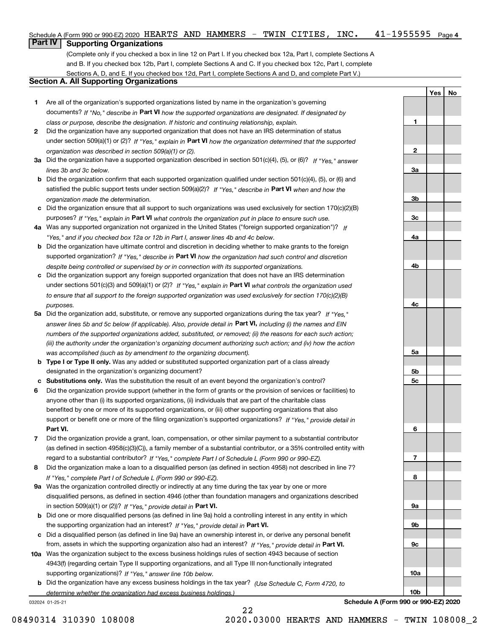|    | Schedule A (Form 990 or 990-EZ) 2020 HEARTS AND HAMMERS |  |  | TWIN CITIES, | INC. | 41-1955595 | Page 4 |
|----|---------------------------------------------------------|--|--|--------------|------|------------|--------|
| __ |                                                         |  |  |              |      |            |        |

## **Part IV** | Supporting Organizations

(Complete only if you checked a box in line 12 on Part I. If you checked box 12a, Part I, complete Sections A and B. If you checked box 12b, Part I, complete Sections A and C. If you checked box 12c, Part I, complete Sections A, D, and E. If you checked box 12d, Part I, complete Sections A and D, and complete Part V.)

## **Section A. All Supporting Organizations**

- **1** Are all of the organization's supported organizations listed by name in the organization's governing documents? If "No," describe in **Part VI** how the supported organizations are designated. If designated by *class or purpose, describe the designation. If historic and continuing relationship, explain.*
- **2** Did the organization have any supported organization that does not have an IRS determination of status under section 509(a)(1) or (2)? If "Yes," explain in Part VI how the organization determined that the supported *organization was described in section 509(a)(1) or (2).*
- **3a** Did the organization have a supported organization described in section 501(c)(4), (5), or (6)? If "Yes," answer *lines 3b and 3c below.*
- **b** Did the organization confirm that each supported organization qualified under section 501(c)(4), (5), or (6) and satisfied the public support tests under section 509(a)(2)? If "Yes," describe in **Part VI** when and how the *organization made the determination.*
- **c**Did the organization ensure that all support to such organizations was used exclusively for section 170(c)(2)(B) purposes? If "Yes," explain in **Part VI** what controls the organization put in place to ensure such use.
- **4a***If* Was any supported organization not organized in the United States ("foreign supported organization")? *"Yes," and if you checked box 12a or 12b in Part I, answer lines 4b and 4c below.*
- **b** Did the organization have ultimate control and discretion in deciding whether to make grants to the foreign supported organization? If "Yes," describe in **Part VI** how the organization had such control and discretion *despite being controlled or supervised by or in connection with its supported organizations.*
- **c** Did the organization support any foreign supported organization that does not have an IRS determination under sections 501(c)(3) and 509(a)(1) or (2)? If "Yes," explain in **Part VI** what controls the organization used *to ensure that all support to the foreign supported organization was used exclusively for section 170(c)(2)(B) purposes.*
- **5a** Did the organization add, substitute, or remove any supported organizations during the tax year? If "Yes," answer lines 5b and 5c below (if applicable). Also, provide detail in **Part VI,** including (i) the names and EIN *numbers of the supported organizations added, substituted, or removed; (ii) the reasons for each such action; (iii) the authority under the organization's organizing document authorizing such action; and (iv) how the action was accomplished (such as by amendment to the organizing document).*
- **b** Type I or Type II only. Was any added or substituted supported organization part of a class already designated in the organization's organizing document?
- **cSubstitutions only.**  Was the substitution the result of an event beyond the organization's control?
- **6** Did the organization provide support (whether in the form of grants or the provision of services or facilities) to **Part VI.** *If "Yes," provide detail in* support or benefit one or more of the filing organization's supported organizations? anyone other than (i) its supported organizations, (ii) individuals that are part of the charitable class benefited by one or more of its supported organizations, or (iii) other supporting organizations that also
- **7**Did the organization provide a grant, loan, compensation, or other similar payment to a substantial contributor *If "Yes," complete Part I of Schedule L (Form 990 or 990-EZ).* regard to a substantial contributor? (as defined in section 4958(c)(3)(C)), a family member of a substantial contributor, or a 35% controlled entity with
- **8** Did the organization make a loan to a disqualified person (as defined in section 4958) not described in line 7? *If "Yes," complete Part I of Schedule L (Form 990 or 990-EZ).*
- **9a** Was the organization controlled directly or indirectly at any time during the tax year by one or more in section 509(a)(1) or (2))? If "Yes," *provide detail in* <code>Part VI.</code> disqualified persons, as defined in section 4946 (other than foundation managers and organizations described
- **b**the supporting organization had an interest? If "Yes," provide detail in P**art VI**. Did one or more disqualified persons (as defined in line 9a) hold a controlling interest in any entity in which
- **c**Did a disqualified person (as defined in line 9a) have an ownership interest in, or derive any personal benefit from, assets in which the supporting organization also had an interest? If "Yes," provide detail in P**art VI.**
- **10a** Was the organization subject to the excess business holdings rules of section 4943 because of section supporting organizations)? If "Yes," answer line 10b below. 4943(f) (regarding certain Type II supporting organizations, and all Type III non-functionally integrated
- **b** Did the organization have any excess business holdings in the tax year? (Use Schedule C, Form 4720, to *determine whether the organization had excess business holdings.)*

22

032024 01-25-21

**Schedule A (Form 990 or 990-EZ) 2020**

**YesNo**

**1**

**2**

**3a**

**3b**

**3c**

**4a**

**4b**

**4c**

**5a**

**5b5c**

**6**

**7**

**8**

**9a**

**9b**

**9c**

**10a**

**10b**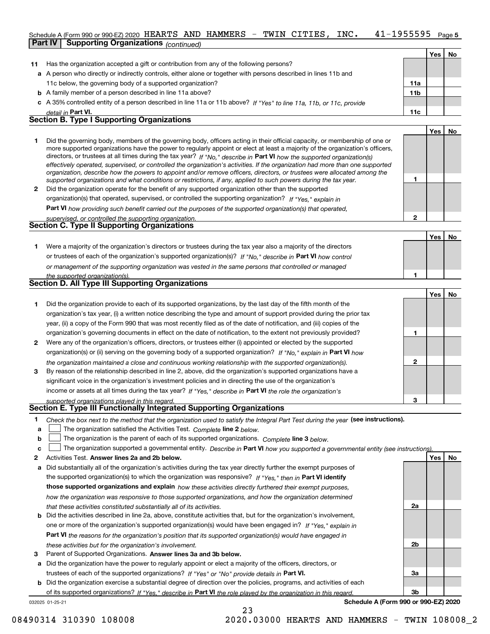### 41-1955595 Page 5 Schedule A (Form 990 or 990-EZ) 2020 <code>HEARTS AND HAMMERS – TWIN CITIES, INC.  $41\text{--}1955595$  Page</code> **Part IV Supporting Organizations** *(continued)*

|    |                                                                                                                      |                 | Yes | No |
|----|----------------------------------------------------------------------------------------------------------------------|-----------------|-----|----|
| 11 | Has the organization accepted a gift or contribution from any of the following persons?                              |                 |     |    |
|    | a A person who directly or indirectly controls, either alone or together with persons described in lines 11b and     |                 |     |    |
|    | 11c below, the governing body of a supported organization?                                                           | 11a             |     |    |
|    | <b>b</b> A family member of a person described in line 11a above?                                                    | 11 <sub>b</sub> |     |    |
|    | c A 35% controlled entity of a person described in line 11a or 11b above? If "Yes" to line 11a, 11b, or 11c, provide |                 |     |    |
|    | detail in Part VI.                                                                                                   | 11c             |     |    |
|    | <b>Section B. Type I Supporting Organizations</b>                                                                    |                 |     |    |
|    |                                                                                                                      |                 | Yes |    |
|    |                                                                                                                      |                 |     |    |

|   | Did the governing body, members of the governing body, officers acting in their official capacity, or membership of one or<br>more supported organizations have the power to regularly appoint or elect at least a majority of the organization's officers,<br>directors, or trustees at all times during the tax year? If "No," describe in Part VI how the supported organization(s)<br>effectively operated, supervised, or controlled the organization's activities. If the organization had more than one supported<br>organization, describe how the powers to appoint and/or remove officers, directors, or trustees were allocated among the |  |  |
|---|------------------------------------------------------------------------------------------------------------------------------------------------------------------------------------------------------------------------------------------------------------------------------------------------------------------------------------------------------------------------------------------------------------------------------------------------------------------------------------------------------------------------------------------------------------------------------------------------------------------------------------------------------|--|--|
|   | supported organizations and what conditions or restrictions, if any, applied to such powers during the tax year.                                                                                                                                                                                                                                                                                                                                                                                                                                                                                                                                     |  |  |
| 2 | Did the organization operate for the benefit of any supported organization other than the supported                                                                                                                                                                                                                                                                                                                                                                                                                                                                                                                                                  |  |  |
|   | organization(s) that operated, supervised, or controlled the supporting organization? If "Yes," explain in                                                                                                                                                                                                                                                                                                                                                                                                                                                                                                                                           |  |  |
|   | Dort VI have acceptance and handle compatible and the account of the companied accountation (a) that accounts d                                                                                                                                                                                                                                                                                                                                                                                                                                                                                                                                      |  |  |

**Part VI**  *how providing such benefit carried out the purposes of the supported organization(s) that operated, supervised, or controlled the supporting organization.*

| supervised, or controlled the supporting organization. |  |
|--------------------------------------------------------|--|
| <b>Section C. Type II Supporting Organizations</b>     |  |

**Yes No 1**or trustees of each of the organization's supported organization(s)? If "No," describe in **Part VI** how control **1***or management of the supporting organization was vested in the same persons that controlled or managed the supported organization(s).* Were a majority of the organization's directors or trustees during the tax year also a majority of the directors

| <b>Section D. All Type III Supporting Organizations</b> |  |
|---------------------------------------------------------|--|
|                                                         |  |

|              |                                                                                                                        |   | Tesi No |  |
|--------------|------------------------------------------------------------------------------------------------------------------------|---|---------|--|
|              | Did the organization provide to each of its supported organizations, by the last day of the fifth month of the         |   |         |  |
|              | organization's tax year, (i) a written notice describing the type and amount of support provided during the prior tax  |   |         |  |
|              | year, (ii) a copy of the Form 990 that was most recently filed as of the date of notification, and (iii) copies of the |   |         |  |
|              | organization's governing documents in effect on the date of notification, to the extent not previously provided?       |   |         |  |
| $\mathbf{2}$ | Were any of the organization's officers, directors, or trustees either (i) appointed or elected by the supported       |   |         |  |
|              | organization(s) or (ii) serving on the governing body of a supported organization? If "No," explain in Part VI how     |   |         |  |
|              | the organization maintained a close and continuous working relationship with the supported organization(s).            | 2 |         |  |
| 3            | By reason of the relationship described in line 2, above, did the organization's supported organizations have a        |   |         |  |
|              | significant voice in the organization's investment policies and in directing the use of the organization's             |   |         |  |
|              | income or assets at all times during the tax year? If "Yes," describe in Part VI the role the organization's           |   |         |  |
|              | supported organizations played in this regard.                                                                         | 3 |         |  |

# *supported organizations played in this regard.* **Section E. Type III Functionally Integrated Supporting Organizations**

- **1**Check the box next to the method that the organization used to satisfy the Integral Part Test during the year (see instructions).
- **alinupy** The organization satisfied the Activities Test. Complete line 2 below.
- **bThe organization is the parent of each of its supported organizations. Complete line 3 below.**

|  |  | c $\Box$ The organization supported a governmental entity. Describe in Part VI how you supported a governmental entity (see instructions). |  |
|--|--|--------------------------------------------------------------------------------------------------------------------------------------------|--|
|--|--|--------------------------------------------------------------------------------------------------------------------------------------------|--|

23

- **2Answer lines 2a and 2b below. Yes No** Activities Test.
- **a** Did substantially all of the organization's activities during the tax year directly further the exempt purposes of the supported organization(s) to which the organization was responsive? If "Yes," then in **Part VI identify those supported organizations and explain**  *how these activities directly furthered their exempt purposes, how the organization was responsive to those supported organizations, and how the organization determined that these activities constituted substantially all of its activities.*
- **b** Did the activities described in line 2a, above, constitute activities that, but for the organization's involvement, **Part VI**  *the reasons for the organization's position that its supported organization(s) would have engaged in* one or more of the organization's supported organization(s) would have been engaged in? If "Yes," e*xplain in these activities but for the organization's involvement.*
- **3** Parent of Supported Organizations. Answer lines 3a and 3b below.

**a** Did the organization have the power to regularly appoint or elect a majority of the officers, directors, or trustees of each of the supported organizations? If "Yes" or "No" provide details in **Part VI.** 

**b** Did the organization exercise a substantial degree of direction over the policies, programs, and activities of each of its supported organizations? If "Yes," describe in Part VI the role played by the organization in this regard.

032025 01-25-21

**Schedule A (Form 990 or 990-EZ) 2020**

**2a**

**2b**

**3a**

**3b**

**2**

**Yes**

**No**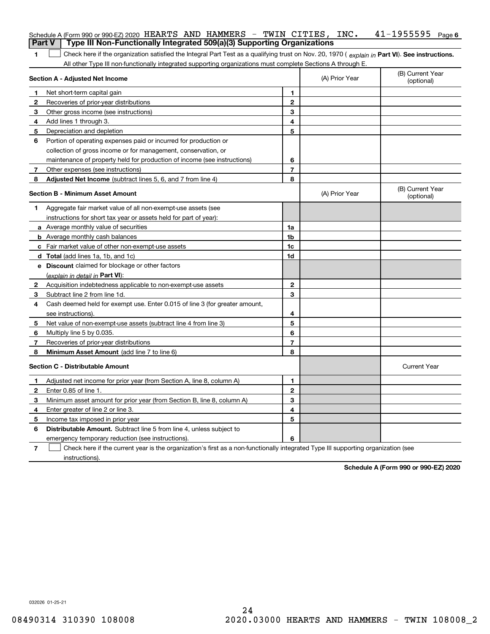|               | Schedule A (Form 990 or 990-EZ) 2020 HEARTS AND HAMMERS - TWIN CITIES, INC.                                                                    |                |                | $41 - 1955595$ Page 6          |
|---------------|------------------------------------------------------------------------------------------------------------------------------------------------|----------------|----------------|--------------------------------|
| <b>Part V</b> | Type III Non-Functionally Integrated 509(a)(3) Supporting Organizations                                                                        |                |                |                                |
| 1.            | Check here if the organization satisfied the Integral Part Test as a qualifying trust on Nov. 20, 1970 (explain in Part VI). See instructions. |                |                |                                |
|               | All other Type III non-functionally integrated supporting organizations must complete Sections A through E.                                    |                |                |                                |
|               | Section A - Adjusted Net Income                                                                                                                |                | (A) Prior Year | (B) Current Year<br>(optional) |
| 1             | Net short-term capital gain                                                                                                                    | 1              |                |                                |
| $\mathbf{2}$  | Recoveries of prior-year distributions                                                                                                         | $\mathbf{2}$   |                |                                |
| 3             | Other gross income (see instructions)                                                                                                          | 3              |                |                                |
| 4             | Add lines 1 through 3.                                                                                                                         | 4              |                |                                |
| 5             | Depreciation and depletion                                                                                                                     | 5              |                |                                |
| 6             | Portion of operating expenses paid or incurred for production or                                                                               |                |                |                                |
|               | collection of gross income or for management, conservation, or                                                                                 |                |                |                                |
|               | maintenance of property held for production of income (see instructions)                                                                       | 6              |                |                                |
| 7             | Other expenses (see instructions)                                                                                                              | $\overline{7}$ |                |                                |
| 8             | Adjusted Net Income (subtract lines 5, 6, and 7 from line 4)                                                                                   | 8              |                |                                |
|               | <b>Section B - Minimum Asset Amount</b>                                                                                                        |                | (A) Prior Year | (B) Current Year<br>(optional) |
| 1             | Aggregate fair market value of all non-exempt-use assets (see                                                                                  |                |                |                                |
|               | instructions for short tax year or assets held for part of year):                                                                              |                |                |                                |
|               | <b>a</b> Average monthly value of securities                                                                                                   | 1a             |                |                                |
|               | <b>b</b> Average monthly cash balances                                                                                                         | 1b             |                |                                |
|               | c Fair market value of other non-exempt-use assets                                                                                             | 1c             |                |                                |
|               | <b>d</b> Total (add lines 1a, 1b, and 1c)                                                                                                      | 1d             |                |                                |
|               | e Discount claimed for blockage or other factors                                                                                               |                |                |                                |
|               | (explain in detail in Part VI):                                                                                                                |                |                |                                |
| $\mathbf{2}$  | Acquisition indebtedness applicable to non-exempt-use assets                                                                                   | $\mathbf{2}$   |                |                                |
| 3             | Subtract line 2 from line 1d.                                                                                                                  | 3              |                |                                |
| 4             | Cash deemed held for exempt use. Enter 0.015 of line 3 (for greater amount,                                                                    |                |                |                                |
|               | see instructions).                                                                                                                             | 4              |                |                                |
| 5             | Net value of non-exempt-use assets (subtract line 4 from line 3)                                                                               | 5              |                |                                |
| 6             | Multiply line 5 by 0.035.                                                                                                                      | 6              |                |                                |
| 7             | Recoveries of prior-year distributions                                                                                                         | $\overline{7}$ |                |                                |
| 8             | Minimum Asset Amount (add line 7 to line 6)                                                                                                    | 8              |                |                                |
|               | <b>Section C - Distributable Amount</b>                                                                                                        |                |                | <b>Current Year</b>            |
| 1.            | Adjusted net income for prior year (from Section A, line 8, column A)                                                                          | 1              |                |                                |
| 2             | Enter 0.85 of line 1.                                                                                                                          | 2              |                |                                |
| 3             | Minimum asset amount for prior year (from Section B, line 8, column A)                                                                         | 3              |                |                                |
| 4             | Enter greater of line 2 or line 3.                                                                                                             | 4              |                |                                |
| 5             | Income tax imposed in prior year                                                                                                               | 5              |                |                                |
| 6             | Distributable Amount. Subtract line 5 from line 4, unless subject to                                                                           |                |                |                                |
|               | emergency temporary reduction (see instructions).                                                                                              | 6              |                |                                |
| 7             | Check here if the current year is the organization's first as a non-functionally integrated Type III supporting organization (see              |                |                |                                |

instructions).

**Schedule A (Form 990 or 990-EZ) 2020**

032026 01-25-21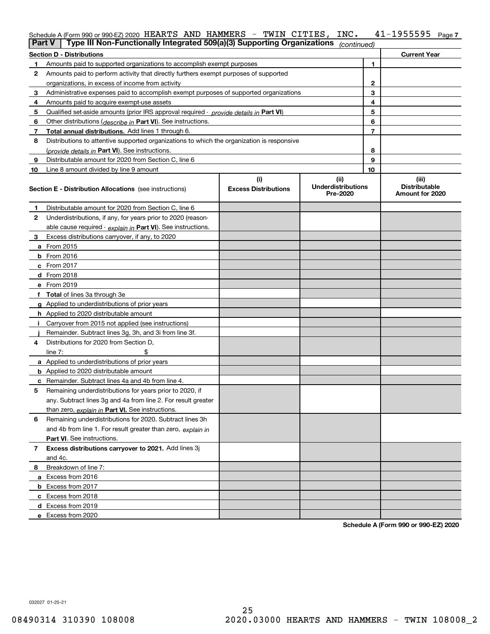# Schedule A (Form 990 or 990-EZ) 2020 <code>HEARTS AND HAMMERS – TWIN CITIES</code> , <code>INC</code> . 41-1955595 <code>Page 7</code>

| <b>Part V</b> | Type III Non-Functionally Integrated 509(a)(3) Supporting Organizations $ _{\text{continued}} $ |                             |                                       |                |                                         |
|---------------|-------------------------------------------------------------------------------------------------|-----------------------------|---------------------------------------|----------------|-----------------------------------------|
|               | <b>Section D - Distributions</b>                                                                |                             |                                       |                | <b>Current Year</b>                     |
| 1             | Amounts paid to supported organizations to accomplish exempt purposes                           |                             |                                       | 1              |                                         |
| 2             | Amounts paid to perform activity that directly furthers exempt purposes of supported            |                             |                                       |                |                                         |
|               | organizations, in excess of income from activity                                                |                             |                                       | 2              |                                         |
| 3             | Administrative expenses paid to accomplish exempt purposes of supported organizations           |                             |                                       | 3              |                                         |
| 4             | Amounts paid to acquire exempt-use assets                                                       |                             |                                       | 4              |                                         |
| 5             | Qualified set-aside amounts (prior IRS approval required - <i>provide details in</i> Part VI)   |                             |                                       | 5              |                                         |
| 6             | Other distributions ( <i>describe in</i> Part VI). See instructions.                            |                             |                                       | 6              |                                         |
| 7             | Total annual distributions. Add lines 1 through 6.                                              |                             |                                       | $\overline{7}$ |                                         |
| 8             | Distributions to attentive supported organizations to which the organization is responsive      |                             |                                       |                |                                         |
|               | (provide details in Part VI). See instructions.                                                 |                             |                                       | 8              |                                         |
| 9             | Distributable amount for 2020 from Section C, line 6                                            |                             |                                       | 9              |                                         |
| 10            | Line 8 amount divided by line 9 amount                                                          |                             |                                       | 10             |                                         |
|               |                                                                                                 | (i)                         | (ii)                                  |                | (iii)                                   |
|               | <b>Section E - Distribution Allocations</b> (see instructions)                                  | <b>Excess Distributions</b> | <b>Underdistributions</b><br>Pre-2020 |                | <b>Distributable</b><br>Amount for 2020 |
| 1             | Distributable amount for 2020 from Section C, line 6                                            |                             |                                       |                |                                         |
| 2             | Underdistributions, if any, for years prior to 2020 (reason-                                    |                             |                                       |                |                                         |
|               | able cause required - explain in Part VI). See instructions.                                    |                             |                                       |                |                                         |
| 3             | Excess distributions carryover, if any, to 2020                                                 |                             |                                       |                |                                         |
|               | a From 2015                                                                                     |                             |                                       |                |                                         |
|               | <b>b</b> From 2016                                                                              |                             |                                       |                |                                         |
|               | $c$ From 2017                                                                                   |                             |                                       |                |                                         |
|               | d From 2018                                                                                     |                             |                                       |                |                                         |
|               | e From 2019                                                                                     |                             |                                       |                |                                         |
|               | f Total of lines 3a through 3e                                                                  |                             |                                       |                |                                         |
|               | g Applied to underdistributions of prior years                                                  |                             |                                       |                |                                         |
|               | <b>h</b> Applied to 2020 distributable amount                                                   |                             |                                       |                |                                         |
|               | Carryover from 2015 not applied (see instructions)                                              |                             |                                       |                |                                         |
|               | Remainder. Subtract lines 3g, 3h, and 3i from line 3f.                                          |                             |                                       |                |                                         |
| 4             | Distributions for 2020 from Section D,                                                          |                             |                                       |                |                                         |
|               | line $7:$                                                                                       |                             |                                       |                |                                         |
|               | a Applied to underdistributions of prior years                                                  |                             |                                       |                |                                         |
|               | <b>b</b> Applied to 2020 distributable amount                                                   |                             |                                       |                |                                         |
|               | c Remainder. Subtract lines 4a and 4b from line 4.                                              |                             |                                       |                |                                         |
| 5.            | Remaining underdistributions for years prior to 2020, if                                        |                             |                                       |                |                                         |
|               | any. Subtract lines 3g and 4a from line 2. For result greater                                   |                             |                                       |                |                                         |
|               | than zero, explain in Part VI. See instructions.                                                |                             |                                       |                |                                         |
| 6             | Remaining underdistributions for 2020. Subtract lines 3h                                        |                             |                                       |                |                                         |
|               | and 4b from line 1. For result greater than zero, explain in                                    |                             |                                       |                |                                         |
|               | Part VI. See instructions.                                                                      |                             |                                       |                |                                         |
| 7             | Excess distributions carryover to 2021. Add lines 3j                                            |                             |                                       |                |                                         |
|               | and 4c.                                                                                         |                             |                                       |                |                                         |
| 8             | Breakdown of line 7:                                                                            |                             |                                       |                |                                         |
|               | a Excess from 2016                                                                              |                             |                                       |                |                                         |
|               | <b>b</b> Excess from 2017                                                                       |                             |                                       |                |                                         |
|               | c Excess from 2018                                                                              |                             |                                       |                |                                         |
|               | d Excess from 2019                                                                              |                             |                                       |                |                                         |
|               | e Excess from 2020                                                                              |                             |                                       |                |                                         |

**Schedule A (Form 990 or 990-EZ) 2020**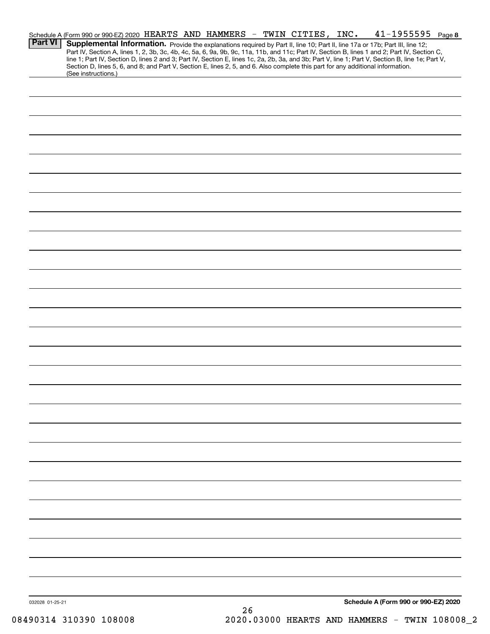| <b>Part VI</b>  | Schedule A (Form 990 or 990-EZ) 2020 HEARTS AND HAMMERS - TWIN CITIES, INC.<br>Section D, lines 5, 6, and 8; and Part V, Section E, lines 2, 5, and 6. Also complete this part for any additional information. |  |  |    |  |  | $41 - 1955595$ Page 8<br>Supplemental Information. Provide the explanations required by Part II, line 10; Part II, line 17a or 17b; Part III, line 12;<br>Part IV, Section A, lines 1, 2, 3b, 3c, 4b, 4c, 5a, 6, 9a, 9b, 9c, 11a, 11b, and 11c; Part IV, Section B, lines 1 and 2; Part IV, Section C,<br>line 1; Part IV, Section D, lines 2 and 3; Part IV, Section E, lines 1c, 2a, 2b, 3a, and 3b; Part V, line 1; Part V, Section B, line 1e; Part V, |  |
|-----------------|----------------------------------------------------------------------------------------------------------------------------------------------------------------------------------------------------------------|--|--|----|--|--|------------------------------------------------------------------------------------------------------------------------------------------------------------------------------------------------------------------------------------------------------------------------------------------------------------------------------------------------------------------------------------------------------------------------------------------------------------|--|
|                 | (See instructions.)                                                                                                                                                                                            |  |  |    |  |  |                                                                                                                                                                                                                                                                                                                                                                                                                                                            |  |
|                 |                                                                                                                                                                                                                |  |  |    |  |  |                                                                                                                                                                                                                                                                                                                                                                                                                                                            |  |
|                 |                                                                                                                                                                                                                |  |  |    |  |  |                                                                                                                                                                                                                                                                                                                                                                                                                                                            |  |
|                 |                                                                                                                                                                                                                |  |  |    |  |  |                                                                                                                                                                                                                                                                                                                                                                                                                                                            |  |
|                 |                                                                                                                                                                                                                |  |  |    |  |  |                                                                                                                                                                                                                                                                                                                                                                                                                                                            |  |
|                 |                                                                                                                                                                                                                |  |  |    |  |  |                                                                                                                                                                                                                                                                                                                                                                                                                                                            |  |
|                 |                                                                                                                                                                                                                |  |  |    |  |  |                                                                                                                                                                                                                                                                                                                                                                                                                                                            |  |
|                 |                                                                                                                                                                                                                |  |  |    |  |  |                                                                                                                                                                                                                                                                                                                                                                                                                                                            |  |
|                 |                                                                                                                                                                                                                |  |  |    |  |  |                                                                                                                                                                                                                                                                                                                                                                                                                                                            |  |
|                 |                                                                                                                                                                                                                |  |  |    |  |  |                                                                                                                                                                                                                                                                                                                                                                                                                                                            |  |
|                 |                                                                                                                                                                                                                |  |  |    |  |  |                                                                                                                                                                                                                                                                                                                                                                                                                                                            |  |
|                 |                                                                                                                                                                                                                |  |  |    |  |  |                                                                                                                                                                                                                                                                                                                                                                                                                                                            |  |
|                 |                                                                                                                                                                                                                |  |  |    |  |  |                                                                                                                                                                                                                                                                                                                                                                                                                                                            |  |
|                 |                                                                                                                                                                                                                |  |  |    |  |  |                                                                                                                                                                                                                                                                                                                                                                                                                                                            |  |
|                 |                                                                                                                                                                                                                |  |  |    |  |  |                                                                                                                                                                                                                                                                                                                                                                                                                                                            |  |
|                 |                                                                                                                                                                                                                |  |  |    |  |  |                                                                                                                                                                                                                                                                                                                                                                                                                                                            |  |
|                 |                                                                                                                                                                                                                |  |  |    |  |  |                                                                                                                                                                                                                                                                                                                                                                                                                                                            |  |
|                 |                                                                                                                                                                                                                |  |  |    |  |  |                                                                                                                                                                                                                                                                                                                                                                                                                                                            |  |
|                 |                                                                                                                                                                                                                |  |  |    |  |  |                                                                                                                                                                                                                                                                                                                                                                                                                                                            |  |
|                 |                                                                                                                                                                                                                |  |  |    |  |  |                                                                                                                                                                                                                                                                                                                                                                                                                                                            |  |
|                 |                                                                                                                                                                                                                |  |  |    |  |  |                                                                                                                                                                                                                                                                                                                                                                                                                                                            |  |
|                 |                                                                                                                                                                                                                |  |  |    |  |  |                                                                                                                                                                                                                                                                                                                                                                                                                                                            |  |
|                 |                                                                                                                                                                                                                |  |  |    |  |  |                                                                                                                                                                                                                                                                                                                                                                                                                                                            |  |
|                 |                                                                                                                                                                                                                |  |  |    |  |  |                                                                                                                                                                                                                                                                                                                                                                                                                                                            |  |
|                 |                                                                                                                                                                                                                |  |  |    |  |  |                                                                                                                                                                                                                                                                                                                                                                                                                                                            |  |
|                 |                                                                                                                                                                                                                |  |  |    |  |  |                                                                                                                                                                                                                                                                                                                                                                                                                                                            |  |
|                 |                                                                                                                                                                                                                |  |  |    |  |  |                                                                                                                                                                                                                                                                                                                                                                                                                                                            |  |
|                 |                                                                                                                                                                                                                |  |  |    |  |  |                                                                                                                                                                                                                                                                                                                                                                                                                                                            |  |
|                 |                                                                                                                                                                                                                |  |  |    |  |  |                                                                                                                                                                                                                                                                                                                                                                                                                                                            |  |
|                 |                                                                                                                                                                                                                |  |  |    |  |  |                                                                                                                                                                                                                                                                                                                                                                                                                                                            |  |
|                 |                                                                                                                                                                                                                |  |  |    |  |  |                                                                                                                                                                                                                                                                                                                                                                                                                                                            |  |
| 032028 01-25-21 |                                                                                                                                                                                                                |  |  | 26 |  |  | Schedule A (Form 990 or 990-EZ) 2020                                                                                                                                                                                                                                                                                                                                                                                                                       |  |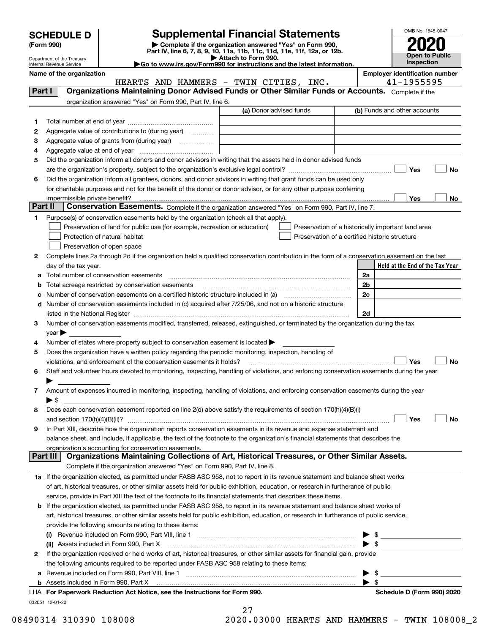| <b>SCHEDULE D</b> |
|-------------------|
|-------------------|

# **SCHEDULE D Supplemental Financial Statements**

**(Form 990)** (**Form 990,**<br>Part IV, line 6, 7, 8, 9, 10, 11a, 11b, 11c, 11d, 11e, 11f, 12a, or 12b.<br>Department of the Treasury **and Exercise Connect Connect Connect Connect Connect Connect Connect Connect Connect** 

HEARTS AND HAMMERS - TWIN CITIES, INC. 41-1955595



Complete if the

Department of the Treasury Internal Revenue Service **Name of the organization Employer identification number**

**|Go to www.irs.gov/Form990 for instructions and the latest information.**

**Part I Organizations Maintaining Donor Advised Funds or Other Similar Funds or Accounts.** 

**Held at the End of the Tax Year** (a) Donor advised funds **123456Yes No Yes**<u>es \_\_\_\_\_\_\_\_ No</u> **12**Complete lines 2a through 2d if the organization held a qualified conservation contribution in the form of a conservation easement on the last **3456789abc** Number of conservation easements on a certified historic structure included in (a) www.communically **d2a2b2c2dYes No Yes No 1a** If the organization elected, as permitted under FASB ASC 958, not to report in its revenue statement and balance sheet works **2**If the organization received or held works of art, historical treasures, or other similar assets for financial gain, provide **b** If the organization elected, as permitted under FASB ASC 958, to report in its revenue statement and balance sheet works of **(i)** Revenue included on Form 990, Part VIII, line 1 ~~~~~~~~~~~~~~~~~~~~~~~~~~~~ | \$ **(ii)** Assets included in Form 990, Part X ~~~~~~~~~~~~~~~~~~~~~~~~~~~~~~~~~ | \$ **a**Revenue included on Form 990, Part VIII, line 1 ~~~~~~~~~~~~~~~~~~~~~~~~~~~~~~**b**organization answered "Yes" on Form 990, Part IV, line 6. (b) Funds and other accounts Total number at end of year ~~~~~~~~~~~~~~~ Aggregate value of contributions to (during year)  $\quad \quad \ldots \ldots \ldots$ Aggregate value of grants from (during year) www.community Aggregate value at end of year ~~~~~~~~~~~~~ Did the organization inform all donors and donor advisors in writing that the assets held in donor advised funds are the organization's property, subject to the organization's exclusive legal control? ~~~~~~~~~~~~~~~~~~ Did the organization inform all grantees, donors, and donor advisors in writing that grant funds can be used only for charitable purposes and not for the benefit of the donor or donor advisor, or for any other purpose conferring impermissible private benefit? **Part II | Conservation Easements.** Complete if the organization answered "Yes" on Form 990, Part IV, line 7. Purpose(s) of conservation easements held by the organization (check all that apply). Preservation of land for public use (for example, recreation or education) **Protection of natural habitat Example 2014** Preservation of open space Preservation of a historically important land area Preservation of a certified historic structure day of the tax year. Total number of conservation easements ~~~~~~~~~~~~~~~~~~~~~~~~~~~~~~~~Total acreage restricted by conservation easements ~~~~~~~~~~~~~~~~~~~~~~~~~~Number of conservation easements included in (c) acquired after 7/25/06, and not on a historic structure listed in the National Register ~~~~~~~~~~~~~~~~~~~~~~~~~~~~~~~~~~~~~~ Number of conservation easements modified, transferred, released, extinguished, or terminated by the organization during the tax  $\vee$ ear $\blacktriangleright$ Number of states where property subject to conservation easement is located  $\blacktriangleright$ Does the organization have a written policy regarding the periodic monitoring, inspection, handling of violations, and enforcement of the conservation easements it holds?  $\Box$   $\Box$   $\Box$   $\Box$ Staff and volunteer hours devoted to monitoring, inspecting, handling of violations, and enforcing conservation easements during the year  $\blacktriangleright$ Amount of expenses incurred in monitoring, inspecting, handling of violations, and enforcing conservation easements during the year  $\blacktriangleright$  \$ Does each conservation easement reported on line 2(d) above satisfy the requirements of section 170(h)(4)(B)(i) and section 170(h)(4)(B)(ii)? ~~~~~~~~~~~~~~~~~~~~~~~~~~~~~~~~~~~~~~~~~~~~~~ In Part XIII, describe how the organization reports conservation easements in its revenue and expense statement and balance sheet, and include, if applicable, the text of the footnote to the organization's financial statements that describes the organization's accounting for conservation easements. Complete if the organization answered "Yes" on Form 990, Part IV, line 8. of art, historical treasures, or other similar assets held for public exhibition, education, or research in furtherance of public service, provide in Part XIII the text of the footnote to its financial statements that describes these items. art, historical treasures, or other similar assets held for public exhibition, education, or research in furtherance of public service, provide the following amounts relating to these items: the following amounts required to be reported under FASB ASC 958 relating to these items: Assets included in Form 990, Part X  $\blacktriangleright$  \$  $\ldots$   $\blacktriangleright$  \$ **Part III Organizations Maintaining Collections of Art, Historical Treasures, or Other Similar Assets.**  $\mathcal{L}^{\text{max}}$  $\mathcal{L}^{\text{max}}$  $\Box$  Yes  $\Box$  $\mathcal{L}^{\text{max}}$  $\mathcal{L}^{\text{max}}$  $\mathcal{L}^{\text{max}}$ 

032051 12-01-20 **For Paperwork Reduction Act Notice, see the Instructions for Form 990. Schedule D (Form 990) 2020** LHA

27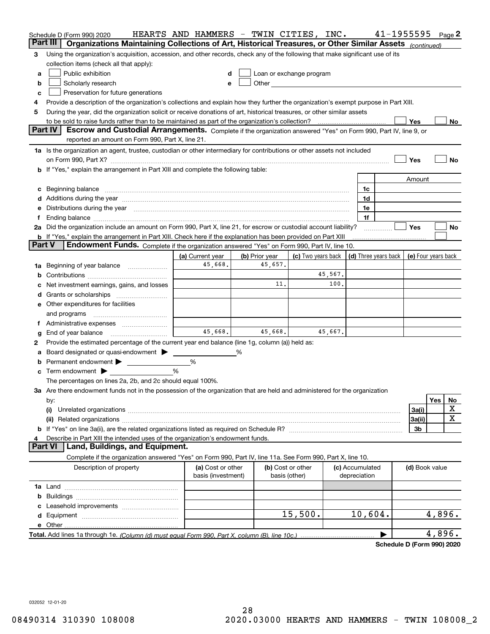|               | Schedule D (Form 990) 2020                                                                                                                                                                                                     | HEARTS AND HAMMERS - TWIN CITIES, INC. |                |                                                                                                                                                                                                                               |                 | 41-1955595 |                     | Page 2         |
|---------------|--------------------------------------------------------------------------------------------------------------------------------------------------------------------------------------------------------------------------------|----------------------------------------|----------------|-------------------------------------------------------------------------------------------------------------------------------------------------------------------------------------------------------------------------------|-----------------|------------|---------------------|----------------|
|               | Part III<br>Organizations Maintaining Collections of Art, Historical Treasures, or Other Similar Assets (continued)                                                                                                            |                                        |                |                                                                                                                                                                                                                               |                 |            |                     |                |
| 3             | Using the organization's acquisition, accession, and other records, check any of the following that make significant use of its                                                                                                |                                        |                |                                                                                                                                                                                                                               |                 |            |                     |                |
|               | collection items (check all that apply):                                                                                                                                                                                       |                                        |                |                                                                                                                                                                                                                               |                 |            |                     |                |
| a             | Public exhibition                                                                                                                                                                                                              | d                                      |                | Loan or exchange program                                                                                                                                                                                                      |                 |            |                     |                |
| b             | Scholarly research                                                                                                                                                                                                             | е                                      |                | Other and the contract of the contract of the contract of the contract of the contract of the contract of the contract of the contract of the contract of the contract of the contract of the contract of the contract of the |                 |            |                     |                |
| c             | Preservation for future generations                                                                                                                                                                                            |                                        |                |                                                                                                                                                                                                                               |                 |            |                     |                |
| 4             | Provide a description of the organization's collections and explain how they further the organization's exempt purpose in Part XIII.                                                                                           |                                        |                |                                                                                                                                                                                                                               |                 |            |                     |                |
| 5             | During the year, did the organization solicit or receive donations of art, historical treasures, or other similar assets                                                                                                       |                                        |                |                                                                                                                                                                                                                               |                 |            |                     |                |
|               |                                                                                                                                                                                                                                |                                        |                |                                                                                                                                                                                                                               |                 |            | Yes                 | No             |
|               | <b>Part IV</b><br>Escrow and Custodial Arrangements. Complete if the organization answered "Yes" on Form 990, Part IV, line 9, or<br>reported an amount on Form 990, Part X, line 21.                                          |                                        |                |                                                                                                                                                                                                                               |                 |            |                     |                |
|               | 1a Is the organization an agent, trustee, custodian or other intermediary for contributions or other assets not included                                                                                                       |                                        |                |                                                                                                                                                                                                                               |                 |            |                     |                |
|               |                                                                                                                                                                                                                                |                                        |                |                                                                                                                                                                                                                               |                 |            | Yes                 | No             |
|               | b If "Yes," explain the arrangement in Part XIII and complete the following table:                                                                                                                                             |                                        |                |                                                                                                                                                                                                                               |                 |            |                     |                |
|               |                                                                                                                                                                                                                                |                                        |                |                                                                                                                                                                                                                               |                 |            | Amount              |                |
|               | c Beginning balance measurements and the contract of the contract of the contract of the contract of the contract of the contract of the contract of the contract of the contract of the contract of the contract of the contr |                                        |                |                                                                                                                                                                                                                               |                 | 1c         |                     |                |
|               |                                                                                                                                                                                                                                |                                        |                |                                                                                                                                                                                                                               |                 | 1d         |                     |                |
|               | Distributions during the year manufactured and continuum and contained and the year manufactured and contained                                                                                                                 |                                        |                |                                                                                                                                                                                                                               |                 | 1e         |                     |                |
|               |                                                                                                                                                                                                                                |                                        |                |                                                                                                                                                                                                                               |                 | 1f         |                     |                |
|               | 2a Did the organization include an amount on Form 990, Part X, line 21, for escrow or custodial account liability?                                                                                                             |                                        |                |                                                                                                                                                                                                                               |                 |            | Yes                 | No             |
|               | b If "Yes," explain the arrangement in Part XIII. Check here if the explanation has been provided on Part XIII                                                                                                                 |                                        |                |                                                                                                                                                                                                                               |                 |            |                     |                |
| <b>Part V</b> | Endowment Funds. Complete if the organization answered "Yes" on Form 990, Part IV, line 10.                                                                                                                                    |                                        |                |                                                                                                                                                                                                                               |                 |            |                     |                |
|               |                                                                                                                                                                                                                                | (a) Current year                       | (b) Prior year | (c) Two years back $ $ (d) Three years back $ $                                                                                                                                                                               |                 |            | (e) Four years back |                |
|               | 1a Beginning of year balance                                                                                                                                                                                                   | 45,668.                                | 45,657.        |                                                                                                                                                                                                                               |                 |            |                     |                |
|               |                                                                                                                                                                                                                                |                                        |                | 45,567.                                                                                                                                                                                                                       |                 |            |                     |                |
|               | Net investment earnings, gains, and losses                                                                                                                                                                                     |                                        | 11.            |                                                                                                                                                                                                                               | 100.            |            |                     |                |
| a             | Grants or scholarships                                                                                                                                                                                                         |                                        |                |                                                                                                                                                                                                                               |                 |            |                     |                |
|               | <b>e</b> Other expenditures for facilities                                                                                                                                                                                     |                                        |                |                                                                                                                                                                                                                               |                 |            |                     |                |
|               | and programs                                                                                                                                                                                                                   |                                        |                |                                                                                                                                                                                                                               |                 |            |                     |                |
| Ť.            |                                                                                                                                                                                                                                |                                        |                |                                                                                                                                                                                                                               |                 |            |                     |                |
| g             | End of year balance                                                                                                                                                                                                            | 45,668.                                | 45,668.        | 45,667.                                                                                                                                                                                                                       |                 |            |                     |                |
| 2             | Provide the estimated percentage of the current year end balance (line 1g, column (a)) held as:                                                                                                                                |                                        |                |                                                                                                                                                                                                                               |                 |            |                     |                |
| а             | Board designated or quasi-endowment                                                                                                                                                                                            |                                        |                |                                                                                                                                                                                                                               |                 |            |                     |                |
| b             | Permanent endowment $\blacktriangleright$                                                                                                                                                                                      | %                                      |                |                                                                                                                                                                                                                               |                 |            |                     |                |
|               | Term endowment $\blacktriangleright$                                                                                                                                                                                           | %                                      |                |                                                                                                                                                                                                                               |                 |            |                     |                |
|               | The percentages on lines 2a, 2b, and 2c should equal 100%.                                                                                                                                                                     |                                        |                |                                                                                                                                                                                                                               |                 |            |                     |                |
|               | 3a Are there endowment funds not in the possession of the organization that are held and administered for the organization                                                                                                     |                                        |                |                                                                                                                                                                                                                               |                 |            |                     |                |
|               | by:                                                                                                                                                                                                                            |                                        |                |                                                                                                                                                                                                                               |                 |            |                     | Yes<br>No<br>х |
|               | (i)                                                                                                                                                                                                                            |                                        |                |                                                                                                                                                                                                                               |                 |            | 3a(i)               | х              |
|               | (ii)                                                                                                                                                                                                                           |                                        |                |                                                                                                                                                                                                                               |                 |            | 3a(ii)<br>3b        |                |
|               | Describe in Part XIII the intended uses of the organization's endowment funds.                                                                                                                                                 |                                        |                |                                                                                                                                                                                                                               |                 |            |                     |                |
|               | Land, Buildings, and Equipment.<br><b>Part VI</b>                                                                                                                                                                              |                                        |                |                                                                                                                                                                                                                               |                 |            |                     |                |
|               | Complete if the organization answered "Yes" on Form 990, Part IV, line 11a. See Form 990, Part X, line 10.                                                                                                                     |                                        |                |                                                                                                                                                                                                                               |                 |            |                     |                |
|               | Description of property                                                                                                                                                                                                        | (a) Cost or other                      |                | (b) Cost or other                                                                                                                                                                                                             | (c) Accumulated |            | (d) Book value      |                |
|               |                                                                                                                                                                                                                                | basis (investment)                     |                | basis (other)                                                                                                                                                                                                                 | depreciation    |            |                     |                |
|               |                                                                                                                                                                                                                                |                                        |                |                                                                                                                                                                                                                               |                 |            |                     |                |
|               |                                                                                                                                                                                                                                |                                        |                |                                                                                                                                                                                                                               |                 |            |                     |                |
|               |                                                                                                                                                                                                                                |                                        |                |                                                                                                                                                                                                                               |                 |            |                     |                |
|               |                                                                                                                                                                                                                                |                                        |                | 15,500.                                                                                                                                                                                                                       |                 | 10,604.    |                     | 4,896.         |
|               |                                                                                                                                                                                                                                |                                        |                |                                                                                                                                                                                                                               |                 |            |                     | 4,896.         |
|               |                                                                                                                                                                                                                                |                                        |                |                                                                                                                                                                                                                               |                 |            |                     |                |

**Schedule D (Form 990) 2020**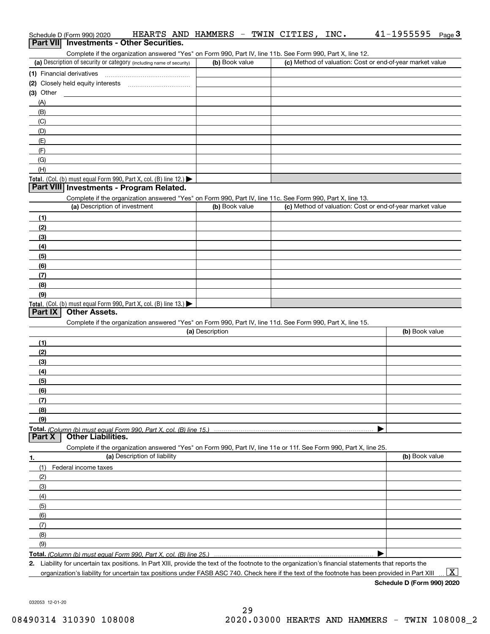| HEARTS AND HAMMERS<br>Schedule D (Form 990) 2020                                                                                                                                   |                 | - TWIN CITIES,<br>INC.                                    | 41-1955595<br>Page $3$ |
|------------------------------------------------------------------------------------------------------------------------------------------------------------------------------------|-----------------|-----------------------------------------------------------|------------------------|
| Part VII Investments - Other Securities.                                                                                                                                           |                 |                                                           |                        |
| Complete if the organization answered "Yes" on Form 990, Part IV, line 11b. See Form 990, Part X, line 12.<br>(a) Description of security or category (including name of security) | (b) Book value  | (c) Method of valuation: Cost or end-of-year market value |                        |
|                                                                                                                                                                                    |                 |                                                           |                        |
| (1) Financial derivatives                                                                                                                                                          |                 |                                                           |                        |
| $(3)$ Other                                                                                                                                                                        |                 |                                                           |                        |
| (A)                                                                                                                                                                                |                 |                                                           |                        |
| (B)                                                                                                                                                                                |                 |                                                           |                        |
| (C)                                                                                                                                                                                |                 |                                                           |                        |
| (D)                                                                                                                                                                                |                 |                                                           |                        |
| (E)                                                                                                                                                                                |                 |                                                           |                        |
| (F)                                                                                                                                                                                |                 |                                                           |                        |
| (G)                                                                                                                                                                                |                 |                                                           |                        |
| (H)                                                                                                                                                                                |                 |                                                           |                        |
| Total. (Col. (b) must equal Form 990, Part X, col. (B) line 12.) $\blacktriangleright$                                                                                             |                 |                                                           |                        |
| Part VIII Investments - Program Related.                                                                                                                                           |                 |                                                           |                        |
| Complete if the organization answered "Yes" on Form 990, Part IV, line 11c. See Form 990, Part X, line 13.                                                                         |                 |                                                           |                        |
| (a) Description of investment                                                                                                                                                      | (b) Book value  | (c) Method of valuation: Cost or end-of-year market value |                        |
| (1)                                                                                                                                                                                |                 |                                                           |                        |
| (2)                                                                                                                                                                                |                 |                                                           |                        |
| (3)                                                                                                                                                                                |                 |                                                           |                        |
| (4)                                                                                                                                                                                |                 |                                                           |                        |
| (5)                                                                                                                                                                                |                 |                                                           |                        |
| (6)                                                                                                                                                                                |                 |                                                           |                        |
| (7)                                                                                                                                                                                |                 |                                                           |                        |
| (8)                                                                                                                                                                                |                 |                                                           |                        |
| (9)                                                                                                                                                                                |                 |                                                           |                        |
| Total. (Col. (b) must equal Form 990, Part X, col. (B) line 13.)                                                                                                                   |                 |                                                           |                        |
| <b>Other Assets.</b><br>Part IX                                                                                                                                                    |                 |                                                           |                        |
| Complete if the organization answered "Yes" on Form 990, Part IV, line 11d. See Form 990, Part X, line 15.                                                                         | (a) Description |                                                           | (b) Book value         |
|                                                                                                                                                                                    |                 |                                                           |                        |
| (1)                                                                                                                                                                                |                 |                                                           |                        |
| (2)                                                                                                                                                                                |                 |                                                           |                        |
| (3)                                                                                                                                                                                |                 |                                                           |                        |
| (4)                                                                                                                                                                                |                 |                                                           |                        |
| (5)<br>(6)                                                                                                                                                                         |                 |                                                           |                        |
| (7)                                                                                                                                                                                |                 |                                                           |                        |
| (8)                                                                                                                                                                                |                 |                                                           |                        |
| (9)                                                                                                                                                                                |                 |                                                           |                        |
|                                                                                                                                                                                    |                 |                                                           |                        |
| <b>Other Liabilities.</b><br>Part X                                                                                                                                                |                 |                                                           |                        |
| Complete if the organization answered "Yes" on Form 990, Part IV, line 11e or 11f. See Form 990, Part X, line 25.                                                                  |                 |                                                           |                        |
| (a) Description of liability<br>1.                                                                                                                                                 |                 |                                                           | (b) Book value         |
| (1)<br>Federal income taxes                                                                                                                                                        |                 |                                                           |                        |
| (2)                                                                                                                                                                                |                 |                                                           |                        |
| (3)                                                                                                                                                                                |                 |                                                           |                        |
| (4)                                                                                                                                                                                |                 |                                                           |                        |
| (5)                                                                                                                                                                                |                 |                                                           |                        |
| (6)                                                                                                                                                                                |                 |                                                           |                        |
| (7)                                                                                                                                                                                |                 |                                                           |                        |
| (8)                                                                                                                                                                                |                 |                                                           |                        |
| (9)                                                                                                                                                                                |                 |                                                           |                        |
|                                                                                                                                                                                    |                 |                                                           |                        |
| 2. Liability for uncertain tax positions. In Part XIII, provide the text of the footnote to the organization's financial statements that reports the                               |                 |                                                           |                        |
| organization's liability for uncertain tax positions under FASB ASC 740. Check here if the text of the footnote has been provided in Part XIII                                     |                 |                                                           | $\mathbf{x}$           |

**Schedule D (Form 990) 2020**

032053 12-01-20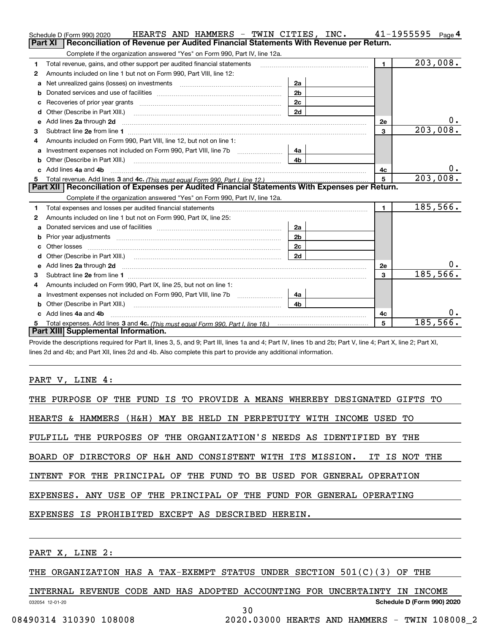|    | HEARTS AND HAMMERS - TWIN CITIES, INC.<br>Schedule D (Form 990) 2020                                                   |                |                 | 41-1955595<br>Page 4    |
|----|------------------------------------------------------------------------------------------------------------------------|----------------|-----------------|-------------------------|
|    | Reconciliation of Revenue per Audited Financial Statements With Revenue per Return.<br>Part XI                         |                |                 |                         |
|    | Complete if the organization answered "Yes" on Form 990, Part IV, line 12a.                                            |                |                 |                         |
| 1  | Total revenue, gains, and other support per audited financial statements                                               |                | $\blacksquare$  | $\overline{203}$ , 008. |
| 2  | Amounts included on line 1 but not on Form 990, Part VIII, line 12:                                                    |                |                 |                         |
| a  | Net unrealized gains (losses) on investments [11] [11] Net unrealized gains (losses) on investments                    | 2a             |                 |                         |
|    |                                                                                                                        | 2 <sub>b</sub> |                 |                         |
| c  |                                                                                                                        | 2 <sub>c</sub> |                 |                         |
| d  | Other (Describe in Part XIII.) <b>Construction Construction</b> Chern Construction Chern Chern Chern Chern Chern Chern | 2d             |                 |                         |
| e  | Add lines 2a through 2d <b>contained a contained a contained a contained a</b> contained a contained a contact the set |                | 2e              | 0.                      |
| 3  |                                                                                                                        |                | 3               | 203,008.                |
| 4  | Amounts included on Form 990, Part VIII, line 12, but not on line 1:                                                   |                |                 |                         |
|    | Investment expenses not included on Form 990, Part VIII, line 7b                                                       | 4a             |                 |                         |
| b  |                                                                                                                        | 4 <sub>b</sub> |                 |                         |
| C. | Add lines 4a and 4b                                                                                                    |                | 4с              | 0.                      |
| 5  |                                                                                                                        |                | $5\overline{5}$ | 203,008.                |
|    |                                                                                                                        |                |                 |                         |
|    | Part XII   Reconciliation of Expenses per Audited Financial Statements With Expenses per Return.                       |                |                 |                         |
|    | Complete if the organization answered "Yes" on Form 990, Part IV, line 12a.                                            |                |                 |                         |
| 1  |                                                                                                                        |                | $\mathbf{1}$    | 185,566.                |
| 2  | Amounts included on line 1 but not on Form 990, Part IX, line 25:                                                      |                |                 |                         |
| a  |                                                                                                                        | 2a             |                 |                         |
| b  |                                                                                                                        | 2 <sub>b</sub> |                 |                         |
| c  |                                                                                                                        | 2 <sub>c</sub> |                 |                         |
|    | Other (Describe in Part XIII.) (2000) (2000) (2000) (2010) (2010) (2010) (2010) (2010) (2010) (2010) (2010) (20        | 2d             |                 |                         |
| е  | Add lines 2a through 2d <b>contained a contained a contained a contained a</b> contained a contained a contact the set |                | 2e              | 0.                      |
| 3  |                                                                                                                        |                | 3               | 185,566.                |
| 4  | Amounts included on Form 990, Part IX, line 25, but not on line 1:                                                     |                |                 |                         |
| a  | Investment expenses not included on Form 990, Part VIII, line 7b [1000000000000000000000000000000000                   | 4a             |                 |                         |
| b  |                                                                                                                        | 4 <sub>b</sub> |                 |                         |
|    | Add lines 4a and 4b                                                                                                    |                | 4c              | 0.                      |
|    | Part XIII Supplemental Information.                                                                                    |                | 5               | 185, 566.               |

Provide the descriptions required for Part II, lines 3, 5, and 9; Part III, lines 1a and 4; Part IV, lines 1b and 2b; Part V, line 4; Part X, line 2; Part XI, lines 2d and 4b; and Part XII, lines 2d and 4b. Also complete this part to provide any additional information.

### PART V, LINE 4:

| THE PURPOSE OF THE FUND IS TO PROVIDE A MEANS WHEREBY DESIGNATED GIFTS TO |
|---------------------------------------------------------------------------|
| HEARTS & HAMMERS (H&H) MAY BE HELD IN PERPETUITY WITH INCOME USED TO      |
| FULFILL THE PURPOSES OF THE ORGANIZATION'S NEEDS AS IDENTIFIED BY THE     |
| BOARD OF DIRECTORS OF H&H AND CONSISTENT WITH ITS MISSION. IT IS NOT THE  |
| INTENT FOR THE PRINCIPAL OF THE FUND TO BE USED FOR GENERAL OPERATION     |
| EXPENSES. ANY USE OF THE PRINCIPAL OF THE FUND FOR GENERAL OPERATING      |
| EXPENSES IS PROHIBITED EXCEPT AS DESCRIBED HEREIN.                        |
|                                                                           |

PART X, LINE 2:

THE ORGANIZATION HAS A TAX-EXEMPT STATUS UNDER SECTION 501(C)(3) OF THE

032054 12-01-20 **Schedule D (Form 990) 2020** INTERNAL REVENUE CODE AND HAS ADOPTED ACCOUNTING FOR UNCERTAINTY IN INCOME 30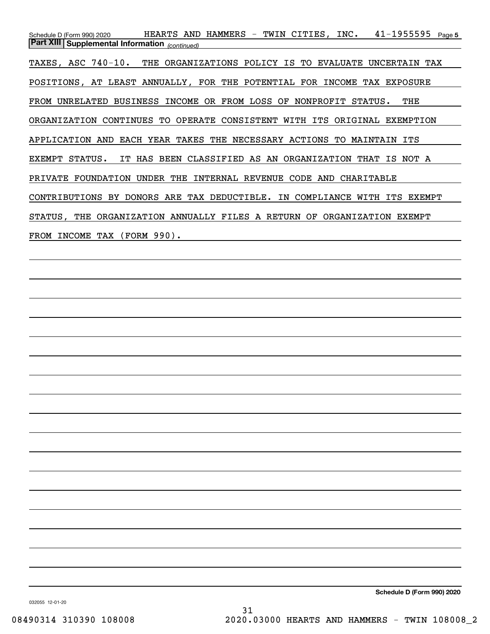Schedule D (Form 990) 2020 HEARTS AND HAMMERS – TWIN CITIES , INC 41-1955595 <sub>Page 5</sub> *(continued)* **Part XIII Supplemental Information**  TAXES, ASC 740-10. THE ORGANIZATIONS POLICY IS TO EVALUATE UNCERTAIN TAX POSITIONS, AT LEAST ANNUALLY, FOR THE POTENTIAL FOR INCOME TAX EXPOSURE FROM UNRELATED BUSINESS INCOME OR FROM LOSS OF NONPROFIT STATUS. THE ORGANIZATION CONTINUES TO OPERATE CONSISTENT WITH ITS ORIGINAL EXEMPTION APPLICATION AND EACH YEAR TAKES THE NECESSARY ACTIONS TO MAINTAIN ITS EXEMPT STATUS. IT HAS BEEN CLASSIFIED AS AN ORGANIZATION THAT IS NOT A PRIVATE FOUNDATION UNDER THE INTERNAL REVENUE CODE AND CHARITABLE CONTRIBUTIONS BY DONORS ARE TAX DEDUCTIBLE. IN COMPLIANCE WITH ITS EXEMPT STATUS, THE ORGANIZATION ANNUALLY FILES A RETURN OF ORGANIZATION EXEMPT FROM INCOME TAX (FORM 990).

**Schedule D (Form 990) 2020**

032055 12-01-20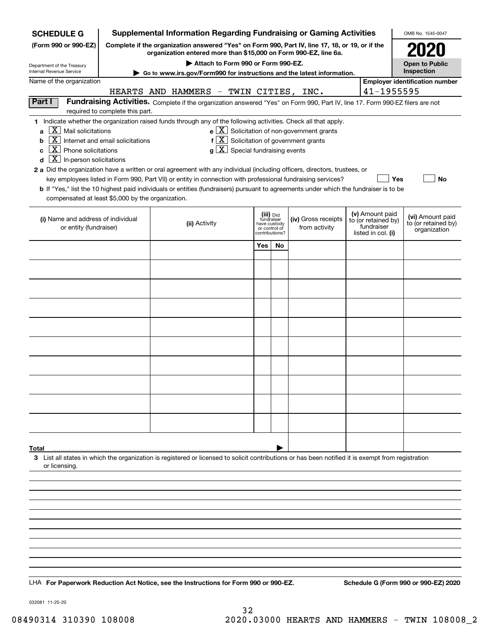| <b>SCHEDULE G</b>                                                                                                                                                                        | <b>Supplemental Information Regarding Fundraising or Gaming Activities</b><br>OMB No. 1545-0047                                                                     |                                                                                                                                                                                                                                                                                                                                                                                                                                                                                                                                                                                           |                       |                                                                            |  |                                                                      |  |                                                                            |                                                         |
|------------------------------------------------------------------------------------------------------------------------------------------------------------------------------------------|---------------------------------------------------------------------------------------------------------------------------------------------------------------------|-------------------------------------------------------------------------------------------------------------------------------------------------------------------------------------------------------------------------------------------------------------------------------------------------------------------------------------------------------------------------------------------------------------------------------------------------------------------------------------------------------------------------------------------------------------------------------------------|-----------------------|----------------------------------------------------------------------------|--|----------------------------------------------------------------------|--|----------------------------------------------------------------------------|---------------------------------------------------------|
| (Form 990 or 990-EZ)                                                                                                                                                                     | Complete if the organization answered "Yes" on Form 990, Part IV, line 17, 18, or 19, or if the<br>organization entered more than \$15,000 on Form 990-EZ, line 6a. |                                                                                                                                                                                                                                                                                                                                                                                                                                                                                                                                                                                           |                       |                                                                            |  |                                                                      |  |                                                                            |                                                         |
|                                                                                                                                                                                          |                                                                                                                                                                     |                                                                                                                                                                                                                                                                                                                                                                                                                                                                                                                                                                                           | <b>Open to Public</b> |                                                                            |  |                                                                      |  |                                                                            |                                                         |
| Department of the Treasury<br>Internal Revenue Service                                                                                                                                   |                                                                                                                                                                     | Attach to Form 990 or Form 990-EZ.<br>Go to www.irs.gov/Form990 for instructions and the latest information.                                                                                                                                                                                                                                                                                                                                                                                                                                                                              |                       |                                                                            |  |                                                                      |  |                                                                            | Inspection                                              |
| Name of the organization<br>HEARTS AND HAMMERS - TWIN CITIES, INC.                                                                                                                       |                                                                                                                                                                     |                                                                                                                                                                                                                                                                                                                                                                                                                                                                                                                                                                                           |                       |                                                                            |  |                                                                      |  | 41-1955595                                                                 | <b>Employer identification number</b>                   |
| Part I                                                                                                                                                                                   | required to complete this part.                                                                                                                                     | Fundraising Activities. Complete if the organization answered "Yes" on Form 990, Part IV, line 17. Form 990-EZ filers are not                                                                                                                                                                                                                                                                                                                                                                                                                                                             |                       |                                                                            |  |                                                                      |  |                                                                            |                                                         |
| X  <br>Mail solicitations<br>a<br>X<br>b<br>$\mathbf{X}$<br>Phone solicitations<br>c<br>$\overline{X}$ In-person solicitations<br>d<br>compensated at least \$5,000 by the organization. | Internet and email solicitations                                                                                                                                    | 1 Indicate whether the organization raised funds through any of the following activities. Check all that apply.<br>$f[X]$ Solicitation of government grants<br>$g\mid X$ Special fundraising events<br>2 a Did the organization have a written or oral agreement with any individual (including officers, directors, trustees, or<br>key employees listed in Form 990, Part VII) or entity in connection with professional fundraising services?<br>b If "Yes," list the 10 highest paid individuals or entities (fundraisers) pursuant to agreements under which the fundraiser is to be |                       |                                                                            |  | $\mathbf{e} \times \mathbf{X}$ Solicitation of non-government grants |  | Yes                                                                        | <b>No</b>                                               |
| (i) Name and address of individual<br>or entity (fundraiser)                                                                                                                             |                                                                                                                                                                     | (ii) Activity                                                                                                                                                                                                                                                                                                                                                                                                                                                                                                                                                                             |                       | (iii) Did<br>fundraiser<br>have custody<br>or control of<br>contributions? |  | (iv) Gross receipts<br>from activity                                 |  | (v) Amount paid<br>to (or retained by)<br>fundraiser<br>listed in col. (i) | (vi) Amount paid<br>to (or retained by)<br>organization |
|                                                                                                                                                                                          |                                                                                                                                                                     |                                                                                                                                                                                                                                                                                                                                                                                                                                                                                                                                                                                           | Yes                   | No                                                                         |  |                                                                      |  |                                                                            |                                                         |
|                                                                                                                                                                                          |                                                                                                                                                                     |                                                                                                                                                                                                                                                                                                                                                                                                                                                                                                                                                                                           |                       |                                                                            |  |                                                                      |  |                                                                            |                                                         |
|                                                                                                                                                                                          |                                                                                                                                                                     |                                                                                                                                                                                                                                                                                                                                                                                                                                                                                                                                                                                           |                       |                                                                            |  |                                                                      |  |                                                                            |                                                         |
|                                                                                                                                                                                          |                                                                                                                                                                     |                                                                                                                                                                                                                                                                                                                                                                                                                                                                                                                                                                                           |                       |                                                                            |  |                                                                      |  |                                                                            |                                                         |
|                                                                                                                                                                                          |                                                                                                                                                                     |                                                                                                                                                                                                                                                                                                                                                                                                                                                                                                                                                                                           |                       |                                                                            |  |                                                                      |  |                                                                            |                                                         |
|                                                                                                                                                                                          |                                                                                                                                                                     |                                                                                                                                                                                                                                                                                                                                                                                                                                                                                                                                                                                           |                       |                                                                            |  |                                                                      |  |                                                                            |                                                         |
|                                                                                                                                                                                          |                                                                                                                                                                     |                                                                                                                                                                                                                                                                                                                                                                                                                                                                                                                                                                                           |                       |                                                                            |  |                                                                      |  |                                                                            |                                                         |
|                                                                                                                                                                                          |                                                                                                                                                                     |                                                                                                                                                                                                                                                                                                                                                                                                                                                                                                                                                                                           |                       |                                                                            |  |                                                                      |  |                                                                            |                                                         |
|                                                                                                                                                                                          |                                                                                                                                                                     |                                                                                                                                                                                                                                                                                                                                                                                                                                                                                                                                                                                           |                       |                                                                            |  |                                                                      |  |                                                                            |                                                         |
|                                                                                                                                                                                          |                                                                                                                                                                     |                                                                                                                                                                                                                                                                                                                                                                                                                                                                                                                                                                                           |                       |                                                                            |  |                                                                      |  |                                                                            |                                                         |
|                                                                                                                                                                                          |                                                                                                                                                                     |                                                                                                                                                                                                                                                                                                                                                                                                                                                                                                                                                                                           |                       |                                                                            |  |                                                                      |  |                                                                            |                                                         |
|                                                                                                                                                                                          |                                                                                                                                                                     |                                                                                                                                                                                                                                                                                                                                                                                                                                                                                                                                                                                           |                       |                                                                            |  |                                                                      |  |                                                                            |                                                         |
|                                                                                                                                                                                          |                                                                                                                                                                     |                                                                                                                                                                                                                                                                                                                                                                                                                                                                                                                                                                                           |                       |                                                                            |  |                                                                      |  |                                                                            |                                                         |
| Total<br>or licensing.                                                                                                                                                                   |                                                                                                                                                                     | 3 List all states in which the organization is registered or licensed to solicit contributions or has been notified it is exempt from registration                                                                                                                                                                                                                                                                                                                                                                                                                                        |                       |                                                                            |  |                                                                      |  |                                                                            |                                                         |
|                                                                                                                                                                                          |                                                                                                                                                                     |                                                                                                                                                                                                                                                                                                                                                                                                                                                                                                                                                                                           |                       |                                                                            |  |                                                                      |  |                                                                            |                                                         |
|                                                                                                                                                                                          |                                                                                                                                                                     |                                                                                                                                                                                                                                                                                                                                                                                                                                                                                                                                                                                           |                       |                                                                            |  |                                                                      |  |                                                                            |                                                         |
|                                                                                                                                                                                          |                                                                                                                                                                     |                                                                                                                                                                                                                                                                                                                                                                                                                                                                                                                                                                                           |                       |                                                                            |  |                                                                      |  |                                                                            |                                                         |
|                                                                                                                                                                                          |                                                                                                                                                                     |                                                                                                                                                                                                                                                                                                                                                                                                                                                                                                                                                                                           |                       |                                                                            |  |                                                                      |  |                                                                            |                                                         |
|                                                                                                                                                                                          |                                                                                                                                                                     |                                                                                                                                                                                                                                                                                                                                                                                                                                                                                                                                                                                           |                       |                                                                            |  |                                                                      |  |                                                                            |                                                         |
|                                                                                                                                                                                          |                                                                                                                                                                     |                                                                                                                                                                                                                                                                                                                                                                                                                                                                                                                                                                                           |                       |                                                                            |  |                                                                      |  |                                                                            |                                                         |
|                                                                                                                                                                                          |                                                                                                                                                                     | LHA For Paperwork Reduction Act Notice, see the Instructions for Form 990 or 990-EZ.                                                                                                                                                                                                                                                                                                                                                                                                                                                                                                      |                       |                                                                            |  |                                                                      |  |                                                                            | Schedule G (Form 990 or 990-EZ) 2020                    |

032081 11-25-20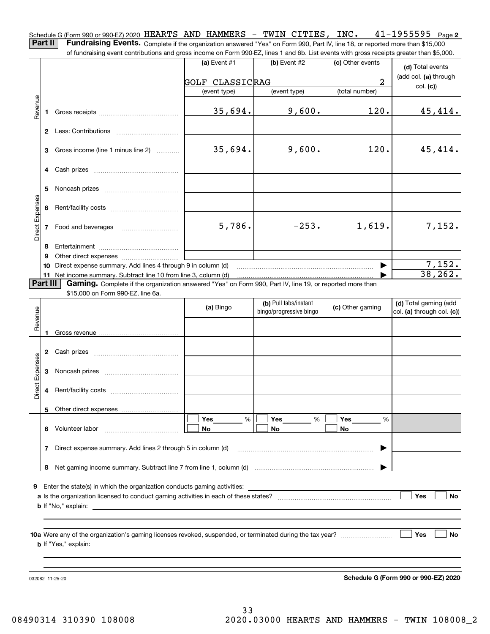**2** Schedule G (Form 990 or 990-EZ) 2020 <code>HEARTS AND HAMMERS – TWIN CITIES, INC.  $41\text{--}1955595$  Page</code> **Part II** | Fundraising Events. Complete if the organization answered "Yes" on Form 990, Part IV, line 18, or reported more than \$15,000

of fundraising event contributions and gross income on Form 990-EZ, lines 1 and 6b. List events with gross receipts greater than \$5,000.

|                 |              | 01 lungasing event contributions and gross income on Form 990-EZ, inles T and OD. Elst events with gross receipts greater than \$0,000. |                        |                                                  |                  |                                                     |
|-----------------|--------------|-----------------------------------------------------------------------------------------------------------------------------------------|------------------------|--------------------------------------------------|------------------|-----------------------------------------------------|
|                 |              |                                                                                                                                         | (a) Event $#1$         | $(b)$ Event #2                                   | (c) Other events | (d) Total events                                    |
|                 |              |                                                                                                                                         | <b>GOLF CLASSICRAG</b> |                                                  | $\overline{a}$   | (add col. (a) through                               |
|                 |              |                                                                                                                                         | (event type)           | (event type)                                     | (total number)   | col. (c)                                            |
| Revenue         | 1            |                                                                                                                                         | 35,694.                | 9,600.                                           | 120.             | 45,414.                                             |
|                 |              |                                                                                                                                         |                        |                                                  |                  |                                                     |
|                 |              |                                                                                                                                         |                        |                                                  |                  |                                                     |
|                 | 3            | Gross income (line 1 minus line 2)                                                                                                      | 35,694.                | 9,600.                                           | 120.             | 45,414.                                             |
|                 | 4            | Cash prizes                                                                                                                             |                        |                                                  |                  |                                                     |
|                 | 5            |                                                                                                                                         |                        |                                                  |                  |                                                     |
| Direct Expenses | 6            |                                                                                                                                         |                        |                                                  |                  |                                                     |
|                 |              |                                                                                                                                         | 5,786.                 | $-253.$                                          | 1,619.           | 7,152.                                              |
|                 |              |                                                                                                                                         |                        |                                                  |                  |                                                     |
|                 | 8<br>9       |                                                                                                                                         |                        |                                                  |                  |                                                     |
|                 | 10           | Direct expense summary. Add lines 4 through 9 in column (d)                                                                             |                        |                                                  |                  |                                                     |
|                 |              | 11 Net income summary. Subtract line 10 from line 3, column (d)                                                                         |                        |                                                  |                  | $\frac{7,152}{38,262}$                              |
|                 | Part III     | Gaming. Complete if the organization answered "Yes" on Form 990, Part IV, line 19, or reported more than                                |                        |                                                  |                  |                                                     |
|                 |              | \$15,000 on Form 990-EZ, line 6a.                                                                                                       |                        |                                                  |                  |                                                     |
| Revenue         |              |                                                                                                                                         | (a) Bingo              | (b) Pull tabs/instant<br>bingo/progressive bingo | (c) Other gaming | (d) Total gaming (add<br>col. (a) through col. (c)) |
|                 | 1            |                                                                                                                                         |                        |                                                  |                  |                                                     |
|                 |              |                                                                                                                                         |                        |                                                  |                  |                                                     |
|                 | $\mathbf{2}$ |                                                                                                                                         |                        |                                                  |                  |                                                     |
|                 | 3            |                                                                                                                                         |                        |                                                  |                  |                                                     |
| Direct Expenses | 4            |                                                                                                                                         |                        |                                                  |                  |                                                     |
|                 |              | 5 Other direct expenses                                                                                                                 |                        |                                                  |                  |                                                     |
|                 |              |                                                                                                                                         | Yes<br>%               | Yes<br>%                                         | Yes<br>%         |                                                     |
|                 | 6            | Volunteer labor                                                                                                                         | No                     | No                                               | No               |                                                     |
|                 |              | 7 Direct expense summary. Add lines 2 through 5 in column (d)                                                                           |                        |                                                  |                  |                                                     |
|                 | 8            |                                                                                                                                         |                        |                                                  |                  |                                                     |
|                 |              |                                                                                                                                         |                        |                                                  |                  |                                                     |
| 9               |              | Enter the state(s) in which the organization conducts gaming activities:                                                                |                        |                                                  |                  |                                                     |
|                 |              |                                                                                                                                         |                        |                                                  |                  | Yes<br><b>No</b>                                    |
|                 |              | <b>b</b> If "No," explain:                                                                                                              |                        |                                                  |                  |                                                     |
|                 |              |                                                                                                                                         |                        |                                                  |                  |                                                     |
|                 |              |                                                                                                                                         |                        |                                                  |                  |                                                     |
|                 |              |                                                                                                                                         |                        |                                                  |                  | Yes<br><b>No</b>                                    |
|                 |              | <b>b</b> If "Yes," explain:                                                                                                             |                        |                                                  |                  |                                                     |
|                 |              |                                                                                                                                         |                        |                                                  |                  |                                                     |
|                 |              |                                                                                                                                         |                        |                                                  |                  |                                                     |
|                 |              | 032082 11-25-20                                                                                                                         |                        |                                                  |                  | Schedule G (Form 990 or 990-EZ) 2020                |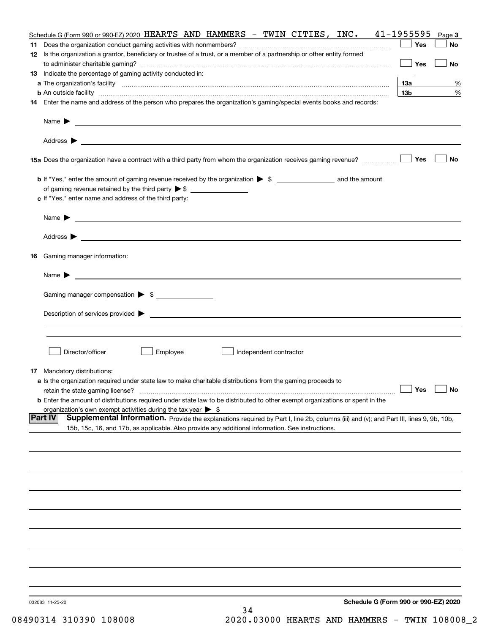|     | Schedule G (Form 990 or 990-EZ) 2020 HEARTS AND HAMMERS - TWIN CITIES, INC. 41-1955595                                                             |                 | Page 3    |
|-----|----------------------------------------------------------------------------------------------------------------------------------------------------|-----------------|-----------|
| 11. |                                                                                                                                                    | Yes             | No        |
|     | 12 Is the organization a grantor, beneficiary or trustee of a trust, or a member of a partnership or other entity formed                           |                 |           |
|     |                                                                                                                                                    | Yes             | No        |
|     | 13 Indicate the percentage of gaming activity conducted in:                                                                                        |                 |           |
|     |                                                                                                                                                    | <b>13a</b>      | %         |
|     | <b>b</b> An outside facility <i>www.communicality www.communicality.communicality www.communicality www.communicality.com</i>                      | 13 <sub>b</sub> | %         |
|     | 14 Enter the name and address of the person who prepares the organization's gaming/special events books and records:                               |                 |           |
|     |                                                                                                                                                    |                 |           |
|     | Name $\triangleright$ $\square$                                                                                                                    |                 |           |
|     |                                                                                                                                                    |                 |           |
|     |                                                                                                                                                    |                 |           |
|     |                                                                                                                                                    | Yes             | No        |
|     |                                                                                                                                                    |                 |           |
|     |                                                                                                                                                    |                 |           |
|     |                                                                                                                                                    |                 |           |
|     | c If "Yes," enter name and address of the third party:                                                                                             |                 |           |
|     |                                                                                                                                                    |                 |           |
|     | Name $\blacktriangleright$ $\lrcorner$                                                                                                             |                 |           |
|     |                                                                                                                                                    |                 |           |
|     |                                                                                                                                                    |                 |           |
|     | 16 Gaming manager information:                                                                                                                     |                 |           |
|     |                                                                                                                                                    |                 |           |
|     | Name $\blacktriangleright$ $\lrcorner$                                                                                                             |                 |           |
|     |                                                                                                                                                    |                 |           |
|     | Gaming manager compensation > \$                                                                                                                   |                 |           |
|     |                                                                                                                                                    |                 |           |
|     | $Description of services provided$ $\triangleright$                                                                                                |                 |           |
|     |                                                                                                                                                    |                 |           |
|     |                                                                                                                                                    |                 |           |
|     |                                                                                                                                                    |                 |           |
|     | Director/officer<br>Employee<br>Independent contractor                                                                                             |                 |           |
|     |                                                                                                                                                    |                 |           |
|     | <b>17</b> Mandatory distributions:<br>a Is the organization required under state law to make charitable distributions from the gaming proceeds to  |                 |           |
|     | retain the state gaming license?                                                                                                                   | $\Box$ Yes      | $\Box$ No |
|     | <b>b</b> Enter the amount of distributions required under state law to be distributed to other exempt organizations or spent in the                |                 |           |
|     | organization's own exempt activities during the tax year $\triangleright$ \$                                                                       |                 |           |
|     | Supplemental Information. Provide the explanations required by Part I, line 2b, columns (iii) and (v); and Part III, lines 9, 9b, 10b,<br> Part IV |                 |           |
|     | 15b, 15c, 16, and 17b, as applicable. Also provide any additional information. See instructions.                                                   |                 |           |
|     |                                                                                                                                                    |                 |           |
|     |                                                                                                                                                    |                 |           |
|     |                                                                                                                                                    |                 |           |
|     |                                                                                                                                                    |                 |           |
|     |                                                                                                                                                    |                 |           |
|     |                                                                                                                                                    |                 |           |
|     |                                                                                                                                                    |                 |           |
|     |                                                                                                                                                    |                 |           |
|     |                                                                                                                                                    |                 |           |
|     |                                                                                                                                                    |                 |           |
|     |                                                                                                                                                    |                 |           |
|     |                                                                                                                                                    |                 |           |
|     |                                                                                                                                                    |                 |           |
|     |                                                                                                                                                    |                 |           |
|     |                                                                                                                                                    |                 |           |
|     |                                                                                                                                                    |                 |           |
|     | Schedule G (Form 990 or 990-EZ) 2020<br>032083 11-25-20<br>34                                                                                      |                 |           |
|     |                                                                                                                                                    |                 |           |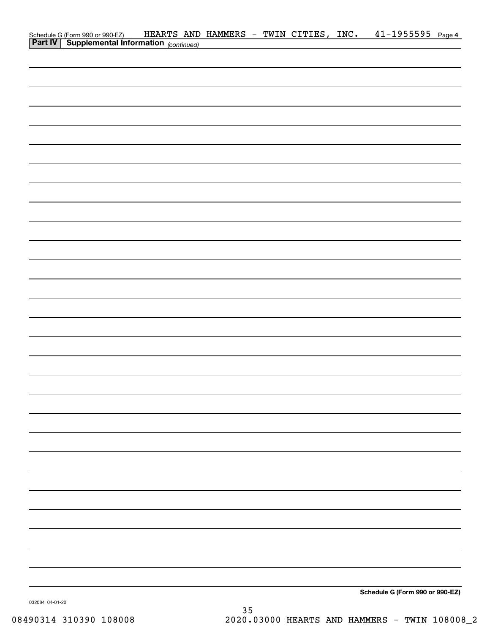| Schedule G (Form 990 or 990-EZ) HEARTS AND<br><b>Part IV</b> Supplemental Information (continued) | HEARTS AND HAMMERS - TWIN CITIES, INC. |  |  | $41 - 1955595$ Page 4           |  |
|---------------------------------------------------------------------------------------------------|----------------------------------------|--|--|---------------------------------|--|
|                                                                                                   |                                        |  |  |                                 |  |
|                                                                                                   |                                        |  |  |                                 |  |
|                                                                                                   |                                        |  |  |                                 |  |
|                                                                                                   |                                        |  |  |                                 |  |
|                                                                                                   |                                        |  |  |                                 |  |
|                                                                                                   |                                        |  |  |                                 |  |
|                                                                                                   |                                        |  |  |                                 |  |
|                                                                                                   |                                        |  |  |                                 |  |
|                                                                                                   |                                        |  |  |                                 |  |
|                                                                                                   |                                        |  |  |                                 |  |
|                                                                                                   |                                        |  |  |                                 |  |
|                                                                                                   |                                        |  |  |                                 |  |
|                                                                                                   |                                        |  |  |                                 |  |
|                                                                                                   |                                        |  |  |                                 |  |
|                                                                                                   |                                        |  |  |                                 |  |
|                                                                                                   |                                        |  |  |                                 |  |
|                                                                                                   |                                        |  |  |                                 |  |
|                                                                                                   |                                        |  |  |                                 |  |
|                                                                                                   |                                        |  |  |                                 |  |
|                                                                                                   |                                        |  |  |                                 |  |
|                                                                                                   |                                        |  |  |                                 |  |
|                                                                                                   |                                        |  |  |                                 |  |
|                                                                                                   |                                        |  |  |                                 |  |
|                                                                                                   |                                        |  |  |                                 |  |
|                                                                                                   |                                        |  |  |                                 |  |
|                                                                                                   |                                        |  |  |                                 |  |
|                                                                                                   |                                        |  |  |                                 |  |
|                                                                                                   |                                        |  |  |                                 |  |
|                                                                                                   |                                        |  |  |                                 |  |
|                                                                                                   |                                        |  |  |                                 |  |
|                                                                                                   |                                        |  |  |                                 |  |
|                                                                                                   |                                        |  |  |                                 |  |
|                                                                                                   |                                        |  |  |                                 |  |
|                                                                                                   |                                        |  |  |                                 |  |
|                                                                                                   |                                        |  |  | Schedule G (Form 990 or 990-EZ) |  |

032084 04-01-20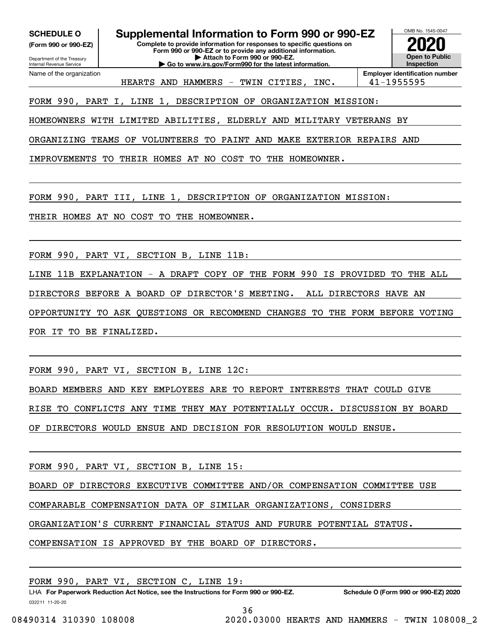**(Form 990 or 990-EZ)**

Department of the Treasury Internal Revenue Service Name of the organization

**Complete to provide information for responses to specific questions on Form 990 or 990-EZ or to provide any additional information. | Attach to Form 990 or 990-EZ. | Go to www.irs.gov/Form990 for the latest information. SCHEDULE O Supplemental Information to Form 990 or 990-EZ**



**Employer identification number** HEARTS AND HAMMERS - TWIN CITIES, INC. 41-1955595

FORM 990, PART I, LINE 1, DESCRIPTION OF ORGANIZATION MISSION:

HOMEOWNERS WITH LIMITED ABILITIES, ELDERLY AND MILITARY VETERANS BY

ORGANIZING TEAMS OF VOLUNTEERS TO PAINT AND MAKE EXTERIOR REPAIRS AND

IMPROVEMENTS TO THEIR HOMES AT NO COST TO THE HOMEOWNER.

FORM 990, PART III, LINE 1, DESCRIPTION OF ORGANIZATION MISSION:

THEIR HOMES AT NO COST TO THE HOMEOWNER.

FORM 990, PART VI, SECTION B, LINE 11B:

LINE 11B EXPLANATION - A DRAFT COPY OF THE FORM 990 IS PROVIDED TO THE ALL DIRECTORS BEFORE A BOARD OF DIRECTOR'S MEETING. ALL DIRECTORS HAVE AN OPPORTUNITY TO ASK QUESTIONS OR RECOMMEND CHANGES TO THE FORM BEFORE VOTING FOR IT TO BE FINALIZED.

FORM 990, PART VI, SECTION B, LINE 12C:

BOARD MEMBERS AND KEY EMPLOYEES ARE TO REPORT INTERESTS THAT COULD GIVE

RISE TO CONFLICTS ANY TIME THEY MAY POTENTIALLY OCCUR. DISCUSSION BY BOARD

OF DIRECTORS WOULD ENSUE AND DECISION FOR RESOLUTION WOULD ENSUE.

FORM 990, PART VI, SECTION B, LINE 15:

BOARD OF DIRECTORS EXECUTIVE COMMITTEE AND/OR COMPENSATION COMMITTEE USE

COMPARABLE COMPENSATION DATA OF SIMILAR ORGANIZATIONS, CONSIDERS

ORGANIZATION'S CURRENT FINANCIAL STATUS AND FURURE POTENTIAL STATUS.

COMPENSATION IS APPROVED BY THE BOARD OF DIRECTORS.

FORM 990, PART VI, SECTION C, LINE 19:

032211 11-20-20 LHA For Paperwork Reduction Act Notice, see the Instructions for Form 990 or 990-EZ. Schedule O (Form 990 or 990-EZ) 2020

36